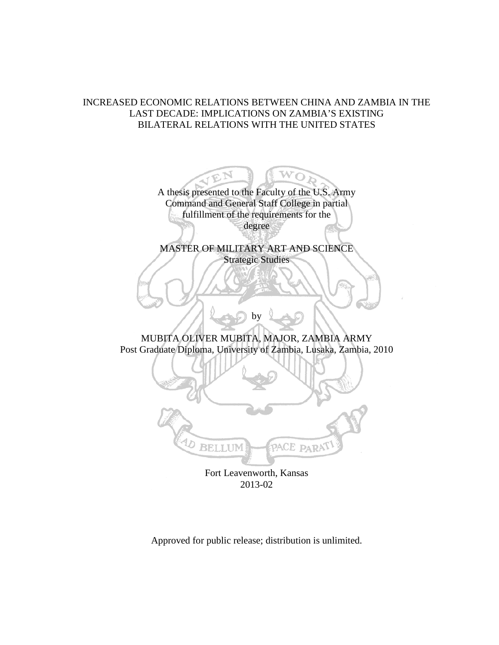# INCREASED ECONOMIC RELATIONS BETWEEN CHINA AND ZAMBIA IN THE LAST DECADE: IMPLICATIONS ON ZAMBIA'S EXISTING BILATERAL RELATIONS WITH THE UNITED STATES

A thesis presented to the Faculty of the U.S. Army Command and General Staff College in partial fulfillment of the requirements for the degree

 $\bigcap$ 

MASTER OF MILITARY ART AND SCIENCE Strategic Studies

MUBITA OLIVER MUBITA, MAJOR, ZAMBIA ARMY Post Graduate Diploma, University of Zambia, Lusaka, Zambia, 2010

by



Fort Leavenworth, Kansas 2013-02

Approved for public release; distribution is unlimited.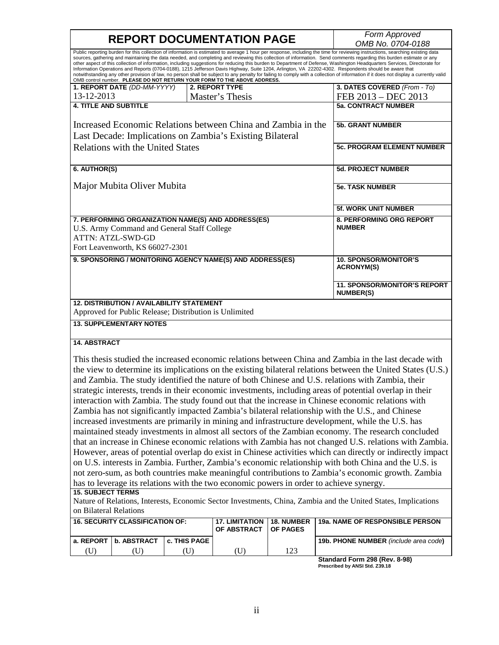| <b>REPORT DOCUMENTATION PAGE</b>                                                                                                                                                                                                                                                                                                                                                                                                                                                                                                                                                                                                                                                                                                                                                                                                                                                                                                                                  |                                                                                                            |                                                         |                       |            | Form Approved<br>OMB No. 0704-0188                                                                             |  |
|-------------------------------------------------------------------------------------------------------------------------------------------------------------------------------------------------------------------------------------------------------------------------------------------------------------------------------------------------------------------------------------------------------------------------------------------------------------------------------------------------------------------------------------------------------------------------------------------------------------------------------------------------------------------------------------------------------------------------------------------------------------------------------------------------------------------------------------------------------------------------------------------------------------------------------------------------------------------|------------------------------------------------------------------------------------------------------------|---------------------------------------------------------|-----------------------|------------|----------------------------------------------------------------------------------------------------------------|--|
| Public reporting burden for this collection of information is estimated to average 1 hour per response, including the time for reviewing instructions, searching existing data<br>sources, gathering and maintaining the data needed, and completing and reviewing this collection of information. Send comments regarding this burden estimate or any<br>other aspect of this collection of information, including suggestions for reducing this burden to Department of Defense, Washington Headquarters Services, Directorate for<br>Information Operations and Reports (0704-0188), 1215 Jefferson Davis Highway, Suite 1204, Arlington, VA 22202-4302. Respondents should be aware that<br>notwithstanding any other provision of law, no person shall be subject to any penalty for failing to comply with a collection of information if it does not display a currently valid<br>OMB control number. PLEASE DO NOT RETURN YOUR FORM TO THE ABOVE ADDRESS. |                                                                                                            |                                                         |                       |            |                                                                                                                |  |
|                                                                                                                                                                                                                                                                                                                                                                                                                                                                                                                                                                                                                                                                                                                                                                                                                                                                                                                                                                   | 1. REPORT DATE (DD-MM-YYYY)                                                                                |                                                         | 2. REPORT TYPE        |            | 3. DATES COVERED (From - To)                                                                                   |  |
| 13-12-2013                                                                                                                                                                                                                                                                                                                                                                                                                                                                                                                                                                                                                                                                                                                                                                                                                                                                                                                                                        |                                                                                                            |                                                         | Master's Thesis       |            | FEB 2013 - DEC 2013                                                                                            |  |
| <b>4. TITLE AND SUBTITLE</b>                                                                                                                                                                                                                                                                                                                                                                                                                                                                                                                                                                                                                                                                                                                                                                                                                                                                                                                                      |                                                                                                            |                                                         |                       |            | <b>5a. CONTRACT NUMBER</b>                                                                                     |  |
| Increased Economic Relations between China and Zambia in the<br>Last Decade: Implications on Zambia's Existing Bilateral                                                                                                                                                                                                                                                                                                                                                                                                                                                                                                                                                                                                                                                                                                                                                                                                                                          |                                                                                                            |                                                         |                       |            | <b>5b. GRANT NUMBER</b>                                                                                        |  |
|                                                                                                                                                                                                                                                                                                                                                                                                                                                                                                                                                                                                                                                                                                                                                                                                                                                                                                                                                                   | <b>Relations with the United States</b>                                                                    | <b>5c. PROGRAM ELEMENT NUMBER</b>                       |                       |            |                                                                                                                |  |
| 6. AUTHOR(S)                                                                                                                                                                                                                                                                                                                                                                                                                                                                                                                                                                                                                                                                                                                                                                                                                                                                                                                                                      |                                                                                                            |                                                         |                       |            | <b>5d. PROJECT NUMBER</b>                                                                                      |  |
| Major Mubita Oliver Mubita                                                                                                                                                                                                                                                                                                                                                                                                                                                                                                                                                                                                                                                                                                                                                                                                                                                                                                                                        |                                                                                                            |                                                         |                       |            | <b>5e. TASK NUMBER</b>                                                                                         |  |
|                                                                                                                                                                                                                                                                                                                                                                                                                                                                                                                                                                                                                                                                                                                                                                                                                                                                                                                                                                   |                                                                                                            |                                                         |                       |            | <b>5f. WORK UNIT NUMBER</b>                                                                                    |  |
| 7. PERFORMING ORGANIZATION NAME(S) AND ADDRESS(ES)<br>U.S. Army Command and General Staff College<br>ATTN: ATZL-SWD-GD<br>Fort Leavenworth, KS 66027-2301                                                                                                                                                                                                                                                                                                                                                                                                                                                                                                                                                                                                                                                                                                                                                                                                         |                                                                                                            |                                                         |                       |            | <b>8. PERFORMING ORG REPORT</b><br><b>NUMBER</b>                                                               |  |
| 9. SPONSORING / MONITORING AGENCY NAME(S) AND ADDRESS(ES)                                                                                                                                                                                                                                                                                                                                                                                                                                                                                                                                                                                                                                                                                                                                                                                                                                                                                                         |                                                                                                            |                                                         |                       |            | <b>10. SPONSOR/MONITOR'S</b><br><b>ACRONYM(S)</b>                                                              |  |
|                                                                                                                                                                                                                                                                                                                                                                                                                                                                                                                                                                                                                                                                                                                                                                                                                                                                                                                                                                   |                                                                                                            | <b>11. SPONSOR/MONITOR'S REPORT</b><br><b>NUMBER(S)</b> |                       |            |                                                                                                                |  |
|                                                                                                                                                                                                                                                                                                                                                                                                                                                                                                                                                                                                                                                                                                                                                                                                                                                                                                                                                                   | <b>12. DISTRIBUTION / AVAILABILITY STATEMENT</b><br>Approved for Public Release; Distribution is Unlimited |                                                         |                       |            |                                                                                                                |  |
|                                                                                                                                                                                                                                                                                                                                                                                                                                                                                                                                                                                                                                                                                                                                                                                                                                                                                                                                                                   | <b>13. SUPPLEMENTARY NOTES</b>                                                                             |                                                         |                       |            |                                                                                                                |  |
| <b>14. ABSTRACT</b>                                                                                                                                                                                                                                                                                                                                                                                                                                                                                                                                                                                                                                                                                                                                                                                                                                                                                                                                               |                                                                                                            |                                                         |                       |            |                                                                                                                |  |
|                                                                                                                                                                                                                                                                                                                                                                                                                                                                                                                                                                                                                                                                                                                                                                                                                                                                                                                                                                   |                                                                                                            |                                                         |                       |            | This thesis studied the increased economic relations between China and Zambia in the last decade with          |  |
|                                                                                                                                                                                                                                                                                                                                                                                                                                                                                                                                                                                                                                                                                                                                                                                                                                                                                                                                                                   |                                                                                                            |                                                         |                       |            |                                                                                                                |  |
| the view to determine its implications on the existing bilateral relations between the United States (U.S.)<br>and Zambia. The study identified the nature of both Chinese and U.S. relations with Zambia, their                                                                                                                                                                                                                                                                                                                                                                                                                                                                                                                                                                                                                                                                                                                                                  |                                                                                                            |                                                         |                       |            |                                                                                                                |  |
|                                                                                                                                                                                                                                                                                                                                                                                                                                                                                                                                                                                                                                                                                                                                                                                                                                                                                                                                                                   |                                                                                                            |                                                         |                       |            |                                                                                                                |  |
| strategic interests, trends in their economic investments, including areas of potential overlap in their                                                                                                                                                                                                                                                                                                                                                                                                                                                                                                                                                                                                                                                                                                                                                                                                                                                          |                                                                                                            |                                                         |                       |            |                                                                                                                |  |
| interaction with Zambia. The study found out that the increase in Chinese economic relations with<br>Zambia has not significantly impacted Zambia's bilateral relationship with the U.S., and Chinese                                                                                                                                                                                                                                                                                                                                                                                                                                                                                                                                                                                                                                                                                                                                                             |                                                                                                            |                                                         |                       |            |                                                                                                                |  |
| increased investments are primarily in mining and infrastructure development, while the U.S. has                                                                                                                                                                                                                                                                                                                                                                                                                                                                                                                                                                                                                                                                                                                                                                                                                                                                  |                                                                                                            |                                                         |                       |            |                                                                                                                |  |
|                                                                                                                                                                                                                                                                                                                                                                                                                                                                                                                                                                                                                                                                                                                                                                                                                                                                                                                                                                   |                                                                                                            |                                                         |                       |            | maintained steady investments in almost all sectors of the Zambian economy. The research concluded             |  |
|                                                                                                                                                                                                                                                                                                                                                                                                                                                                                                                                                                                                                                                                                                                                                                                                                                                                                                                                                                   |                                                                                                            |                                                         |                       |            |                                                                                                                |  |
| that an increase in Chinese economic relations with Zambia has not changed U.S. relations with Zambia.<br>However, areas of potential overlap do exist in Chinese activities which can directly or indirectly impact                                                                                                                                                                                                                                                                                                                                                                                                                                                                                                                                                                                                                                                                                                                                              |                                                                                                            |                                                         |                       |            |                                                                                                                |  |
|                                                                                                                                                                                                                                                                                                                                                                                                                                                                                                                                                                                                                                                                                                                                                                                                                                                                                                                                                                   |                                                                                                            |                                                         |                       |            | on U.S. interests in Zambia. Further, Zambia's economic relationship with both China and the U.S. is           |  |
|                                                                                                                                                                                                                                                                                                                                                                                                                                                                                                                                                                                                                                                                                                                                                                                                                                                                                                                                                                   |                                                                                                            |                                                         |                       |            | not zero-sum, as both countries make meaningful contributions to Zambia's economic growth. Zambia              |  |
| has to leverage its relations with the two economic powers in order to achieve synergy.                                                                                                                                                                                                                                                                                                                                                                                                                                                                                                                                                                                                                                                                                                                                                                                                                                                                           |                                                                                                            |                                                         |                       |            |                                                                                                                |  |
| <b>15. SUBJECT TERMS</b>                                                                                                                                                                                                                                                                                                                                                                                                                                                                                                                                                                                                                                                                                                                                                                                                                                                                                                                                          |                                                                                                            |                                                         |                       |            |                                                                                                                |  |
|                                                                                                                                                                                                                                                                                                                                                                                                                                                                                                                                                                                                                                                                                                                                                                                                                                                                                                                                                                   |                                                                                                            |                                                         |                       |            | Nature of Relations, Interests, Economic Sector Investments, China, Zambia and the United States, Implications |  |
| on Bilateral Relations                                                                                                                                                                                                                                                                                                                                                                                                                                                                                                                                                                                                                                                                                                                                                                                                                                                                                                                                            |                                                                                                            |                                                         | <b>17. LIMITATION</b> | 18. NUMBER | 19a. NAME OF RESPONSIBLE PERSON                                                                                |  |
| <b>16. SECURITY CLASSIFICATION OF:</b><br>OF ABSTRACT<br><b>OF PAGES</b>                                                                                                                                                                                                                                                                                                                                                                                                                                                                                                                                                                                                                                                                                                                                                                                                                                                                                          |                                                                                                            |                                                         |                       |            |                                                                                                                |  |
| a. REPORT                                                                                                                                                                                                                                                                                                                                                                                                                                                                                                                                                                                                                                                                                                                                                                                                                                                                                                                                                         | b. ABSTRACT                                                                                                | c. THIS PAGE                                            |                       |            | 19b. PHONE NUMBER (include area code)                                                                          |  |
| (U)                                                                                                                                                                                                                                                                                                                                                                                                                                                                                                                                                                                                                                                                                                                                                                                                                                                                                                                                                               | (U)                                                                                                        | (U)                                                     | (U)                   | 123        |                                                                                                                |  |

| Standard Form 298 (Rev. 8-98)  |
|--------------------------------|
| Prescribed by ANSI Std. 739.18 |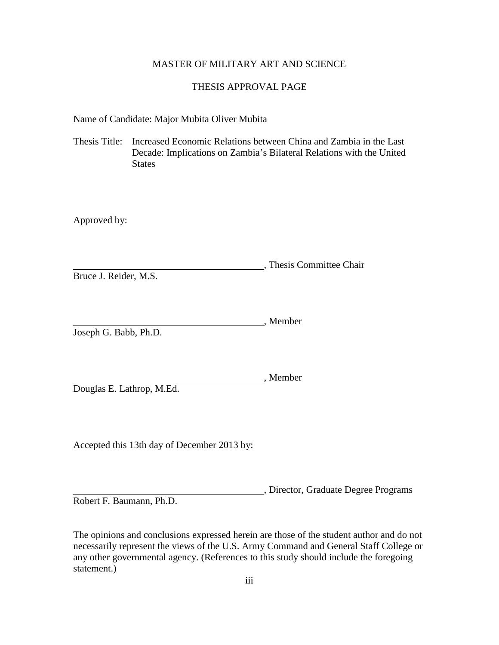# MASTER OF MILITARY ART AND SCIENCE

# THESIS APPROVAL PAGE

Name of Candidate: Major Mubita Oliver Mubita

Thesis Title: Increased Economic Relations between China and Zambia in the Last Decade: Implications on Zambia's Bilateral Relations with the United States

Approved by:

, Thesis Committee Chair

Bruce J. Reider, M.S.

, Member Joseph G. Babb, Ph.D.

Douglas E. Lathrop, M.Ed.

Accepted this 13th day of December 2013 by:

, Director, Graduate Degree Programs

, Member

Robert F. Baumann, Ph.D.

The opinions and conclusions expressed herein are those of the student author and do not necessarily represent the views of the U.S. Army Command and General Staff College or any other governmental agency. (References to this study should include the foregoing statement.)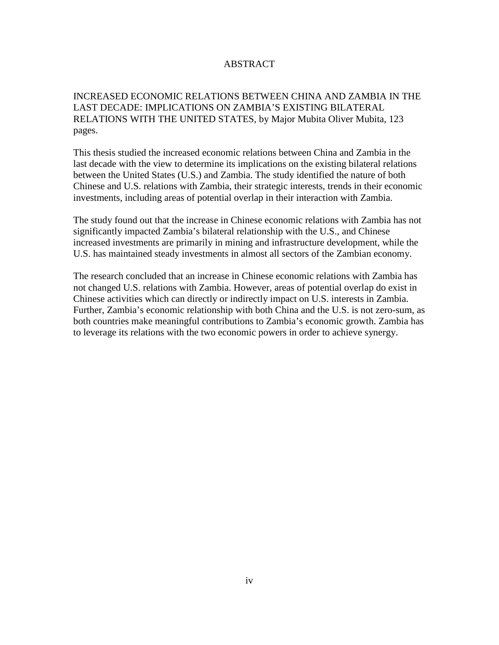# ABSTRACT

# INCREASED ECONOMIC RELATIONS BETWEEN CHINA AND ZAMBIA IN THE LAST DECADE: IMPLICATIONS ON ZAMBIA'S EXISTING BILATERAL RELATIONS WITH THE UNITED STATES, by Major Mubita Oliver Mubita, 123 pages.

This thesis studied the increased economic relations between China and Zambia in the last decade with the view to determine its implications on the existing bilateral relations between the United States (U.S.) and Zambia. The study identified the nature of both Chinese and U.S. relations with Zambia, their strategic interests, trends in their economic investments, including areas of potential overlap in their interaction with Zambia.

The study found out that the increase in Chinese economic relations with Zambia has not significantly impacted Zambia's bilateral relationship with the U.S., and Chinese increased investments are primarily in mining and infrastructure development, while the U.S. has maintained steady investments in almost all sectors of the Zambian economy.

The research concluded that an increase in Chinese economic relations with Zambia has not changed U.S. relations with Zambia. However, areas of potential overlap do exist in Chinese activities which can directly or indirectly impact on U.S. interests in Zambia. Further, Zambia's economic relationship with both China and the U.S. is not zero-sum, as both countries make meaningful contributions to Zambia's economic growth. Zambia has to leverage its relations with the two economic powers in order to achieve synergy.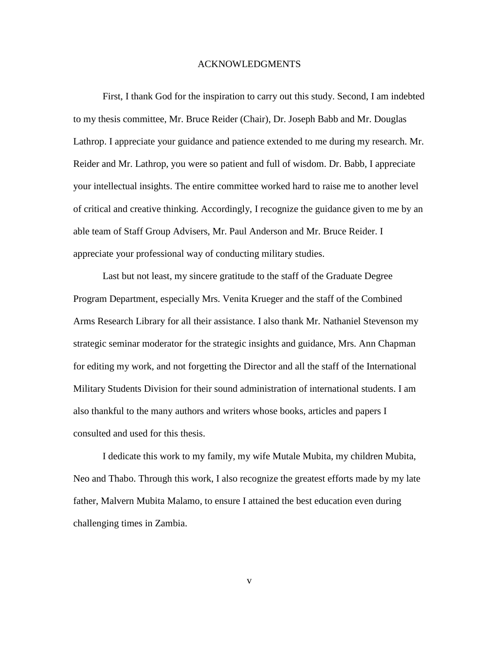#### ACKNOWLEDGMENTS

First, I thank God for the inspiration to carry out this study. Second, I am indebted to my thesis committee, Mr. Bruce Reider (Chair), Dr. Joseph Babb and Mr. Douglas Lathrop. I appreciate your guidance and patience extended to me during my research. Mr. Reider and Mr. Lathrop, you were so patient and full of wisdom. Dr. Babb, I appreciate your intellectual insights. The entire committee worked hard to raise me to another level of critical and creative thinking. Accordingly, I recognize the guidance given to me by an able team of Staff Group Advisers, Mr. Paul Anderson and Mr. Bruce Reider. I appreciate your professional way of conducting military studies.

Last but not least, my sincere gratitude to the staff of the Graduate Degree Program Department, especially Mrs. Venita Krueger and the staff of the Combined Arms Research Library for all their assistance. I also thank Mr. Nathaniel Stevenson my strategic seminar moderator for the strategic insights and guidance, Mrs. Ann Chapman for editing my work, and not forgetting the Director and all the staff of the International Military Students Division for their sound administration of international students. I am also thankful to the many authors and writers whose books, articles and papers I consulted and used for this thesis.

I dedicate this work to my family, my wife Mutale Mubita, my children Mubita, Neo and Thabo. Through this work, I also recognize the greatest efforts made by my late father, Malvern Mubita Malamo, to ensure I attained the best education even during challenging times in Zambia.

v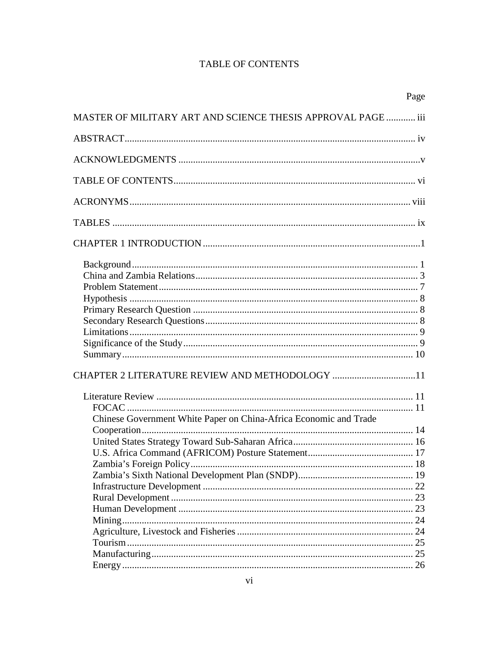# **TABLE OF CONTENTS**

|                                                                   | Page |
|-------------------------------------------------------------------|------|
| MASTER OF MILITARY ART AND SCIENCE THESIS APPROVAL PAGE  iii      |      |
|                                                                   |      |
|                                                                   |      |
|                                                                   |      |
|                                                                   |      |
|                                                                   |      |
|                                                                   |      |
|                                                                   |      |
|                                                                   |      |
| CHAPTER 2 LITERATURE REVIEW AND METHODOLOGY 11                    |      |
|                                                                   |      |
| Chinese Government White Paper on China-Africa Economic and Trade |      |
|                                                                   |      |
|                                                                   |      |
|                                                                   |      |
|                                                                   |      |
|                                                                   |      |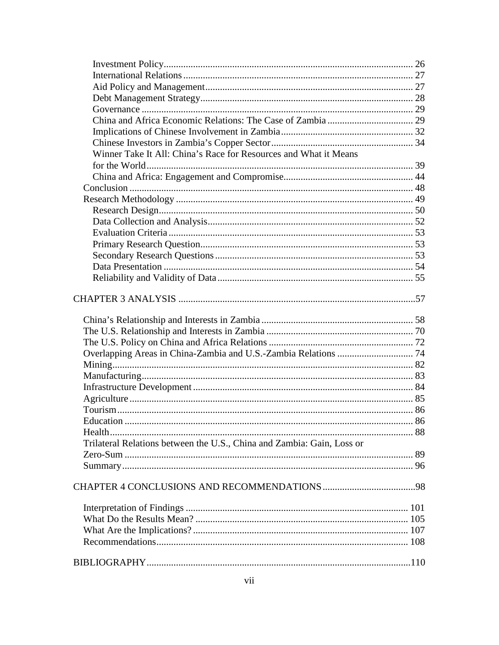| Winner Take It All: China's Race for Resources and What it Means       |  |
|------------------------------------------------------------------------|--|
|                                                                        |  |
|                                                                        |  |
|                                                                        |  |
|                                                                        |  |
|                                                                        |  |
|                                                                        |  |
|                                                                        |  |
|                                                                        |  |
|                                                                        |  |
|                                                                        |  |
|                                                                        |  |
|                                                                        |  |
|                                                                        |  |
|                                                                        |  |
|                                                                        |  |
|                                                                        |  |
|                                                                        |  |
|                                                                        |  |
|                                                                        |  |
|                                                                        |  |
|                                                                        |  |
| Education.                                                             |  |
|                                                                        |  |
| Trilateral Relations between the U.S., China and Zambia: Gain, Loss or |  |
|                                                                        |  |
|                                                                        |  |
|                                                                        |  |
|                                                                        |  |
|                                                                        |  |
|                                                                        |  |
|                                                                        |  |
|                                                                        |  |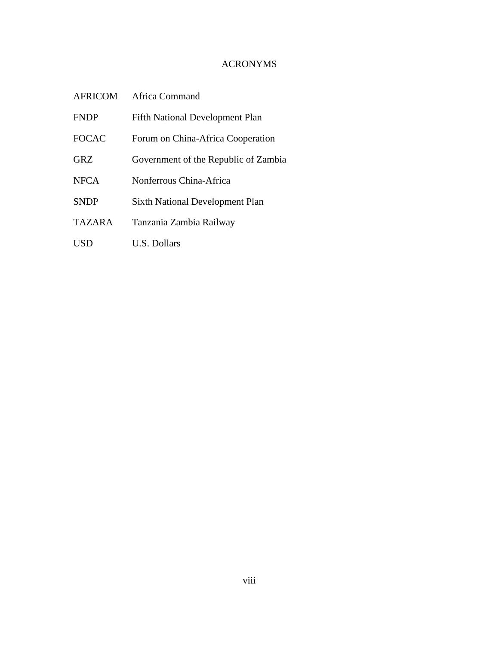# ACRONYMS

| <b>AFRICOM</b> | Africa Command                         |
|----------------|----------------------------------------|
| <b>FNDP</b>    | <b>Fifth National Development Plan</b> |
| <b>FOCAC</b>   | Forum on China-Africa Cooperation      |
| <b>GRZ</b>     | Government of the Republic of Zambia   |
| <b>NFCA</b>    | Nonferrous China-Africa                |
| <b>SNDP</b>    | <b>Sixth National Development Plan</b> |
| <b>TAZARA</b>  | Tanzania Zambia Railway                |
| USD            | <b>U.S. Dollars</b>                    |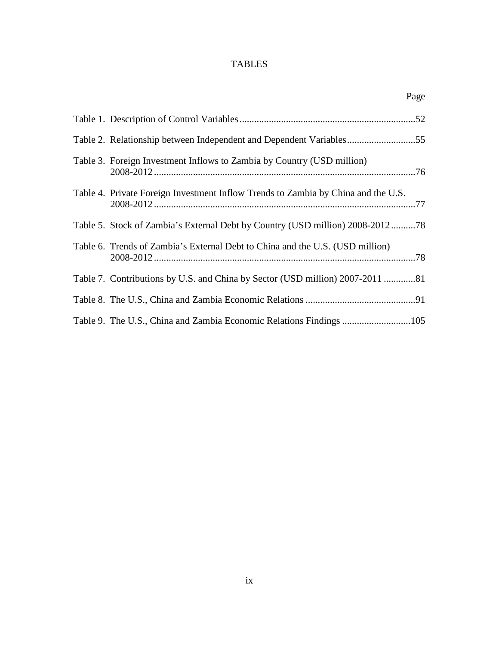# TABLES

|                                                                                   | Page |
|-----------------------------------------------------------------------------------|------|
|                                                                                   |      |
| Table 2. Relationship between Independent and Dependent Variables55               |      |
| Table 3. Foreign Investment Inflows to Zambia by Country (USD million)            |      |
| Table 4. Private Foreign Investment Inflow Trends to Zambia by China and the U.S. |      |
| Table 5. Stock of Zambia's External Debt by Country (USD million) 2008-201278     |      |
| Table 6. Trends of Zambia's External Debt to China and the U.S. (USD million)     |      |
| Table 7. Contributions by U.S. and China by Sector (USD million) 2007-2011 81     |      |
|                                                                                   |      |
| Table 9. The U.S., China and Zambia Economic Relations Findings 105               |      |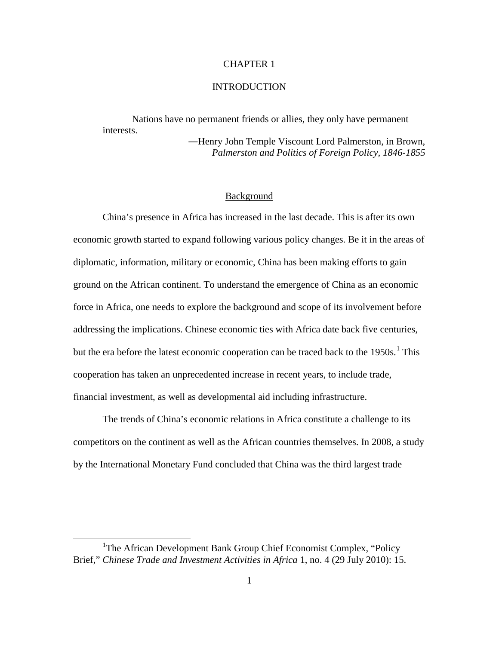# CHAPTER 1

## **INTRODUCTION**

Nations have no permanent friends or allies, they only have permanent interests.

―Henry John Temple Viscount Lord Palmerston, in Brown, *Palmerston and Politics of Foreign Policy, 1846-1855*

#### Background

China's presence in Africa has increased in the last decade. This is after its own economic growth started to expand following various policy changes. Be it in the areas of diplomatic, information, military or economic, China has been making efforts to gain ground on the African continent. To understand the emergence of China as an economic force in Africa, one needs to explore the background and scope of its involvement before addressing the implications. Chinese economic ties with Africa date back five centuries, but the era before the latest economic cooperation can be traced back to the  $1950s$  $1950s$ .<sup>1</sup> This cooperation has taken an unprecedented increase in recent years, to include trade, financial investment, as well as developmental aid including infrastructure.

The trends of China's economic relations in Africa constitute a challenge to its competitors on the continent as well as the African countries themselves. In 2008, a study by the International Monetary Fund concluded that China was the third largest trade

<span id="page-9-0"></span><sup>&</sup>lt;sup>1</sup>The African Development Bank Group Chief Economist Complex, "Policy Brief," *Chinese Trade and Investment Activities in Africa* 1, no. 4 (29 July 2010): 15.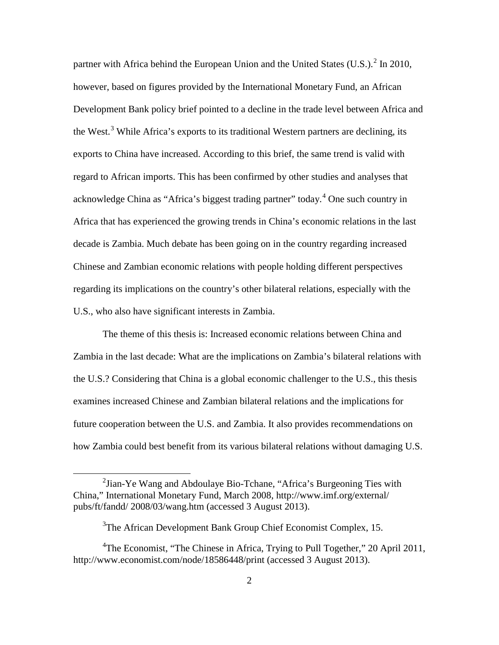partner with Africa behind the European Union and the United States  $(U.S.)$ <sup>[2](#page-10-0)</sup> In 2010, however, based on figures provided by the International Monetary Fund, an African Development Bank policy brief pointed to a decline in the trade level between Africa and the West.<sup>[3](#page-10-1)</sup> While Africa's exports to its traditional Western partners are declining, its exports to China have increased. According to this brief, the same trend is valid with regard to African imports. This has been confirmed by other studies and analyses that acknowledge China as "Africa's biggest trading partner" today.<sup>[4](#page-10-2)</sup> One such country in Africa that has experienced the growing trends in China's economic relations in the last decade is Zambia. Much debate has been going on in the country regarding increased Chinese and Zambian economic relations with people holding different perspectives regarding its implications on the country's other bilateral relations, especially with the U.S., who also have significant interests in Zambia.

The theme of this thesis is: Increased economic relations between China and Zambia in the last decade: What are the implications on Zambia's bilateral relations with the U.S.? Considering that China is a global economic challenger to the U.S., this thesis examines increased Chinese and Zambian bilateral relations and the implications for future cooperation between the U.S. and Zambia. It also provides recommendations on how Zambia could best benefit from its various bilateral relations without damaging U.S.

<span id="page-10-0"></span> $2^2$ Jian-Ye Wang and Abdoulaye Bio-Tchane, "Africa's Burgeoning Ties with China," International Monetary Fund, March 2008, http://www.imf.org/external/ pubs/ft/fandd/ 2008/03/wang.htm (accessed 3 August 2013).

<sup>&</sup>lt;sup>3</sup>The African Development Bank Group Chief Economist Complex, 15.

<span id="page-10-2"></span><span id="page-10-1"></span><sup>&</sup>lt;sup>4</sup>The Economist, "The Chinese in Africa, Trying to Pull Together," 20 April 2011, http://www.economist.com/node/18586448/print (accessed 3 August 2013).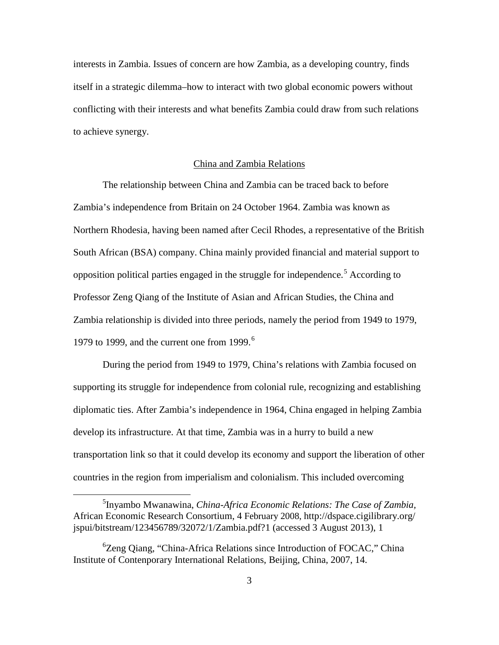interests in Zambia. Issues of concern are how Zambia, as a developing country, finds itself in a strategic dilemma–how to interact with two global economic powers without conflicting with their interests and what benefits Zambia could draw from such relations to achieve synergy.

#### China and Zambia Relations

The relationship between China and Zambia can be traced back to before Zambia's independence from Britain on 24 October 1964. Zambia was known as Northern Rhodesia, having been named after Cecil Rhodes, a representative of the British South African (BSA) company. China mainly provided financial and material support to opposition political parties engaged in the struggle for independence.<sup>[5](#page-11-0)</sup> According to Professor Zeng Qiang of the Institute of Asian and African Studies, the China and Zambia relationship is divided into three periods, namely the period from 1949 to 1979, 1979 to 1999, and the current one from 1999. $<sup>6</sup>$  $<sup>6</sup>$  $<sup>6</sup>$ </sup>

During the period from 1949 to 1979, China's relations with Zambia focused on supporting its struggle for independence from colonial rule, recognizing and establishing diplomatic ties. After Zambia's independence in 1964, China engaged in helping Zambia develop its infrastructure. At that time, Zambia was in a hurry to build a new transportation link so that it could develop its economy and support the liberation of other countries in the region from imperialism and colonialism. This included overcoming

<span id="page-11-0"></span><sup>5</sup> Inyambo Mwanawina, *China-Africa Economic Relations: The Case of Zambia,* African Economic Research Consortium, 4 February 2008, http://dspace.cigilibrary.org/ jspui/bitstream/123456789/32072/1/Zambia.pdf?1 (accessed 3 August 2013), 1

<span id="page-11-1"></span><sup>6</sup> Zeng Qiang, "China-Africa Relations since Introduction of FOCAC," China Institute of Contenporary International Relations, Beijing, China, 2007, 14.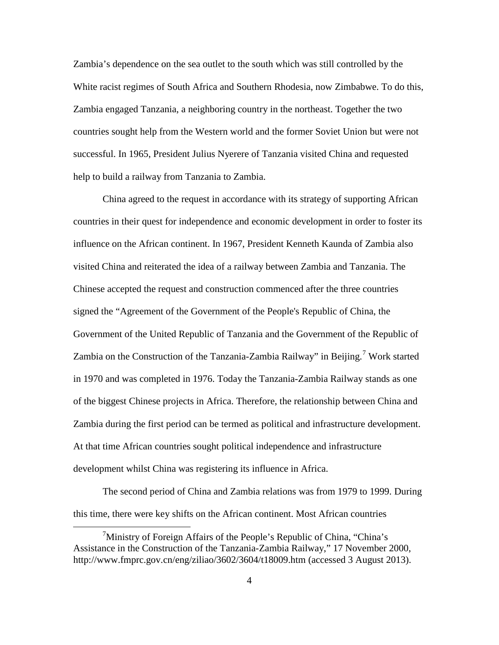Zambia's dependence on the sea outlet to the south which was still controlled by the White racist regimes of South Africa and Southern Rhodesia, now Zimbabwe. To do this, Zambia engaged Tanzania, a neighboring country in the northeast. Together the two countries sought help from the Western world and the former Soviet Union but were not successful. In 1965, President Julius Nyerere of Tanzania visited China and requested help to build a railway from Tanzania to Zambia.

China agreed to the request in accordance with its strategy of supporting African countries in their quest for independence and economic development in order to foster its influence on the African continent. In 1967, President Kenneth Kaunda of Zambia also visited China and reiterated the idea of a railway between Zambia and Tanzania. The Chinese accepted the request and construction commenced after the three countries signed the "Agreement of the Government of the People's Republic of China, the Government of the United Republic of Tanzania and the Government of the Republic of Zambia on the Construction of the Tanzania-Zambia Railway" in Beijing.<sup>[7](#page-12-0)</sup> Work started in 1970 and was completed in 1976. Today the Tanzania-Zambia Railway stands as one of the biggest Chinese projects in Africa. Therefore, the relationship between China and Zambia during the first period can be termed as political and infrastructure development. At that time African countries sought political independence and infrastructure development whilst China was registering its influence in Africa.

The second period of China and Zambia relations was from 1979 to 1999. During this time, there were key shifts on the African continent. Most African countries

<span id="page-12-0"></span><sup>&</sup>lt;sup>7</sup>Ministry of Foreign Affairs of the People's Republic of China, "China's Assistance in the Construction of the Tanzania-Zambia Railway," 17 November 2000, http://www.fmprc.gov.cn/eng/ziliao/3602/3604/t18009.htm (accessed 3 August 2013).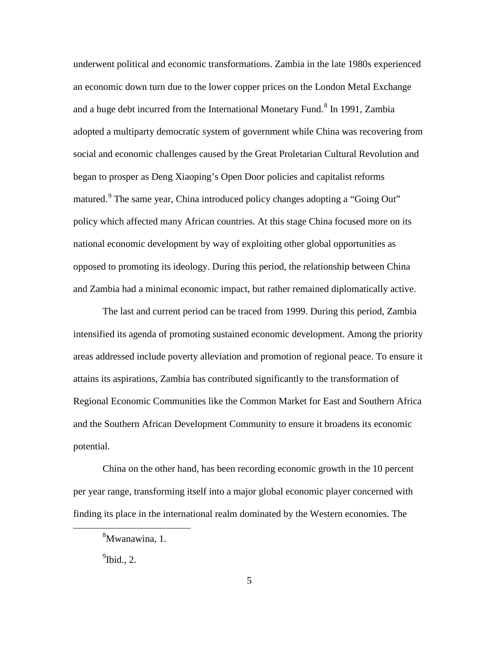underwent political and economic transformations. Zambia in the late 1980s experienced an economic down turn due to the lower copper prices on the London Metal Exchange and a huge debt incurred from the International Monetary Fund.<sup>[8](#page-13-0)</sup> In 1991, Zambia adopted a multiparty democratic system of government while China was recovering from social and economic challenges caused by the Great Proletarian Cultural Revolution and began to prosper as Deng Xiaoping's Open Door policies and capitalist reforms matured.<sup>[9](#page-13-1)</sup> The same year, China introduced policy changes adopting a "Going Out" policy which affected many African countries. At this stage China focused more on its national economic development by way of exploiting other global opportunities as opposed to promoting its ideology. During this period, the relationship between China and Zambia had a minimal economic impact, but rather remained diplomatically active.

The last and current period can be traced from 1999. During this period, Zambia intensified its agenda of promoting sustained economic development. Among the priority areas addressed include poverty alleviation and promotion of regional peace. To ensure it attains its aspirations, Zambia has contributed significantly to the transformation of Regional Economic Communities like the Common Market for East and Southern Africa and the Southern African Development Community to ensure it broadens its economic potential.

<span id="page-13-0"></span>China on the other hand, has been recording economic growth in the 10 percent per year range, transforming itself into a major global economic player concerned with finding its place in the international realm dominated by the Western economies. The

<span id="page-13-1"></span> $<sup>9</sup>$ Ibid., 2.</sup>

<sup>8</sup> Mwanawina, 1.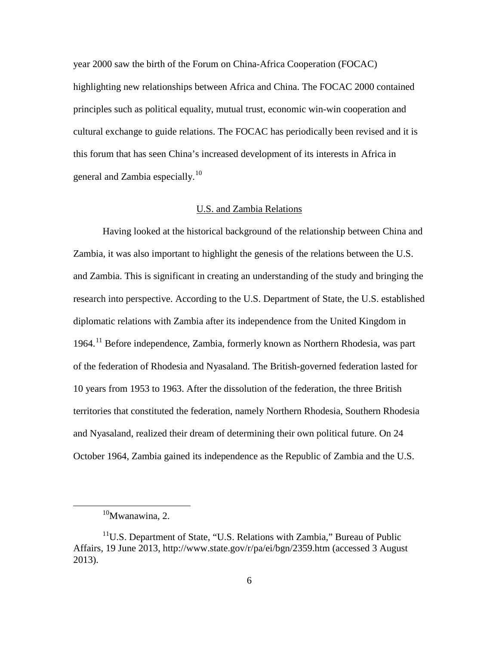year 2000 saw the birth of the Forum on China-Africa Cooperation (FOCAC) highlighting new relationships between Africa and China. The FOCAC 2000 contained principles such as political equality, mutual trust, economic win-win cooperation and cultural exchange to guide relations. The FOCAC has periodically been revised and it is this forum that has seen China's increased development of its interests in Africa in general and Zambia especially.<sup>[10](#page-14-0)</sup>

#### U.S. and Zambia Relations

Having looked at the historical background of the relationship between China and Zambia, it was also important to highlight the genesis of the relations between the U.S. and Zambia. This is significant in creating an understanding of the study and bringing the research into perspective. According to the U.S. Department of State, the U.S. established diplomatic relations with Zambia after its independence from the United Kingdom in 1964.[11](#page-14-1) Before independence, Zambia, formerly known as Northern Rhodesia, was part of the federation of Rhodesia and Nyasaland. The British-governed federation lasted for 10 years from 1953 to 1963. After the dissolution of the federation, the three British territories that constituted the federation, namely Northern Rhodesia, Southern Rhodesia and Nyasaland, realized their dream of determining their own political future. On 24 October 1964, Zambia gained its independence as the Republic of Zambia and the U.S.

 $10$ Mwanawina, 2.

<span id="page-14-1"></span><span id="page-14-0"></span> $11$ U.S. Department of State, "U.S. Relations with Zambia," Bureau of Public Affairs, 19 June 2013, http://www.state.gov/r/pa/ei/bgn/2359.htm (accessed 3 August 2013).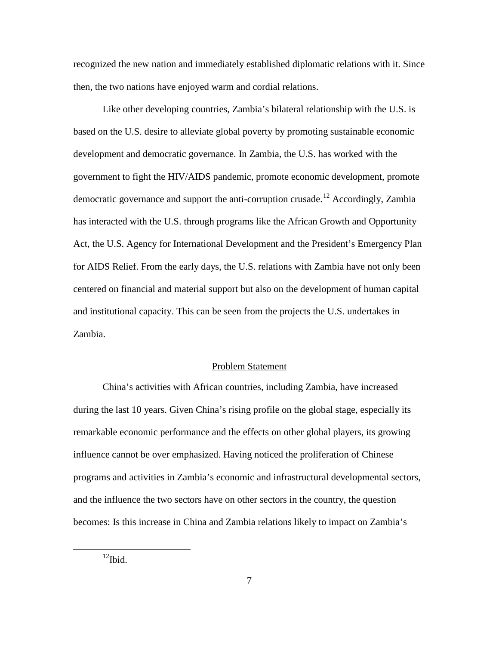recognized the new nation and immediately established diplomatic relations with it. Since then, the two nations have enjoyed warm and cordial relations.

Like other developing countries, Zambia's bilateral relationship with the U.S. is based on the U.S. desire to alleviate global poverty by promoting sustainable economic development and democratic governance. In Zambia, the U.S. has worked with the government to fight the HIV/AIDS pandemic, promote economic development, promote democratic governance and support the anti-corruption crusade.<sup>[12](#page-15-0)</sup> Accordingly, Zambia has interacted with the U.S. through programs like the African Growth and Opportunity Act, the U.S. Agency for International Development and the President's Emergency Plan for AIDS Relief. From the early days, the U.S. relations with Zambia have not only been centered on financial and material support but also on the development of human capital and institutional capacity. This can be seen from the projects the U.S. undertakes in Zambia.

# Problem Statement

China's activities with African countries, including Zambia, have increased during the last 10 years. Given China's rising profile on the global stage, especially its remarkable economic performance and the effects on other global players, its growing influence cannot be over emphasized. Having noticed the proliferation of Chinese programs and activities in Zambia's economic and infrastructural developmental sectors, and the influence the two sectors have on other sectors in the country, the question becomes: Is this increase in China and Zambia relations likely to impact on Zambia's

<span id="page-15-0"></span> $12$ Ibid.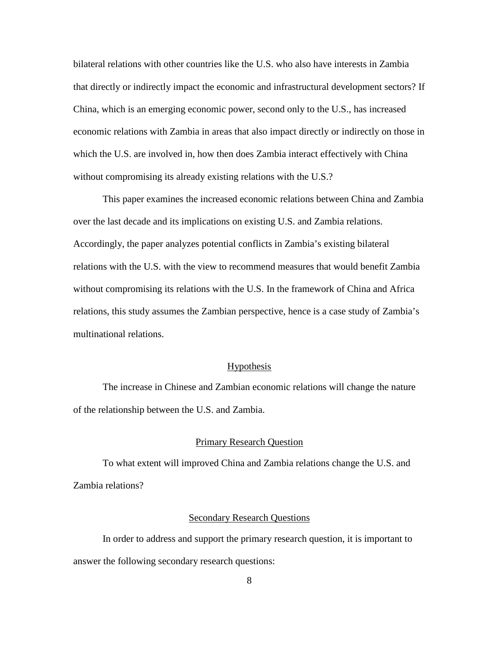bilateral relations with other countries like the U.S. who also have interests in Zambia that directly or indirectly impact the economic and infrastructural development sectors? If China, which is an emerging economic power, second only to the U.S., has increased economic relations with Zambia in areas that also impact directly or indirectly on those in which the U.S. are involved in, how then does Zambia interact effectively with China without compromising its already existing relations with the U.S.?

This paper examines the increased economic relations between China and Zambia over the last decade and its implications on existing U.S. and Zambia relations. Accordingly, the paper analyzes potential conflicts in Zambia's existing bilateral relations with the U.S. with the view to recommend measures that would benefit Zambia without compromising its relations with the U.S. In the framework of China and Africa relations, this study assumes the Zambian perspective, hence is a case study of Zambia's multinational relations.

#### **Hypothesis**

The increase in Chinese and Zambian economic relations will change the nature of the relationship between the U.S. and Zambia.

#### Primary Research Question

To what extent will improved China and Zambia relations change the U.S. and Zambia relations?

#### Secondary Research Questions

In order to address and support the primary research question, it is important to answer the following secondary research questions: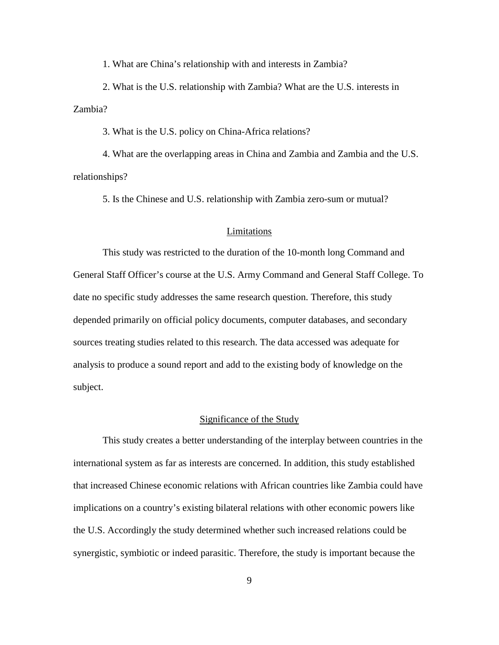1. What are China's relationship with and interests in Zambia?

2. What is the U.S. relationship with Zambia? What are the U.S. interests in Zambia?

3. What is the U.S. policy on China-Africa relations?

4. What are the overlapping areas in China and Zambia and Zambia and the U.S. relationships?

5. Is the Chinese and U.S. relationship with Zambia zero-sum or mutual?

### Limitations

This study was restricted to the duration of the 10-month long Command and General Staff Officer's course at the U.S. Army Command and General Staff College. To date no specific study addresses the same research question. Therefore, this study depended primarily on official policy documents, computer databases, and secondary sources treating studies related to this research. The data accessed was adequate for analysis to produce a sound report and add to the existing body of knowledge on the subject.

# Significance of the Study

This study creates a better understanding of the interplay between countries in the international system as far as interests are concerned. In addition, this study established that increased Chinese economic relations with African countries like Zambia could have implications on a country's existing bilateral relations with other economic powers like the U.S. Accordingly the study determined whether such increased relations could be synergistic, symbiotic or indeed parasitic. Therefore, the study is important because the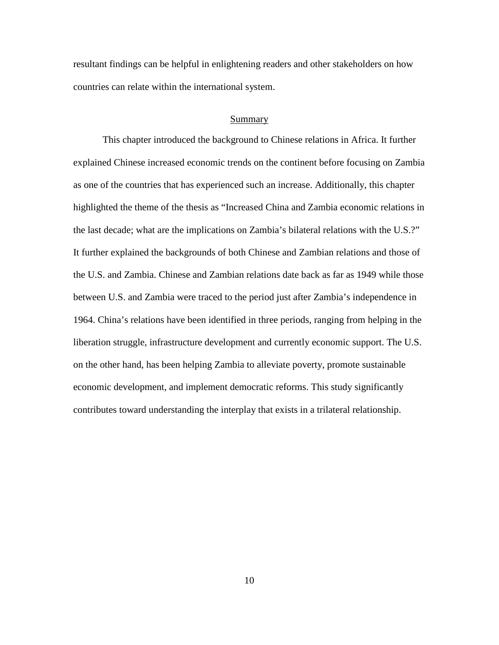resultant findings can be helpful in enlightening readers and other stakeholders on how countries can relate within the international system.

#### Summary

This chapter introduced the background to Chinese relations in Africa. It further explained Chinese increased economic trends on the continent before focusing on Zambia as one of the countries that has experienced such an increase. Additionally, this chapter highlighted the theme of the thesis as "Increased China and Zambia economic relations in the last decade; what are the implications on Zambia's bilateral relations with the U.S.?" It further explained the backgrounds of both Chinese and Zambian relations and those of the U.S. and Zambia. Chinese and Zambian relations date back as far as 1949 while those between U.S. and Zambia were traced to the period just after Zambia's independence in 1964. China's relations have been identified in three periods, ranging from helping in the liberation struggle, infrastructure development and currently economic support. The U.S. on the other hand, has been helping Zambia to alleviate poverty, promote sustainable economic development, and implement democratic reforms. This study significantly contributes toward understanding the interplay that exists in a trilateral relationship.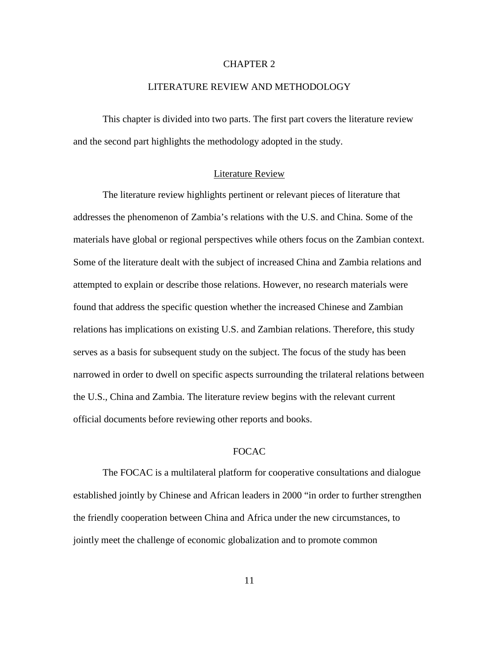## CHAPTER 2

#### LITERATURE REVIEW AND METHODOLOGY

This chapter is divided into two parts. The first part covers the literature review and the second part highlights the methodology adopted in the study.

#### Literature Review

The literature review highlights pertinent or relevant pieces of literature that addresses the phenomenon of Zambia's relations with the U.S. and China. Some of the materials have global or regional perspectives while others focus on the Zambian context. Some of the literature dealt with the subject of increased China and Zambia relations and attempted to explain or describe those relations. However, no research materials were found that address the specific question whether the increased Chinese and Zambian relations has implications on existing U.S. and Zambian relations. Therefore, this study serves as a basis for subsequent study on the subject. The focus of the study has been narrowed in order to dwell on specific aspects surrounding the trilateral relations between the U.S., China and Zambia. The literature review begins with the relevant current official documents before reviewing other reports and books.

#### FOCAC

The FOCAC is a multilateral platform for cooperative consultations and dialogue established jointly by Chinese and African leaders in 2000 "in order to further strengthen the friendly cooperation between China and Africa under the new circumstances, to jointly meet the challenge of economic globalization and to promote common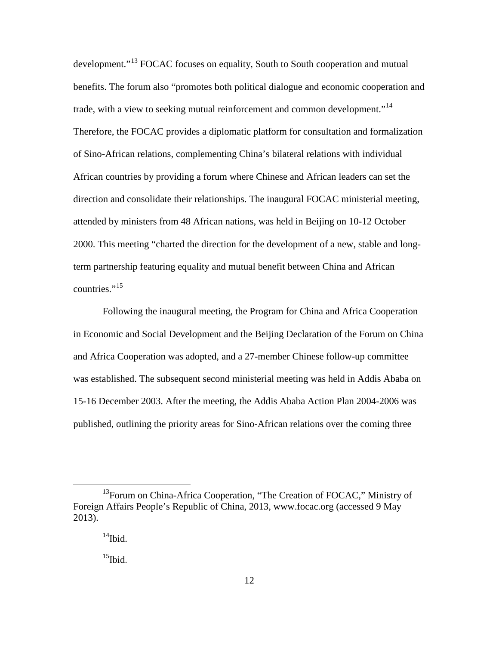development."<sup>[13](#page-20-0)</sup> FOCAC focuses on equality, South to South cooperation and mutual benefits. The forum also "promotes both political dialogue and economic cooperation and trade, with a view to seeking mutual reinforcement and common development."<sup>[14](#page-20-1)</sup> Therefore, the FOCAC provides a diplomatic platform for consultation and formalization of Sino-African relations, complementing China's bilateral relations with individual African countries by providing a forum where Chinese and African leaders can set the direction and consolidate their relationships. The inaugural FOCAC ministerial meeting, attended by ministers from 48 African nations, was held in Beijing on 10-12 October 2000. This meeting "charted the direction for the development of a new, stable and longterm partnership featuring equality and mutual benefit between China and African countries." $^{15}$  $^{15}$  $^{15}$ 

Following the inaugural meeting, the Program for China and Africa Cooperation in Economic and Social Development and the Beijing Declaration of the Forum on China and Africa Cooperation was adopted, and a 27-member Chinese follow-up committee was established. The subsequent second ministerial meeting was held in Addis Ababa on 15-16 December 2003. After the meeting, the Addis Ababa Action Plan 2004-2006 was published, outlining the priority areas for Sino-African relations over the coming three

<span id="page-20-2"></span><span id="page-20-1"></span><span id="page-20-0"></span><sup>&</sup>lt;sup>13</sup>Forum on China-Africa Cooperation, "The Creation of FOCAC," Ministry of Foreign Affairs People's Republic of China, 2013, www.focac.org (accessed 9 May 2013).

 $14$ Ibid.

 $15$ Ibid.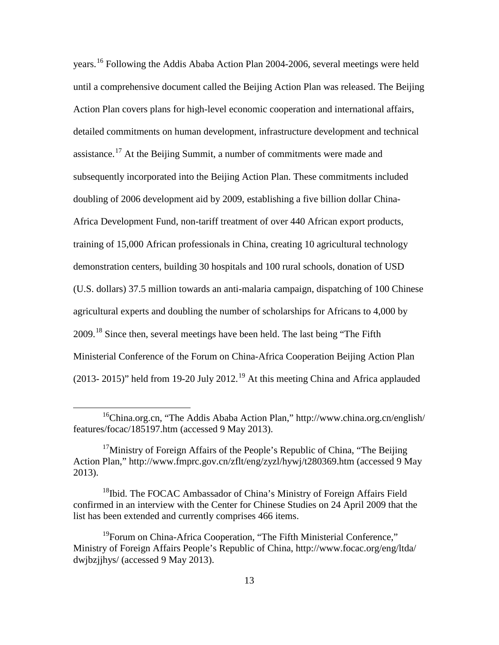years.[16](#page-21-0) Following the Addis Ababa Action Plan 2004-2006, several meetings were held until a comprehensive document called the Beijing Action Plan was released. The Beijing Action Plan covers plans for high-level economic cooperation and international affairs, detailed commitments on human development, infrastructure development and technical assistance.<sup>[17](#page-21-1)</sup> At the Beijing Summit, a number of commitments were made and subsequently incorporated into the Beijing Action Plan. These commitments included doubling of 2006 development aid by 2009, establishing a five billion dollar China-Africa Development Fund, non-tariff treatment of over 440 African export products, training of 15,000 African professionals in China, creating 10 agricultural technology demonstration centers, building 30 hospitals and 100 rural schools, donation of USD (U.S. dollars) 37.5 million towards an anti-malaria campaign, dispatching of 100 Chinese agricultural experts and doubling the number of scholarships for Africans to 4,000 by 2009.[18](#page-21-2) Since then, several meetings have been held. The last being ["The Fifth](http://www.focac.org/eng/ltda/dwjbzjjhys/t954620.htm)  [Ministerial Conference of the Forum on China-Africa Cooperation Beijing Action Plan](http://www.focac.org/eng/ltda/dwjbzjjhys/t954620.htm)  [\(2013-](http://www.focac.org/eng/ltda/dwjbzjjhys/t954620.htm) 2015)" held from [19](#page-21-3)-20 July 2012.<sup>19</sup> At this meeting China and Africa applauded

<span id="page-21-0"></span><sup>16</sup>China.org.cn, "The Addis Ababa Action Plan," http://www.china.org.cn/english/ features/focac/185197.htm (accessed 9 May 2013).

<span id="page-21-1"></span><sup>&</sup>lt;sup>17</sup>Ministry of Foreign Affairs of the People's Republic of China, "The Beijing" Action Plan," http://www.fmprc.gov.cn/zflt/eng/zyzl/hywj/t280369.htm (accessed 9 May 2013).

<span id="page-21-2"></span><sup>&</sup>lt;sup>18</sup>Ibid. The FOCAC Ambassador of China's Ministry of Foreign Affairs Field confirmed in an interview with the Center for Chinese Studies on 24 April 2009 that the list has been extended and currently comprises 466 items.

<span id="page-21-3"></span><sup>&</sup>lt;sup>19</sup>Forum on China-Africa Cooperation, "The Fifth Ministerial Conference," Ministry of Foreign Affairs People's Republic of China, http://www.focac.org/eng/ltda/ dwjbzjjhys/ (accessed 9 May 2013).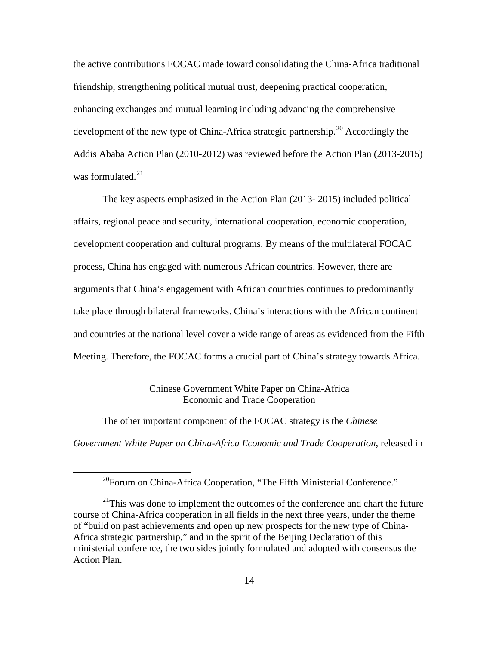the active contributions FOCAC made toward consolidating the China-Africa traditional friendship, strengthening political mutual trust, deepening practical cooperation, enhancing exchanges and mutual learning including advancing the comprehensive development of the new type of China-Africa strategic partnership.<sup>[20](#page-22-0)</sup> Accordingly the Addis Ababa Action Plan (2010-2012) was reviewed before the Action Plan (2013-2015) was formulated.<sup>[21](#page-22-1)</sup>

The key aspects emphasized in the Action Plan (2013- 2015) included political affairs, regional peace and security, international cooperation, economic cooperation, development cooperation and cultural programs. By means of the multilateral FOCAC process, China has engaged with numerous African countries. However, there are arguments that China's engagement with African countries continues to predominantly take place through bilateral frameworks. China's interactions with the African continent and countries at the national level cover a wide range of areas as evidenced from the Fifth Meeting. Therefore, the FOCAC forms a crucial part of China's strategy towards Africa.

# Chinese Government White Paper on China-Africa Economic and Trade Cooperation

The other important component of the FOCAC strategy is the *Chinese* 

<span id="page-22-0"></span> $\overline{a}$ 

*Government White Paper on China-Africa Economic and Trade Cooperation*, released in

<sup>&</sup>lt;sup>20</sup>Forum on China-Africa Cooperation, "The Fifth Ministerial Conference."

<span id="page-22-1"></span> $21$ This was done to implement the outcomes of the conference and chart the future course of China-Africa cooperation in all fields in the next three years, under the theme of "build on past achievements and open up new prospects for the new type of China-Africa strategic partnership," and in the spirit of the Beijing Declaration of this ministerial conference, the two sides jointly formulated and adopted with consensus the Action Plan.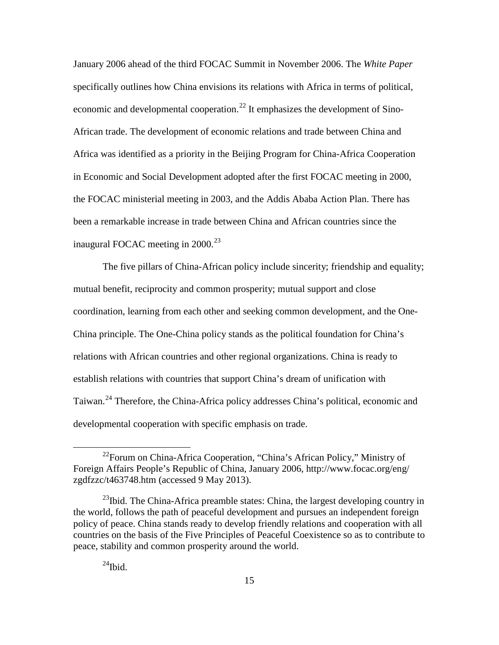January 2006 ahead of the third FOCAC Summit in November 2006. The *White Paper* specifically outlines how China envisions its relations with Africa in terms of political, economic and developmental cooperation.<sup>[22](#page-23-0)</sup> It emphasizes the development of Sino-African trade. The development of economic relations and trade between China and Africa was identified as a priority in the Beijing Program for China-Africa Cooperation in Economic and Social Development adopted after the first FOCAC meeting in 2000, the FOCAC ministerial meeting in 2003, and the Addis Ababa Action Plan. There has been a remarkable increase in trade between China and African countries since the inaugural FOCAC meeting in 2000.<sup>[23](#page-23-1)</sup>

The five pillars of China-African policy include sincerity; friendship and equality; mutual benefit, reciprocity and common prosperity; mutual support and close coordination, learning from each other and seeking common development, and the One-China principle. The One-China policy stands as the political foundation for China's relations with African countries and other regional organizations. China is ready to establish relations with countries that support China's dream of unification with Taiwan.<sup>[24](#page-23-2)</sup> Therefore, the China-Africa policy addresses China's political, economic and developmental cooperation with specific emphasis on trade.

<span id="page-23-0"></span><sup>&</sup>lt;sup>22</sup>Forum on China-Africa Cooperation, "China's African Policy," Ministry of Foreign Affairs People's Republic of China, January 2006, http://www.focac.org/eng/ zgdfzzc/t463748.htm (accessed 9 May 2013).

<span id="page-23-2"></span><span id="page-23-1"></span><sup>&</sup>lt;sup>23</sup>Ibid. The China-Africa preamble states: China, the largest developing country in the world, follows the path of peaceful development and pursues an independent foreign policy of peace. China stands ready to develop friendly relations and cooperation with all countries on the basis of the Five Principles of Peaceful Coexistence so as to contribute to peace, stability and common prosperity around the world.

 $^{24}$ Ibid.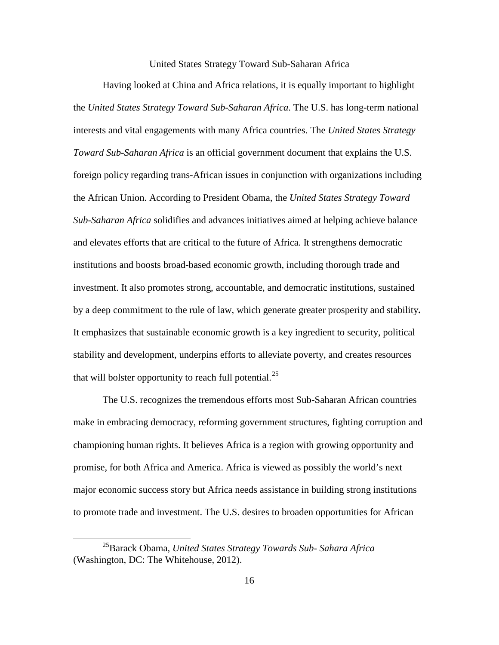#### United States Strategy Toward Sub-Saharan Africa

Having looked at China and Africa relations, it is equally important to highlight the *United States Strategy Toward Sub-Saharan Africa*. The U.S. has long-term national interests and vital engagements with many Africa countries. The *United States Strategy Toward Sub-Saharan Africa* is an official government document that explains the U.S. foreign policy regarding trans-African issues in conjunction with organizations including the African Union. According to President Obama, the *United States Strategy Toward Sub-Saharan Africa* solidifies and advances initiatives aimed at helping achieve balance and elevates efforts that are critical to the future of Africa. It strengthens democratic institutions and boosts broad-based economic growth, including thorough trade and investment. It also promotes strong, accountable, and democratic institutions, sustained by a deep commitment to the rule of law, which generate greater prosperity and stability**.**  It emphasizes that sustainable economic growth is a key ingredient to security, political stability and development, underpins efforts to alleviate poverty, and creates resources that will bolster opportunity to reach full potential.<sup>[25](#page-24-0)</sup>

The U.S. recognizes the tremendous efforts most Sub-Saharan African countries make in embracing democracy, reforming government structures, fighting corruption and championing human rights. It believes Africa is a region with growing opportunity and promise, for both Africa and America. Africa is viewed as possibly the world's next major economic success story but Africa needs assistance in building strong institutions to promote trade and investment. The U.S. desires to broaden opportunities for African

<span id="page-24-0"></span><sup>25</sup>Barack Obama, *United States Strategy Towards Sub- Sahara Africa*  (Washington, DC: The Whitehouse, 2012).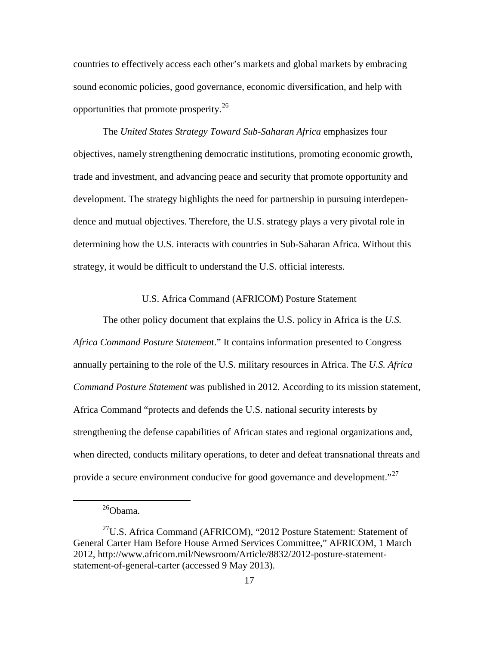countries to effectively access each other's markets and global markets by embracing sound economic policies, good governance, economic diversification, and help with opportunities that promote prosperity.<sup>[26](#page-25-0)</sup>

The *United States Strategy Toward Sub-Saharan Africa* emphasizes four objectives, namely strengthening democratic institutions, promoting economic growth, trade and investment, and advancing peace and security that promote opportunity and development. The strategy highlights the need for partnership in pursuing interdependence and mutual objectives. Therefore, the U.S. strategy plays a very pivotal role in determining how the U.S. interacts with countries in Sub-Saharan Africa. Without this strategy, it would be difficult to understand the U.S. official interests.

#### U.S. Africa Command (AFRICOM) Posture Statement

The other policy document that explains the U.S. policy in Africa is the *U.S. Africa Command Posture Statemen*t." It contains information presented to Congress annually pertaining to the role of the U.S. military resources in Africa. The *U.S. Africa Command Posture Statement* was published in 2012. According to its mission statement, Africa Command "protects and defends the U.S. national security interests by strengthening the defense capabilities of African states and regional organizations and, when directed, conducts military operations, to deter and defeat transnational threats and provide a secure environment conducive for good governance and development."<sup>[27](#page-25-1)</sup>

<sup>&</sup>lt;sup>26</sup>Obama.

<span id="page-25-1"></span><span id="page-25-0"></span> $^{27}$ U.S. Africa Command (AFRICOM), "2012 Posture Statement: Statement of General Carter Ham Before House Armed Services Committee," AFRICOM, 1 March 2012, http://www.africom.mil/Newsroom/Article/8832/2012-posture-statementstatement-of-general-carter (accessed 9 May 2013).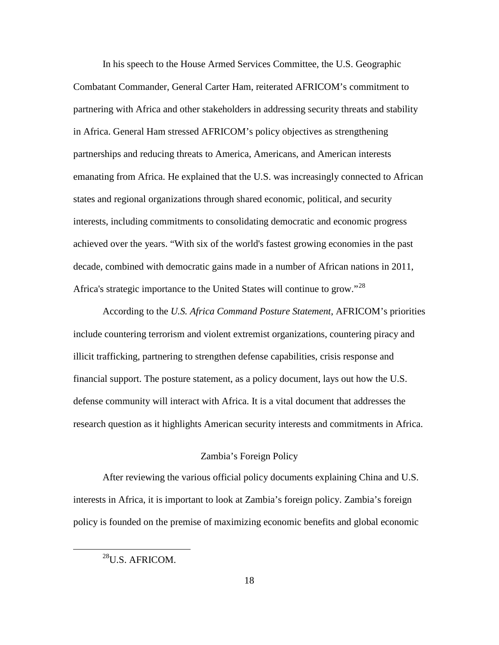In his speech to the House Armed Services Committee, the U.S. Geographic Combatant Commander, General Carter Ham, reiterated AFRICOM's commitment to partnering with Africa and other stakeholders in addressing security threats and stability in Africa. General Ham stressed AFRICOM's policy objectives as strengthening partnerships and reducing threats to America, Americans, and American interests emanating from Africa. He explained that the U.S. was increasingly connected to African states and regional organizations through shared economic, political, and security interests, including commitments to consolidating democratic and economic progress achieved over the years. "With six of the world's fastest growing economies in the past decade, combined with democratic gains made in a number of African nations in 2011, Africa's strategic importance to the United States will continue to grow."<sup>[28](#page-26-0)</sup>

According to the *U.S. Africa Command Posture Statement*, AFRICOM's priorities include countering terrorism and violent extremist organizations, countering piracy and illicit trafficking, partnering to strengthen defense capabilities, crisis response and financial support. The posture statement, as a policy document, lays out how the U.S. defense community will interact with Africa. It is a vital document that addresses the research question as it highlights American security interests and commitments in Africa.

# Zambia's Foreign Policy

After reviewing the various official policy documents explaining China and U.S. interests in Africa, it is important to look at Zambia's foreign policy. Zambia's foreign policy is founded on the premise of maximizing economic benefits and global economic

<span id="page-26-0"></span><sup>&</sup>lt;sup>28</sup>U.S. AFRICOM.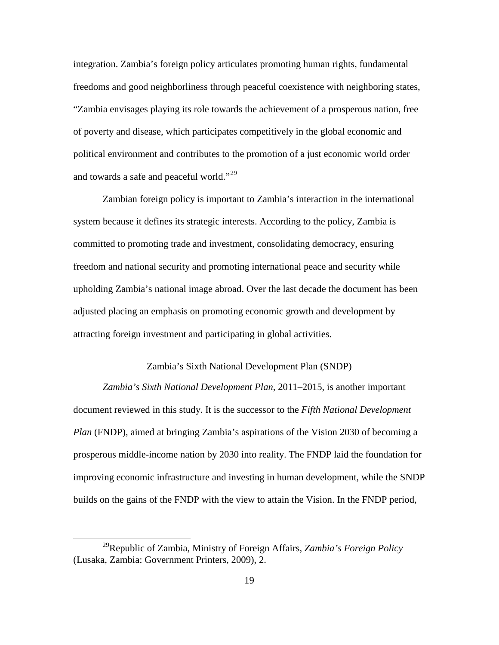integration. Zambia's foreign policy articulates promoting human rights, fundamental freedoms and good neighborliness through peaceful coexistence with neighboring states, "Zambia envisages playing its role towards the achievement of a prosperous nation, free of poverty and disease, which participates competitively in the global economic and political environment and contributes to the promotion of a just economic world order and towards a safe and peaceful world."<sup>[29](#page-27-0)</sup>

Zambian foreign policy is important to Zambia's interaction in the international system because it defines its strategic interests. According to the policy, Zambia is committed to promoting trade and investment, consolidating democracy, ensuring freedom and national security and promoting international peace and security while upholding Zambia's national image abroad. Over the last decade the document has been adjusted placing an emphasis on promoting economic growth and development by attracting foreign investment and participating in global activities.

## Zambia's Sixth National Development Plan (SNDP)

*Zambia's Sixth National Development Plan*, 2011–2015, is another important document reviewed in this study. It is the successor to the *Fifth National Development Plan* (FNDP), aimed at bringing Zambia's aspirations of the Vision 2030 of becoming a prosperous middle-income nation by 2030 into reality. The FNDP laid the foundation for improving economic infrastructure and investing in human development, while the SNDP builds on the gains of the FNDP with the view to attain the Vision. In the FNDP period,

<span id="page-27-0"></span><sup>29</sup>Republic of Zambia, Ministry of Foreign Affairs, *Zambia's Foreign Policy* (Lusaka, Zambia: Government Printers, 2009), 2.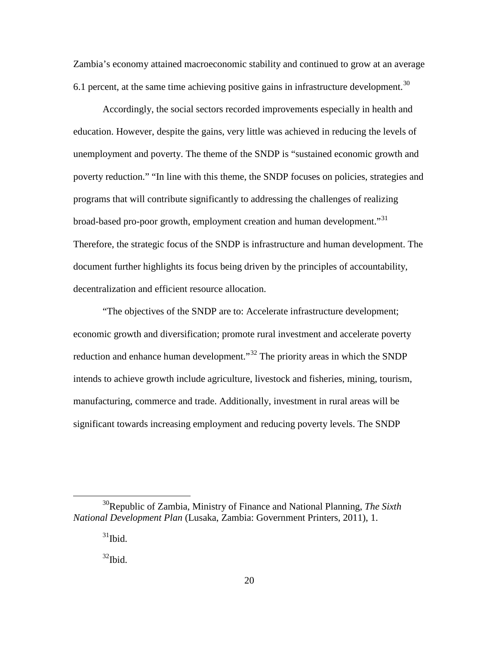Zambia's economy attained macroeconomic stability and continued to grow at an average 6.1 percent, at the same time achieving positive gains in infrastructure development.<sup>[30](#page-28-0)</sup>

Accordingly, the social sectors recorded improvements especially in health and education. However, despite the gains, very little was achieved in reducing the levels of unemployment and poverty. The theme of the SNDP is "sustained economic growth and poverty reduction." "In line with this theme, the SNDP focuses on policies, strategies and programs that will contribute significantly to addressing the challenges of realizing broad-based pro-poor growth, employment creation and human development."<sup>[31](#page-28-1)</sup> Therefore, the strategic focus of the SNDP is infrastructure and human development. The document further highlights its focus being driven by the principles of accountability, decentralization and efficient resource allocation.

"The objectives of the SNDP are to: Accelerate infrastructure development; economic growth and diversification; promote rural investment and accelerate poverty reduction and enhance human development."<sup>[32](#page-28-2)</sup> The priority areas in which the SNDP intends to achieve growth include agriculture, livestock and fisheries, mining, tourism, manufacturing, commerce and trade. Additionally, investment in rural areas will be significant towards increasing employment and reducing poverty levels. The SNDP

<span id="page-28-2"></span><span id="page-28-1"></span><span id="page-28-0"></span><sup>30</sup>Republic of Zambia, Ministry of Finance and National Planning, *The Sixth National Development Plan* (Lusaka, Zambia: Government Printers, 2011), 1.

 $31$ Ibid.

 $32$ Ibid.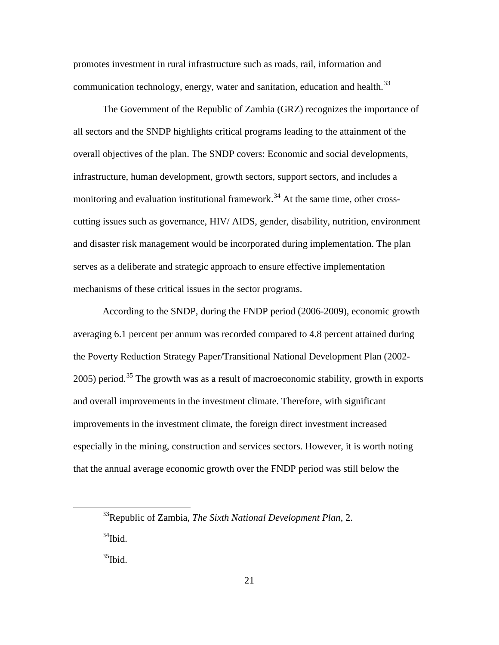promotes investment in rural infrastructure such as roads, rail, information and communication technology, energy, water and sanitation, education and health. $33$ 

The Government of the Republic of Zambia (GRZ) recognizes the importance of all sectors and the SNDP highlights critical programs leading to the attainment of the overall objectives of the plan. The SNDP covers: Economic and social developments, infrastructure, human development, growth sectors, support sectors, and includes a monitoring and evaluation institutional framework.<sup>[34](#page-29-1)</sup> At the same time, other crosscutting issues such as governance, HIV/ AIDS, gender, disability, nutrition, environment and disaster risk management would be incorporated during implementation. The plan serves as a deliberate and strategic approach to ensure effective implementation mechanisms of these critical issues in the sector programs.

According to the SNDP, during the FNDP period (2006-2009), economic growth averaging 6.1 percent per annum was recorded compared to 4.8 percent attained during the Poverty Reduction Strategy Paper/Transitional National Development Plan (2002-  $2005$ ) period.<sup>[35](#page-29-2)</sup> The growth was as a result of macroeconomic stability, growth in exports and overall improvements in the investment climate. Therefore, with significant improvements in the investment climate, the foreign direct investment increased especially in the mining, construction and services sectors. However, it is worth noting that the annual average economic growth over the FNDP period was still below the

<span id="page-29-1"></span><span id="page-29-0"></span><sup>33</sup>Republic of Zambia, *The Sixth National Development Plan*, 2.  $34$ Ibid.

<span id="page-29-2"></span> $35$ Ibid.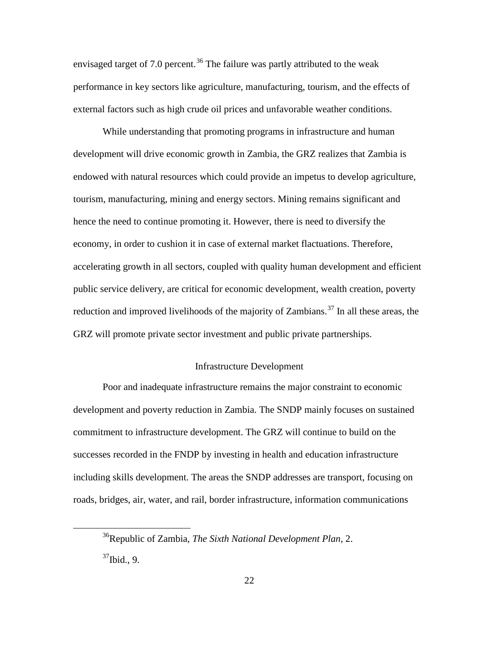envisaged target of 7.0 percent.<sup>[36](#page-30-0)</sup> The failure was partly attributed to the weak performance in key sectors like agriculture, manufacturing, tourism, and the effects of external factors such as high crude oil prices and unfavorable weather conditions.

While understanding that promoting programs in infrastructure and human development will drive economic growth in Zambia, the GRZ realizes that Zambia is endowed with natural resources which could provide an impetus to develop agriculture, tourism, manufacturing, mining and energy sectors. Mining remains significant and hence the need to continue promoting it. However, there is need to diversify the economy, in order to cushion it in case of external market flactuations. Therefore, accelerating growth in all sectors, coupled with quality human development and efficient public service delivery, are critical for economic development, wealth creation, poverty reduction and improved livelihoods of the majority of Zambians.<sup>[37](#page-30-1)</sup> In all these areas, the GRZ will promote private sector investment and public private partnerships.

## Infrastructure Development

Poor and inadequate infrastructure remains the major constraint to economic development and poverty reduction in Zambia. The SNDP mainly focuses on sustained commitment to infrastructure development. The GRZ will continue to build on the successes recorded in the FNDP by investing in health and education infrastructure including skills development. The areas the SNDP addresses are transport, focusing on roads, bridges, air, water, and rail, border infrastructure, information communications

<span id="page-30-1"></span><span id="page-30-0"></span><sup>36</sup>Republic of Zambia, *The Sixth National Development Plan*, 2.  $37$ Ibid., 9.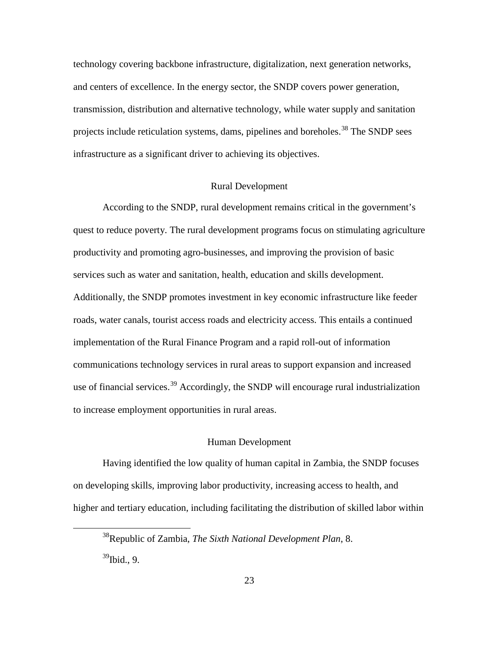technology covering backbone infrastructure, digitalization, next generation networks, and centers of excellence. In the energy sector, the SNDP covers power generation, transmission, distribution and alternative technology, while water supply and sanitation projects include reticulation systems, dams, pipelines and boreholes.<sup>[38](#page-31-0)</sup> The SNDP sees infrastructure as a significant driver to achieving its objectives.

# Rural Development

According to the SNDP, rural development remains critical in the government's quest to reduce poverty. The rural development programs focus on stimulating agriculture productivity and promoting agro-businesses, and improving the provision of basic services such as water and sanitation, health, education and skills development. Additionally, the SNDP promotes investment in key economic infrastructure like feeder roads, water canals, tourist access roads and electricity access. This entails a continued implementation of the Rural Finance Program and a rapid roll-out of information communications technology services in rural areas to support expansion and increased use of financial services.<sup>[39](#page-31-1)</sup> Accordingly, the SNDP will encourage rural industrialization to increase employment opportunities in rural areas.

### Human Development

Having identified the low quality of human capital in Zambia, the SNDP focuses on developing skills, improving labor productivity, increasing access to health, and higher and tertiary education, including facilitating the distribution of skilled labor within

<span id="page-31-1"></span><span id="page-31-0"></span><sup>38</sup>Republic of Zambia, *The Sixth National Development Plan*, 8.  $39$ Ibid., 9.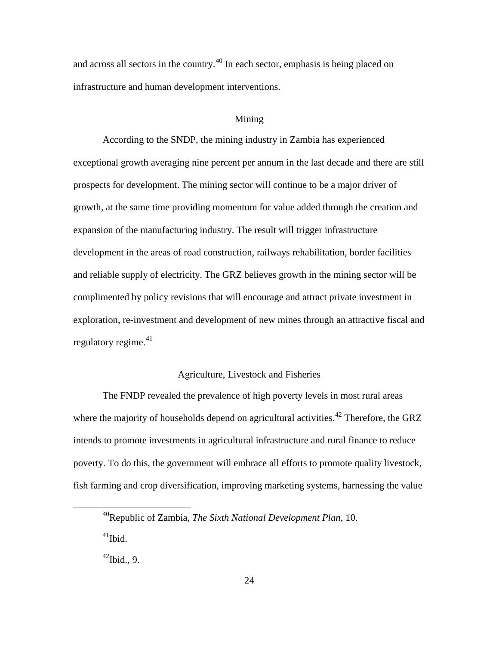and across all sectors in the country.<sup>[40](#page-32-0)</sup> In each sector, emphasis is being placed on infrastructure and human development interventions.

#### Mining

According to the SNDP, the mining industry in Zambia has experienced exceptional growth averaging nine percent per annum in the last decade and there are still prospects for development. The mining sector will continue to be a major driver of growth, at the same time providing momentum for value added through the creation and expansion of the manufacturing industry. The result will trigger infrastructure development in the areas of road construction, railways rehabilitation, border facilities and reliable supply of electricity. The GRZ believes growth in the mining sector will be complimented by policy revisions that will encourage and attract private investment in exploration, re-investment and development of new mines through an attractive fiscal and regulatory regime. $41$ 

# Agriculture, Livestock and Fisheries

The FNDP revealed the prevalence of high poverty levels in most rural areas where the majority of households depend on agricultural activities.<sup>[42](#page-32-2)</sup> Therefore, the GRZ intends to promote investments in agricultural infrastructure and rural finance to reduce poverty. To do this, the government will embrace all efforts to promote quality livestock, fish farming and crop diversification, improving marketing systems, harnessing the value

 $41$ Ibid.

<span id="page-32-2"></span><span id="page-32-1"></span><span id="page-32-0"></span> $\overline{a}$ 

 $42$ Ibid., 9.

<sup>40</sup>Republic of Zambia, *The Sixth National Development Plan*, 10.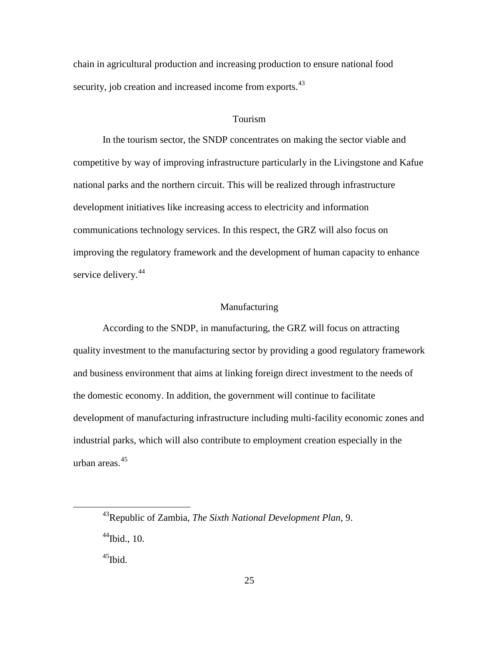chain in agricultural production and increasing production to ensure national food security, job creation and increased income from exports.<sup>[43](#page-33-0)</sup>

#### Tourism

In the tourism sector, the SNDP concentrates on making the sector viable and competitive by way of improving infrastructure particularly in the Livingstone and Kafue national parks and the northern circuit. This will be realized through infrastructure development initiatives like increasing access to electricity and information communications technology services. In this respect, the GRZ will also focus on improving the regulatory framework and the development of human capacity to enhance service delivery.<sup>[44](#page-33-1)</sup>

# **Manufacturing**

According to the SNDP, in manufacturing, the GRZ will focus on attracting quality investment to the manufacturing sector by providing a good regulatory framework and business environment that aims at linking foreign direct investment to the needs of the domestic economy. In addition, the government will continue to facilitate development of manufacturing infrastructure including multi-facility economic zones and industrial parks, which will also contribute to employment creation especially in the urban areas.[45](#page-33-2)

<span id="page-33-2"></span> $45$ Ibid.

<span id="page-33-1"></span><span id="page-33-0"></span><sup>43</sup>Republic of Zambia, *The Sixth National Development Plan*, 9.  $44$ Ibid., 10.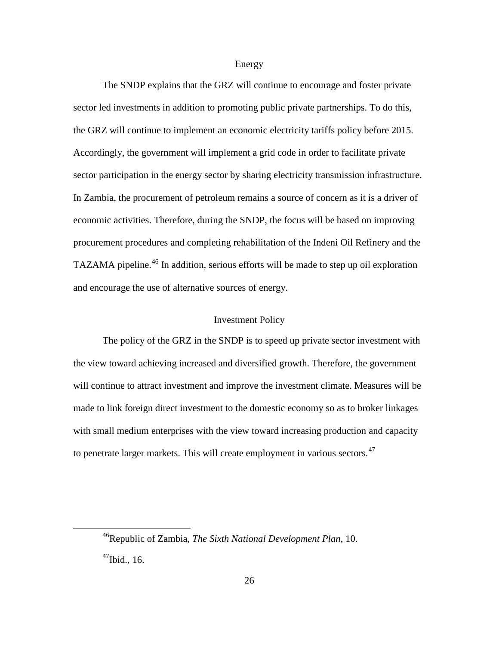#### Energy

The SNDP explains that the GRZ will continue to encourage and foster private sector led investments in addition to promoting public private partnerships. To do this, the GRZ will continue to implement an economic electricity tariffs policy before 2015. Accordingly, the government will implement a grid code in order to facilitate private sector participation in the energy sector by sharing electricity transmission infrastructure. In Zambia, the procurement of petroleum remains a source of concern as it is a driver of economic activities. Therefore, during the SNDP, the focus will be based on improving procurement procedures and completing rehabilitation of the Indeni Oil Refinery and the TAZAMA pipeline.<sup>[46](#page-34-0)</sup> In addition, serious efforts will be made to step up oil exploration and encourage the use of alternative sources of energy.

### Investment Policy

The policy of the GRZ in the SNDP is to speed up private sector investment with the view toward achieving increased and diversified growth. Therefore, the government will continue to attract investment and improve the investment climate. Measures will be made to link foreign direct investment to the domestic economy so as to broker linkages with small medium enterprises with the view toward increasing production and capacity to penetrate larger markets. This will create employment in various sectors.<sup>[47](#page-34-1)</sup>

<span id="page-34-1"></span><span id="page-34-0"></span><sup>46</sup>Republic of Zambia, *The Sixth National Development Plan*, 10.  $47$ Ibid., 16.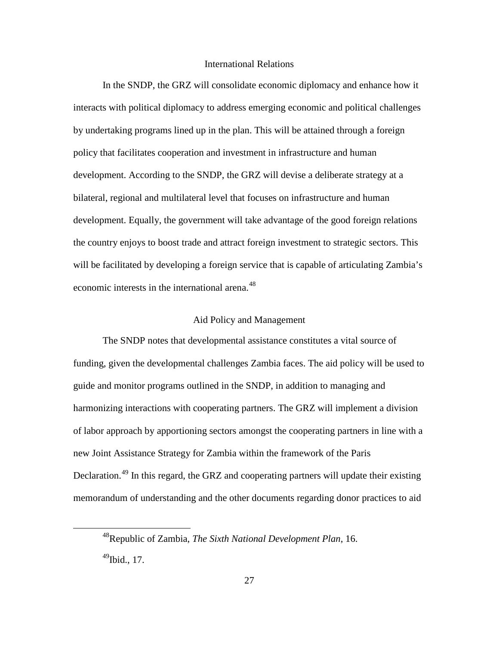# International Relations

In the SNDP, the GRZ will consolidate economic diplomacy and enhance how it interacts with political diplomacy to address emerging economic and political challenges by undertaking programs lined up in the plan. This will be attained through a foreign policy that facilitates cooperation and investment in infrastructure and human development. According to the SNDP, the GRZ will devise a deliberate strategy at a bilateral, regional and multilateral level that focuses on infrastructure and human development. Equally, the government will take advantage of the good foreign relations the country enjoys to boost trade and attract foreign investment to strategic sectors. This will be facilitated by developing a foreign service that is capable of articulating Zambia's economic interests in the international arena.<sup>[48](#page-35-0)</sup>

# Aid Policy and Management

The SNDP notes that developmental assistance constitutes a vital source of funding, given the developmental challenges Zambia faces. The aid policy will be used to guide and monitor programs outlined in the SNDP, in addition to managing and harmonizing interactions with cooperating partners. The GRZ will implement a division of labor approach by apportioning sectors amongst the cooperating partners in line with a new Joint Assistance Strategy for Zambia within the framework of the Paris Declaration.<sup>[49](#page-35-1)</sup> In this regard, the GRZ and cooperating partners will update their existing memorandum of understanding and the other documents regarding donor practices to aid

<span id="page-35-0"></span><sup>48</sup>Republic of Zambia, *The Sixth National Development Plan*, 16.

<span id="page-35-1"></span> $^{49}$ Ibid., 17.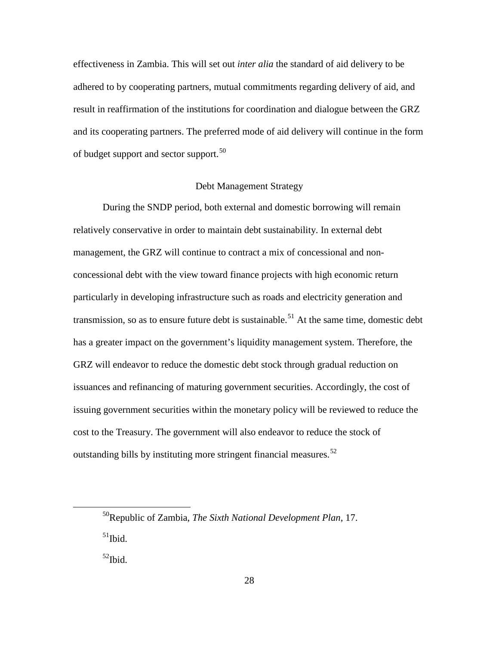effectiveness in Zambia. This will set out *inter alia* the standard of aid delivery to be adhered to by cooperating partners, mutual commitments regarding delivery of aid, and result in reaffirmation of the institutions for coordination and dialogue between the GRZ and its cooperating partners. The preferred mode of aid delivery will continue in the form of budget support and sector support.<sup>[50](#page-36-0)</sup>

## Debt Management Strategy

During the SNDP period, both external and domestic borrowing will remain relatively conservative in order to maintain debt sustainability. In external debt management, the GRZ will continue to contract a mix of concessional and nonconcessional debt with the view toward finance projects with high economic return particularly in developing infrastructure such as roads and electricity generation and transmission, so as to ensure future debt is sustainable.<sup>[51](#page-36-1)</sup> At the same time, domestic debt has a greater impact on the government's liquidity management system. Therefore, the GRZ will endeavor to reduce the domestic debt stock through gradual reduction on issuances and refinancing of maturing government securities. Accordingly, the cost of issuing government securities within the monetary policy will be reviewed to reduce the cost to the Treasury. The government will also endeavor to reduce the stock of outstanding bills by instituting more stringent financial measures.<sup>[52](#page-36-2)</sup>

<span id="page-36-2"></span> $52$ Ibid.

<span id="page-36-1"></span><span id="page-36-0"></span><sup>50</sup>Republic of Zambia, *The Sixth National Development Plan*, 17.  $51$ Ibid.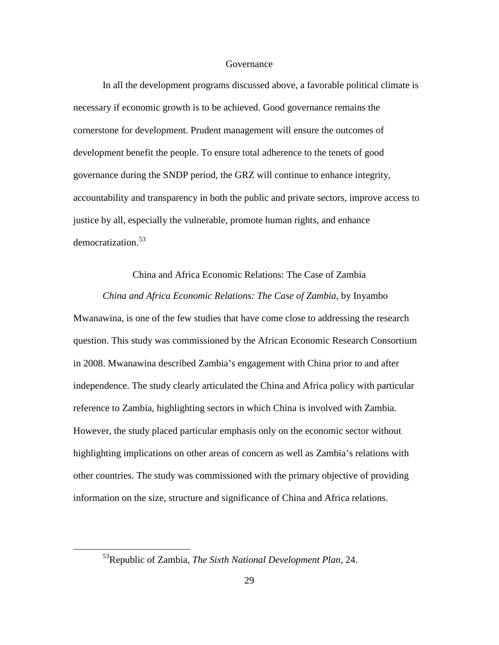### Governance

In all the development programs discussed above, a favorable political climate is necessary if economic growth is to be achieved. Good governance remains the cornerstone for development. Prudent management will ensure the outcomes of development benefit the people. To ensure total adherence to the tenets of good governance during the SNDP period, the GRZ will continue to enhance integrity, accountability and transparency in both the public and private sectors, improve access to justice by all, especially the vulnerable, promote human rights, and enhance democratization.<sup>[53](#page-37-0)</sup>

# China and Africa Economic Relations: The Case of Zambia

*China and Africa Economic Relations: The Case of Zambia*, by Inyambo Mwanawina, is one of the few studies that have come close to addressing the research question. This study was commissioned by the African Economic Research Consortium in 2008. Mwanawina described Zambia's engagement with China prior to and after independence. The study clearly articulated the China and Africa policy with particular reference to Zambia, highlighting sectors in which China is involved with Zambia. However, the study placed particular emphasis only on the economic sector without highlighting implications on other areas of concern as well as Zambia's relations with other countries. The study was commissioned with the primary objective of providing information on the size, structure and significance of China and Africa relations.

<span id="page-37-0"></span><sup>53</sup>Republic of Zambia, *The Sixth National Development Plan*, 24.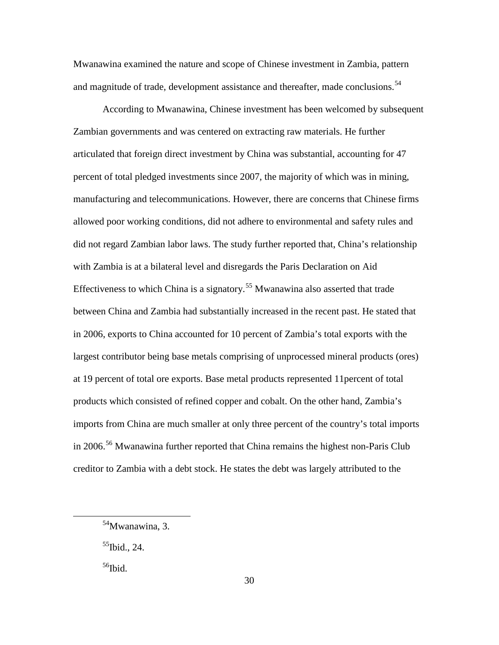Mwanawina examined the nature and scope of Chinese investment in Zambia, pattern and magnitude of trade, development assistance and thereafter, made conclusions.<sup>[54](#page-38-0)</sup>

According to Mwanawina, Chinese investment has been welcomed by subsequent Zambian governments and was centered on extracting raw materials. He further articulated that foreign direct investment by China was substantial, accounting for 47 percent of total pledged investments since 2007, the majority of which was in mining, manufacturing and telecommunications. However, there are concerns that Chinese firms allowed poor working conditions, did not adhere to environmental and safety rules and did not regard Zambian labor laws. The study further reported that, China's relationship with Zambia is at a bilateral level and disregards the Paris Declaration on Aid Effectiveness to which China is a signatory.<sup>[55](#page-38-1)</sup> Mwanawina also asserted that trade between China and Zambia had substantially increased in the recent past. He stated that in 2006, exports to China accounted for 10 percent of Zambia's total exports with the largest contributor being base metals comprising of unprocessed mineral products (ores) at 19 percent of total ore exports. Base metal products represented 11percent of total products which consisted of refined copper and cobalt. On the other hand, Zambia's imports from China are much smaller at only three percent of the country's total imports in 2006.<sup>[56](#page-38-2)</sup> Mwanawina further reported that China remains the highest non-Paris Club creditor to Zambia with a debt stock. He states the debt was largely attributed to the

<span id="page-38-1"></span> $55$ Ibid., 24.

<span id="page-38-2"></span> $56$ Ibid.

<span id="page-38-0"></span><sup>54</sup>Mwanawina, 3.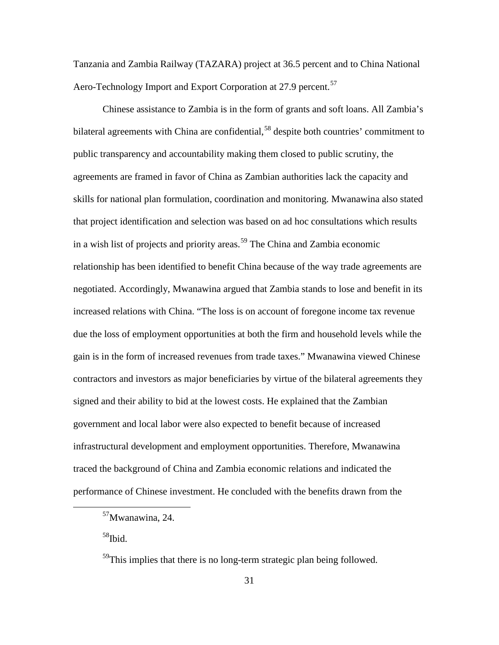Tanzania and Zambia Railway (TAZARA) project at 36.5 percent and to China National Aero-Technology Import and Export Corporation at 27.9 percent.<sup>[57](#page-39-0)</sup>

Chinese assistance to Zambia is in the form of grants and soft loans. All Zambia's bilateral agreements with China are confidential,<sup>[58](#page-39-1)</sup> despite both countries' commitment to public transparency and accountability making them closed to public scrutiny, the agreements are framed in favor of China as Zambian authorities lack the capacity and skills for national plan formulation, coordination and monitoring. Mwanawina also stated that project identification and selection was based on ad hoc consultations which results in a wish list of projects and priority areas.<sup>[59](#page-39-2)</sup> The China and Zambia economic relationship has been identified to benefit China because of the way trade agreements are negotiated. Accordingly, Mwanawina argued that Zambia stands to lose and benefit in its increased relations with China. "The loss is on account of foregone income tax revenue due the loss of employment opportunities at both the firm and household levels while the gain is in the form of increased revenues from trade taxes." Mwanawina viewed Chinese contractors and investors as major beneficiaries by virtue of the bilateral agreements they signed and their ability to bid at the lowest costs. He explained that the Zambian government and local labor were also expected to benefit because of increased infrastructural development and employment opportunities. Therefore, Mwanawina traced the background of China and Zambia economic relations and indicated the performance of Chinese investment. He concluded with the benefits drawn from the

<span id="page-39-1"></span>58Ibid.

<span id="page-39-0"></span><sup>57</sup>Mwanawina, 24.

<span id="page-39-2"></span> $59$ This implies that there is no long-term strategic plan being followed.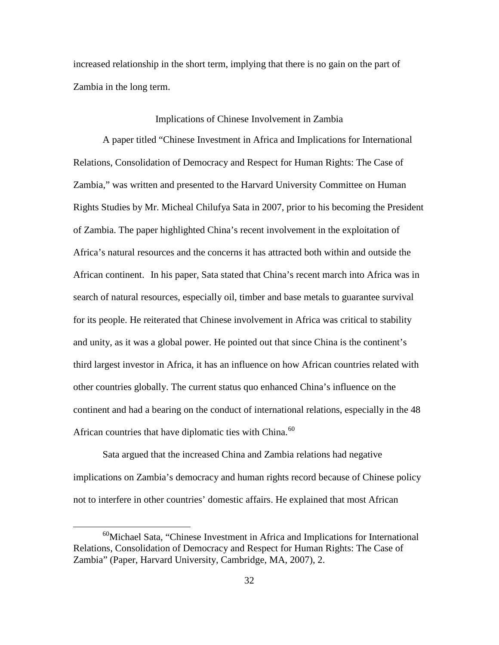increased relationship in the short term, implying that there is no gain on the part of Zambia in the long term.

### Implications of Chinese Involvement in Zambia

A paper titled "Chinese Investment in Africa and Implications for International Relations, Consolidation of Democracy and Respect for Human Rights: The Case of Zambia," was written and presented to the Harvard University Committee on Human Rights Studies by Mr. Micheal Chilufya Sata in 2007, prior to his becoming the President of Zambia. The paper highlighted China's recent involvement in the exploitation of Africa's natural resources and the concerns it has attracted both within and outside the African continent. In his paper, Sata stated that China's recent march into Africa was in search of natural resources, especially oil, timber and base metals to guarantee survival for its people. He reiterated that Chinese involvement in Africa was critical to stability and unity, as it was a global power. He pointed out that since China is the continent's third largest investor in Africa, it has an influence on how African countries related with other countries globally. The current status quo enhanced China's influence on the continent and had a bearing on the conduct of international relations, especially in the 48 African countries that have diplomatic ties with China.<sup>[60](#page-40-0)</sup>

Sata argued that the increased China and Zambia relations had negative implications on Zambia's democracy and human rights record because of Chinese policy not to interfere in other countries' domestic affairs. He explained that most African

<span id="page-40-0"></span><sup>60</sup>Michael Sata*,* "Chinese Investment in Africa and Implications for International Relations, Consolidation of Democracy and Respect for Human Rights: The Case of Zambia" (Paper, Harvard University, Cambridge, MA, 2007), 2.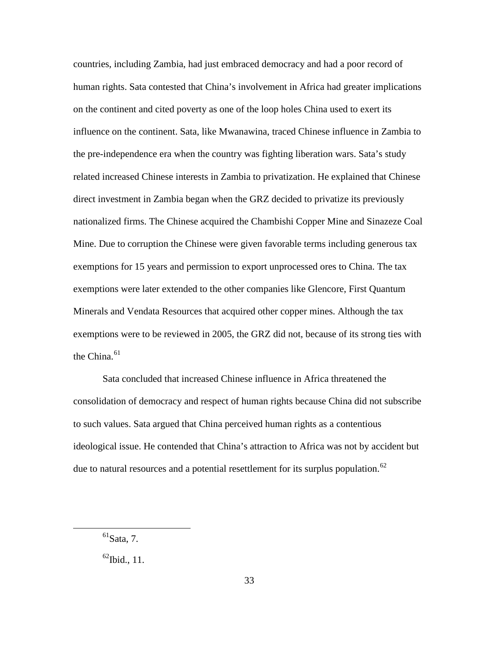countries, including Zambia, had just embraced democracy and had a poor record of human rights. Sata contested that China's involvement in Africa had greater implications on the continent and cited poverty as one of the loop holes China used to exert its influence on the continent. Sata, like Mwanawina, traced Chinese influence in Zambia to the pre-independence era when the country was fighting liberation wars. Sata's study related increased Chinese interests in Zambia to privatization. He explained that Chinese direct investment in Zambia began when the GRZ decided to privatize its previously nationalized firms. The Chinese acquired the Chambishi Copper Mine and Sinazeze Coal Mine. Due to corruption the Chinese were given favorable terms including generous tax exemptions for 15 years and permission to export unprocessed ores to China. The tax exemptions were later extended to the other companies like Glencore, First Quantum Minerals and Vendata Resources that acquired other copper mines. Although the tax exemptions were to be reviewed in 2005, the GRZ did not, because of its strong ties with the China. $61$ 

Sata concluded that increased Chinese influence in Africa threatened the consolidation of democracy and respect of human rights because China did not subscribe to such values. Sata argued that China perceived human rights as a contentious ideological issue. He contended that China's attraction to Africa was not by accident but due to natural resources and a potential resettlement for its surplus population.<sup>[62](#page-41-1)</sup>

<span id="page-41-0"></span> $<sup>61</sup>Sata, 7.$ </sup>

<span id="page-41-1"></span> $^{62}$ Ibid., 11.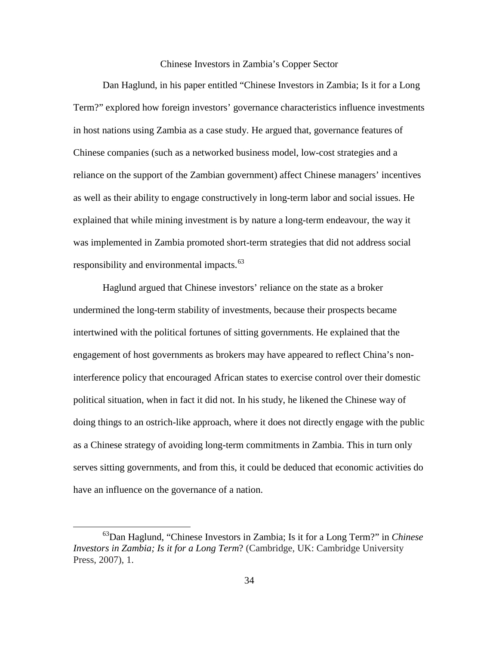## Chinese Investors in Zambia's Copper Sector

Dan Haglund, in his paper entitled "Chinese Investors in Zambia; Is it for a Long Term?" explored how foreign investors' governance characteristics influence investments in host nations using Zambia as a case study. He argued that, governance features of Chinese companies (such as a networked business model, low-cost strategies and a reliance on the support of the Zambian government) affect Chinese managers' incentives as well as their ability to engage constructively in long-term labor and social issues. He explained that while mining investment is by nature a long-term endeavour, the way it was implemented in Zambia promoted short-term strategies that did not address social responsibility and environmental impacts. $63$ 

Haglund argued that Chinese investors' reliance on the state as a broker undermined the long-term stability of investments, because their prospects became intertwined with the political fortunes of sitting governments. He explained that the engagement of host governments as brokers may have appeared to reflect China's noninterference policy that encouraged African states to exercise control over their domestic political situation, when in fact it did not. In his study, he likened the Chinese way of doing things to an ostrich-like approach, where it does not directly engage with the public as a Chinese strategy of avoiding long-term commitments in Zambia. This in turn only serves sitting governments, and from this, it could be deduced that economic activities do have an influence on the governance of a nation.

<span id="page-42-0"></span><sup>63</sup>Dan Haglund, "Chinese Investors in Zambia; Is it for a Long Term?" in *Chinese Investors in Zambia; Is it for a Long Term*? (Cambridge, UK: Cambridge University Press, 2007), 1.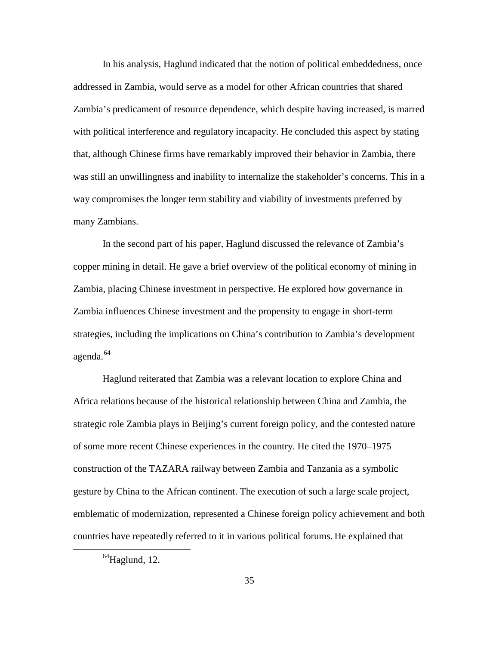In his analysis, Haglund indicated that the notion of political embeddedness, once addressed in Zambia, would serve as a model for other African countries that shared Zambia's predicament of resource dependence, which despite having increased, is marred with political interference and regulatory incapacity. He concluded this aspect by stating that, although Chinese firms have remarkably improved their behavior in Zambia, there was still an unwillingness and inability to internalize the stakeholder's concerns. This in a way compromises the longer term stability and viability of investments preferred by many Zambians.

In the second part of his paper, Haglund discussed the relevance of Zambia's copper mining in detail. He gave a brief overview of the political economy of mining in Zambia, placing Chinese investment in perspective. He explored how governance in Zambia influences Chinese investment and the propensity to engage in short-term strategies, including the implications on China's contribution to Zambia's development agenda.<sup>[64](#page-43-0)</sup>

Haglund reiterated that Zambia was a relevant location to explore China and Africa relations because of the historical relationship between China and Zambia, the strategic role Zambia plays in Beijing's current foreign policy, and the contested nature of some more recent Chinese experiences in the country. He cited the 1970–1975 construction of the TAZARA railway between Zambia and Tanzania as a symbolic gesture by China to the African continent. The execution of such a large scale project, emblematic of modernization, represented a Chinese foreign policy achievement and both countries have repeatedly referred to it in various political forums. He explained that

<span id="page-43-0"></span> $^{64}$ Haglund, 12.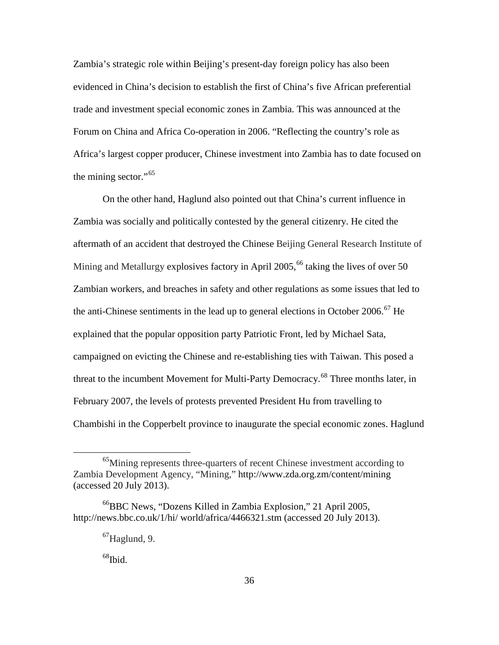Zambia's strategic role within Beijing's present-day foreign policy has also been evidenced in China's decision to establish the first of China's five African preferential trade and investment special economic zones in Zambia. This was announced at the Forum on China and Africa Co-operation in 2006. "Reflecting the country's role as Africa's largest copper producer, Chinese investment into Zambia has to date focused on the mining sector."<sup>[65](#page-44-0)</sup>

On the other hand, Haglund also pointed out that China's current influence in Zambia was socially and politically contested by the general citizenry. He cited the aftermath of an accident that destroyed the Chinese Beijing General Research Institute of Mining and Metallurgy explosives factory in April 2005,<sup>[66](#page-44-1)</sup> taking the lives of over 50 Zambian workers, and breaches in safety and other regulations as some issues that led to the anti-Chinese sentiments in the lead up to general elections in October 2006.<sup>[67](#page-44-2)</sup> He explained that the popular opposition party Patriotic Front, led by Michael Sata, campaigned on evicting the Chinese and re-establishing ties with Taiwan. This posed a threat to the incumbent Movement for Multi-Party Democracy.<sup>[68](#page-44-3)</sup> Three months later, in February 2007, the levels of protests prevented President Hu from travelling to Chambishi in the Copperbelt province to inaugurate the special economic zones. Haglund

 $68$ Ibid.

<span id="page-44-0"></span><sup>65</sup>Mining represents three-quarters of recent Chinese investment according to Zambia Development Agency, "Mining," <http://www.zda.org.zm/content/mining> (accessed 20 July 2013).

<span id="page-44-3"></span><span id="page-44-2"></span><span id="page-44-1"></span><sup>66</sup>BBC News, "Dozens Killed in Zambia Explosion," 21 April 2005, http://news.bbc.co.uk/1/hi/ world/africa/4466321.stm (accessed 20 July 2013).

 $67$ Haglund, 9.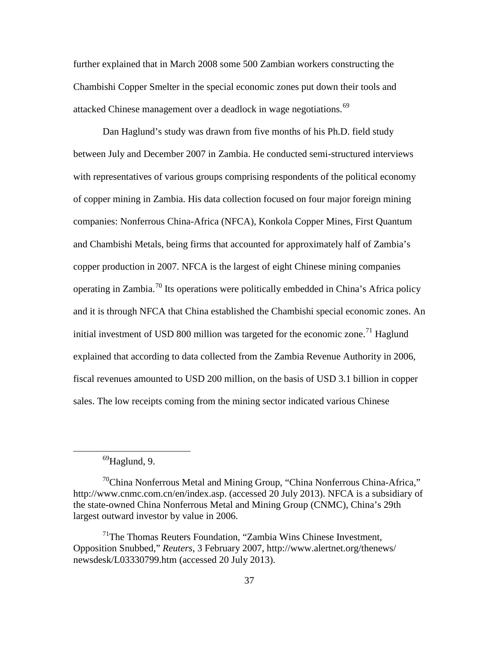further explained that in March 2008 some 500 Zambian workers constructing the Chambishi Copper Smelter in the special economic zones put down their tools and attacked Chinese management over a deadlock in wage negotiations.<sup>[69](#page-45-0)</sup>

Dan Haglund's study was drawn from five months of his Ph.D. field study between July and December 2007 in Zambia. He conducted semi-structured interviews with representatives of various groups comprising respondents of the political economy of copper mining in Zambia. His data collection focused on four major foreign mining companies: Nonferrous China-Africa (NFCA), Konkola Copper Mines, First Quantum and Chambishi Metals, being firms that accounted for approximately half of Zambia's copper production in 2007. NFCA is the largest of eight Chinese mining companies operating in Zambia.[70](#page-45-1) Its operations were politically embedded in China's Africa policy and it is through NFCA that China established the Chambishi special economic zones. An initial investment of USD 800 million was targeted for the economic zone.<sup>[71](#page-45-2)</sup> Haglund explained that according to data collected from the Zambia Revenue Authority in 2006, fiscal revenues amounted to USD 200 million, on the basis of USD 3.1 billion in copper sales. The low receipts coming from the mining sector indicated various Chinese

 $^{69}$ Haglund, 9.

<span id="page-45-1"></span><span id="page-45-0"></span> $70$ China Nonferrous Metal and Mining Group, "China Nonferrous China-Africa," http://www.cnmc.com.cn/en/index.asp. (accessed 20 July 2013). NFCA is a subsidiary of the state-owned China Nonferrous Metal and Mining Group (CNMC), China's 29th largest outward investor by value in 2006.

<span id="page-45-2"></span> $171$ The Thomas Reuters Foundation, "Zambia Wins Chinese Investment, Opposition Snubbed," *Reuters*, 3 February 2007, http://www.alertnet.org/thenews/ newsdesk/L03330799.htm (accessed 20 July 2013).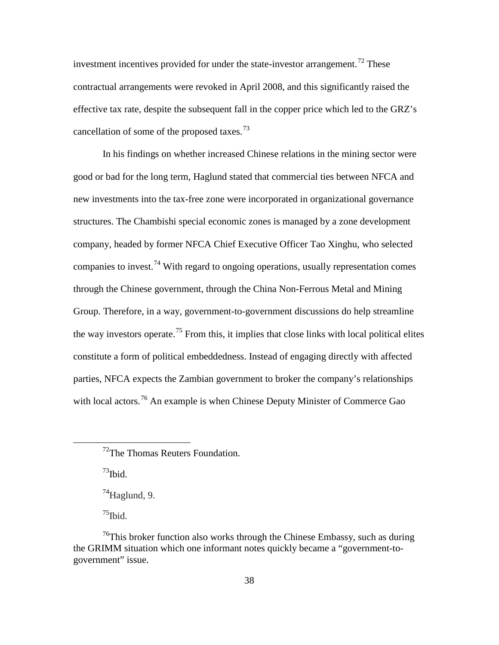investment incentives provided for under the state-investor arrangement.<sup>[72](#page-46-0)</sup> These contractual arrangements were revoked in April 2008, and this significantly raised the effective tax rate, despite the subsequent fall in the copper price which led to the GRZ's cancellation of some of the proposed taxes.<sup>[73](#page-46-1)</sup>

In his findings on whether increased Chinese relations in the mining sector were good or bad for the long term, Haglund stated that commercial ties between NFCA and new investments into the tax-free zone were incorporated in organizational governance structures. The Chambishi special economic zones is managed by a zone development company, headed by former NFCA Chief Executive Officer Tao Xinghu, who selected companies to invest.<sup>[74](#page-46-2)</sup> With regard to ongoing operations, usually representation comes through the Chinese government, through the China Non-Ferrous Metal and Mining Group. Therefore, in a way, government-to-government discussions do help streamline the way investors operate.<sup>[75](#page-46-3)</sup> From this, it implies that close links with local political elites constitute a form of political embeddedness. Instead of engaging directly with affected parties, NFCA expects the Zambian government to broker the company's relationships with local actors.<sup>[76](#page-46-4)</sup> An example is when Chinese Deputy Minister of Commerce Gao

 $^{73}$ Ibid.

<span id="page-46-1"></span><span id="page-46-0"></span> $\overline{a}$ 

 $74$ Haglund, 9.

 $^{75}$ Ibid.

<sup>&</sup>lt;sup>72</sup>The Thomas Reuters Foundation.

<span id="page-46-4"></span><span id="page-46-3"></span><span id="page-46-2"></span> $^{76}$ This broker function also works through the Chinese Embassy, such as during the GRIMM situation which one informant notes quickly became a "government-togovernment" issue.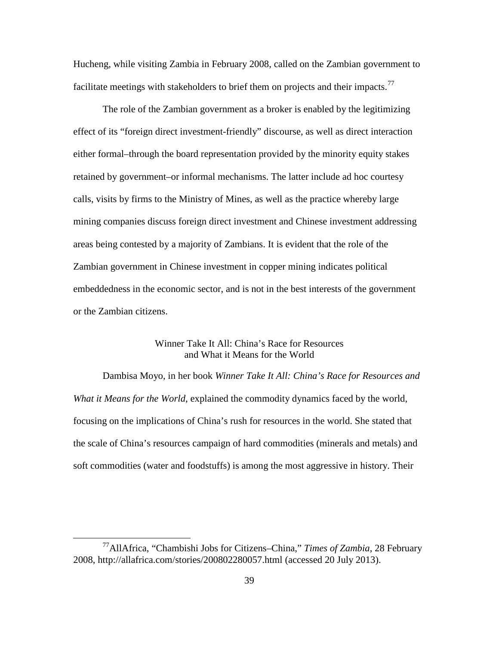Hucheng, while visiting Zambia in February 2008, called on the Zambian government to facilitate meetings with stakeholders to brief them on projects and their impacts.<sup>[77](#page-47-0)</sup>

The role of the Zambian government as a broker is enabled by the legitimizing effect of its "foreign direct investment-friendly" discourse, as well as direct interaction either formal–through the board representation provided by the minority equity stakes retained by government–or informal mechanisms. The latter include ad hoc courtesy calls, visits by firms to the Ministry of Mines, as well as the practice whereby large mining companies discuss foreign direct investment and Chinese investment addressing areas being contested by a majority of Zambians. It is evident that the role of the Zambian government in Chinese investment in copper mining indicates political embeddedness in the economic sector, and is not in the best interests of the government or the Zambian citizens.

# Winner Take It All: China's Race for Resources and What it Means for the World

Dambisa Moyo, in her book *Winner Take It All: China's Race for Resources and What it Means for the World*, explained the commodity dynamics faced by the world, focusing on the implications of China's rush for resources in the world. She stated that the scale of China's resources campaign of hard commodities (minerals and metals) and soft commodities (water and foodstuffs) is among the most aggressive in history. Their

<span id="page-47-0"></span><sup>77</sup>AllAfrica, "Chambishi Jobs for Citizens–China," *Times of Zambia*, 28 February 2008, http://allafrica.com/stories/200802280057.html (accessed 20 July 2013).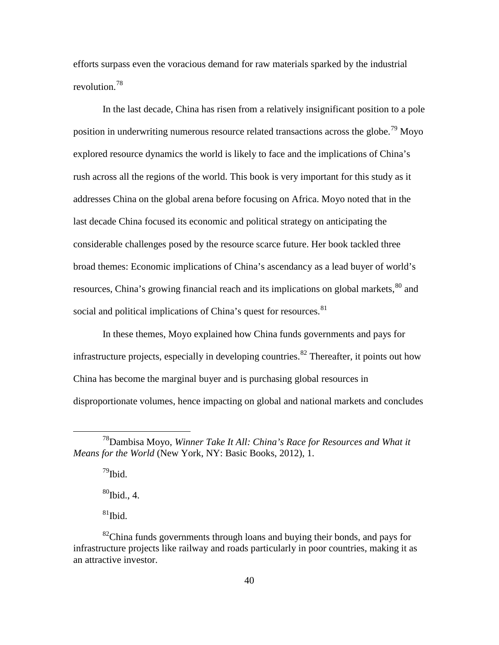efforts surpass even the voracious demand for raw materials sparked by the industrial revolution.[78](#page-48-0)

In the last decade, China has risen from a relatively insignificant position to a pole position in underwriting numerous resource related transactions across the globe.<sup>[79](#page-48-1)</sup> Moyo explored resource dynamics the world is likely to face and the implications of China's rush across all the regions of the world. This book is very important for this study as it addresses China on the global arena before focusing on Africa. Moyo noted that in the last decade China focused its economic and political strategy on anticipating the considerable challenges posed by the resource scarce future. Her book tackled three broad themes: Economic implications of China's ascendancy as a lead buyer of world's resources, China's growing financial reach and its implications on global markets, <sup>[80](#page-48-2)</sup> and social and political implications of China's quest for resources.<sup>[81](#page-48-3)</sup>

In these themes, Moyo explained how China funds governments and pays for infrastructure projects, especially in developing countries.<sup>[82](#page-48-4)</sup> Thereafter, it points out how China has become the marginal buyer and is purchasing global resources in disproportionate volumes, hence impacting on global and national markets and concludes

 $79$ Ibid.  $^{80}$ Ibid., 4.

 $\overline{a}$ 

 $81$ Ibid.

<span id="page-48-1"></span><span id="page-48-0"></span><sup>78</sup>Dambisa Moyo, *Winner Take It All: China's Race for Resources and What it Means for the World* (New York, NY: Basic Books, 2012), 1.

<span id="page-48-4"></span><span id="page-48-3"></span><span id="page-48-2"></span> $82$ China funds governments through loans and buying their bonds, and pays for infrastructure projects like railway and roads particularly in poor countries, making it as an attractive investor.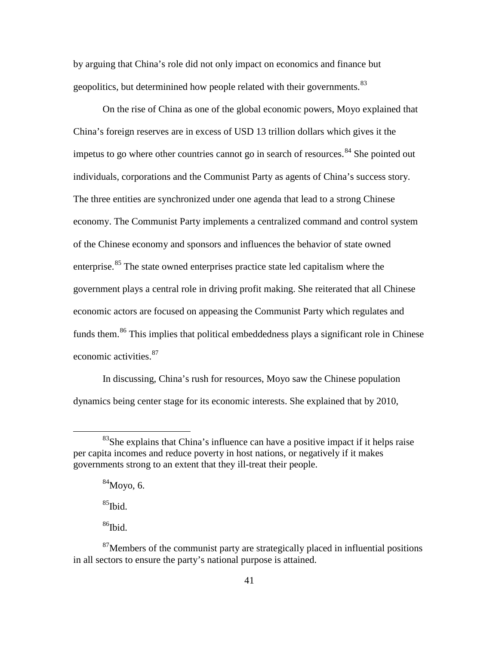by arguing that China's role did not only impact on economics and finance but geopolitics, but determinined how people related with their governments.<sup>[83](#page-49-0)</sup>

On the rise of China as one of the global economic powers, Moyo explained that China's foreign reserves are in excess of USD 13 trillion dollars which gives it the impetus to go where other countries cannot go in search of resources.<sup>[84](#page-49-1)</sup> She pointed out individuals, corporations and the Communist Party as agents of China's success story. The three entities are synchronized under one agenda that lead to a strong Chinese economy. The Communist Party implements a centralized command and control system of the Chinese economy and sponsors and influences the behavior of state owned enterprise.<sup>[85](#page-49-2)</sup> The state owned enterprises practice state led capitalism where the government plays a central role in driving profit making. She reiterated that all Chinese economic actors are focused on appeasing the Communist Party which regulates and funds them.<sup>[86](#page-49-3)</sup> This implies that political embeddedness plays a significant role in Chinese economic activities.<sup>[87](#page-49-4)</sup>

In discussing, China's rush for resources, Moyo saw the Chinese population dynamics being center stage for its economic interests. She explained that by 2010,

 $84$ Movo, 6.

 $85$ Ibid.

 $\overline{a}$ 

 $86$ Ibid.

<span id="page-49-1"></span><span id="page-49-0"></span> $83$ She explains that China's influence can have a positive impact if it helps raise per capita incomes and reduce poverty in host nations, or negatively if it makes governments strong to an extent that they ill-treat their people.

<span id="page-49-4"></span><span id="page-49-3"></span><span id="page-49-2"></span> $87$ Members of the communist party are strategically placed in influential positions in all sectors to ensure the party's national purpose is attained.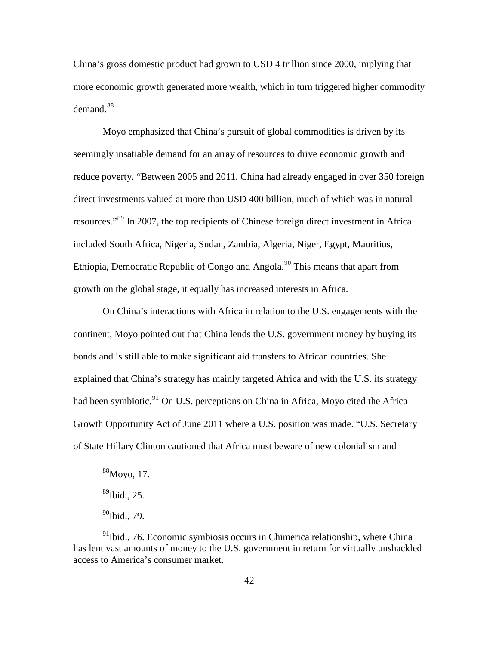China's gross domestic product had grown to USD 4 trillion since 2000, implying that more economic growth generated more wealth, which in turn triggered higher commodity  $demand.<sup>88</sup>$  $demand.<sup>88</sup>$  $demand.<sup>88</sup>$ 

Moyo emphasized that China's pursuit of global commodities is driven by its seemingly insatiable demand for an array of resources to drive economic growth and reduce poverty. "Between 2005 and 2011, China had already engaged in over 350 foreign direct investments valued at more than USD 400 billion, much of which was in natural resources."[89](#page-50-1) In 2007, the top recipients of Chinese foreign direct investment in Africa included South Africa, Nigeria, Sudan, Zambia, Algeria, Niger, Egypt, Mauritius, Ethiopia, Democratic Republic of Congo and Angola.<sup>[90](#page-50-2)</sup> This means that apart from growth on the global stage, it equally has increased interests in Africa.

On China's interactions with Africa in relation to the U.S. engagements with the continent, Moyo pointed out that China lends the U.S. government money by buying its bonds and is still able to make significant aid transfers to African countries. She explained that China's strategy has mainly targeted Africa and with the U.S. its strategy had been symbiotic.<sup>[91](#page-50-3)</sup> On U.S. perceptions on China in Africa, Moyo cited the Africa Growth Opportunity Act of June 2011 where a U.S. position was made. "U.S. Secretary of State Hillary Clinton cautioned that Africa must beware of new colonialism and

 $88$ Moyo, 17.

 $^{89}$ Ibid., 25.

 $90$ Ibid., 79.

<span id="page-50-3"></span><span id="page-50-2"></span><span id="page-50-1"></span><span id="page-50-0"></span> $91$ Ibid., 76. Economic symbiosis occurs in Chimerica relationship, where China has lent vast amounts of money to the U.S. government in return for virtually unshackled access to America's consumer market.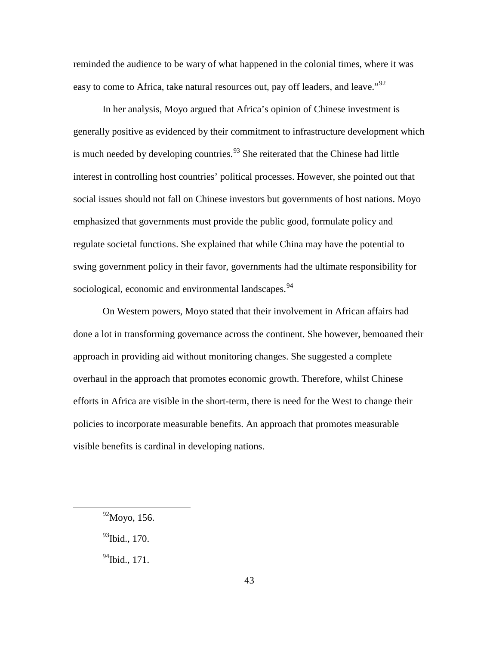reminded the audience to be wary of what happened in the colonial times, where it was easy to come to Africa, take natural resources out, pay off leaders, and leave."<sup>[92](#page-51-0)</sup>

In her analysis, Moyo argued that Africa's opinion of Chinese investment is generally positive as evidenced by their commitment to infrastructure development which is much needed by developing countries.<sup>[93](#page-51-1)</sup> She reiterated that the Chinese had little interest in controlling host countries' political processes. However, she pointed out that social issues should not fall on Chinese investors but governments of host nations. Moyo emphasized that governments must provide the public good, formulate policy and regulate societal functions. She explained that while China may have the potential to swing government policy in their favor, governments had the ultimate responsibility for sociological, economic and environmental landscapes.<sup>[94](#page-51-2)</sup>

On Western powers, Moyo stated that their involvement in African affairs had done a lot in transforming governance across the continent. She however, bemoaned their approach in providing aid without monitoring changes. She suggested a complete overhaul in the approach that promotes economic growth. Therefore, whilst Chinese efforts in Africa are visible in the short-term, there is need for the West to change their policies to incorporate measurable benefits. An approach that promotes measurable visible benefits is cardinal in developing nations.

<span id="page-51-2"></span><span id="page-51-1"></span><span id="page-51-0"></span> $\overline{a}$ 

 $93$ Ibid., 170.

 $^{94}$ Ibid., 171.

<sup>92</sup>Moyo, 156.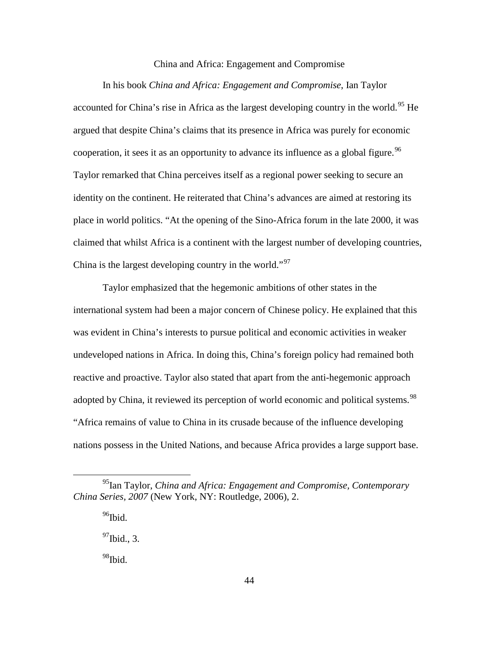### China and Africa: Engagement and Compromise

In his book *China and Africa: Engagement and Compromise*, Ian Taylor accounted for China's rise in Africa as the largest developing country in the world.<sup>[95](#page-52-0)</sup> He argued that despite China's claims that its presence in Africa was purely for economic cooperation, it sees it as an opportunity to advance its influence as a global figure.<sup>[96](#page-52-1)</sup> Taylor remarked that China perceives itself as a regional power seeking to secure an identity on the continent. He reiterated that China's advances are aimed at restoring its place in world politics. "At the opening of the Sino-Africa forum in the late 2000, it was claimed that whilst Africa is a continent with the largest number of developing countries, China is the largest developing country in the world."<sup>[97](#page-52-2)</sup>

Taylor emphasized that the hegemonic ambitions of other states in the international system had been a major concern of Chinese policy. He explained that this was evident in China's interests to pursue political and economic activities in weaker undeveloped nations in Africa. In doing this, China's foreign policy had remained both reactive and proactive. Taylor also stated that apart from the anti-hegemonic approach adopted by China, it reviewed its perception of world economic and political systems.<sup>[98](#page-52-3)</sup> "Africa remains of value to China in its crusade because of the influence developing nations possess in the United Nations, and because Africa provides a large support base.

 $96$ Ibid.

 $\overline{a}$ 

 $^{97}$ Ibid., 3.

<span id="page-52-3"></span><sup>98</sup>Ibid.

<span id="page-52-2"></span><span id="page-52-1"></span><span id="page-52-0"></span><sup>95</sup>Ian Taylor, *China and Africa: Engagement and Compromise, Contemporary China Series, 2007* (New York, NY: Routledge, 2006), 2.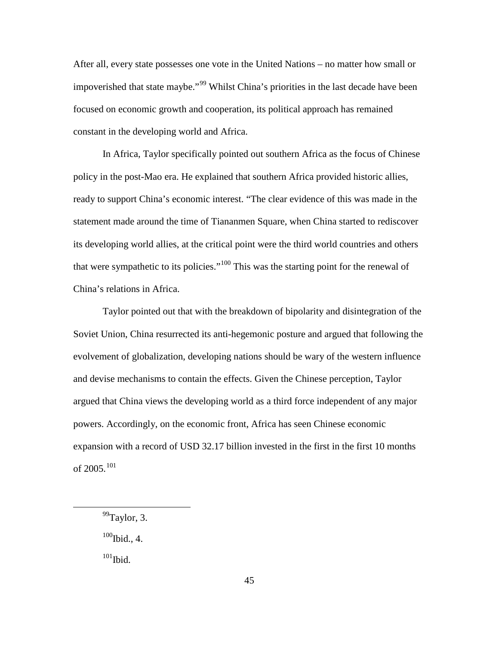After all, every state possesses one vote in the United Nations – no matter how small or impoverished that state maybe."<sup>[99](#page-53-0)</sup> Whilst China's priorities in the last decade have been focused on economic growth and cooperation, its political approach has remained constant in the developing world and Africa.

In Africa, Taylor specifically pointed out southern Africa as the focus of Chinese policy in the post-Mao era. He explained that southern Africa provided historic allies, ready to support China's economic interest. "The clear evidence of this was made in the statement made around the time of Tiananmen Square, when China started to rediscover its developing world allies, at the critical point were the third world countries and others that were sympathetic to its policies."<sup>[100](#page-53-1)</sup> This was the starting point for the renewal of China's relations in Africa.

Taylor pointed out that with the breakdown of bipolarity and disintegration of the Soviet Union, China resurrected its anti-hegemonic posture and argued that following the evolvement of globalization, developing nations should be wary of the western influence and devise mechanisms to contain the effects. Given the Chinese perception, Taylor argued that China views the developing world as a third force independent of any major powers. Accordingly, on the economic front, Africa has seen Chinese economic expansion with a record of USD 32.17 billion invested in the first in the first 10 months of 2005.[101](#page-53-2)

<span id="page-53-1"></span> $100$ Ibid., 4.

<span id="page-53-2"></span> $\rm ^{101}Ibid.$ 

<span id="page-53-0"></span> $99$ Taylor, 3.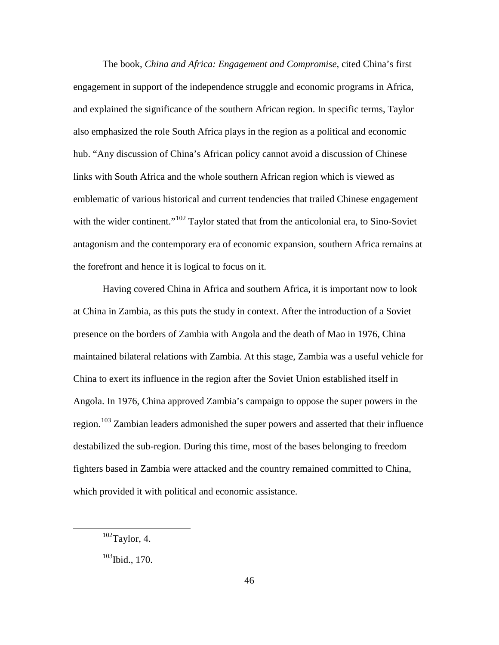The book, *China and Africa: Engagement and Compromise*, cited China's first engagement in support of the independence struggle and economic programs in Africa, and explained the significance of the southern African region. In specific terms, Taylor also emphasized the role South Africa plays in the region as a political and economic hub. "Any discussion of China's African policy cannot avoid a discussion of Chinese links with South Africa and the whole southern African region which is viewed as emblematic of various historical and current tendencies that trailed Chinese engagement with the wider continent."<sup>[102](#page-54-0)</sup> Taylor stated that from the anticolonial era, to Sino-Soviet antagonism and the contemporary era of economic expansion, southern Africa remains at the forefront and hence it is logical to focus on it.

Having covered China in Africa and southern Africa, it is important now to look at China in Zambia, as this puts the study in context. After the introduction of a Soviet presence on the borders of Zambia with Angola and the death of Mao in 1976, China maintained bilateral relations with Zambia. At this stage, Zambia was a useful vehicle for China to exert its influence in the region after the Soviet Union established itself in Angola. In 1976, China approved Zambia's campaign to oppose the super powers in the region.<sup>[103](#page-54-1)</sup> Zambian leaders admonished the super powers and asserted that their influence destabilized the sub-region. During this time, most of the bases belonging to freedom fighters based in Zambia were attacked and the country remained committed to China, which provided it with political and economic assistance.

<span id="page-54-0"></span> $102$ Taylor, 4.

<span id="page-54-1"></span><sup>&</sup>lt;sup>103</sup>Ibid., 170.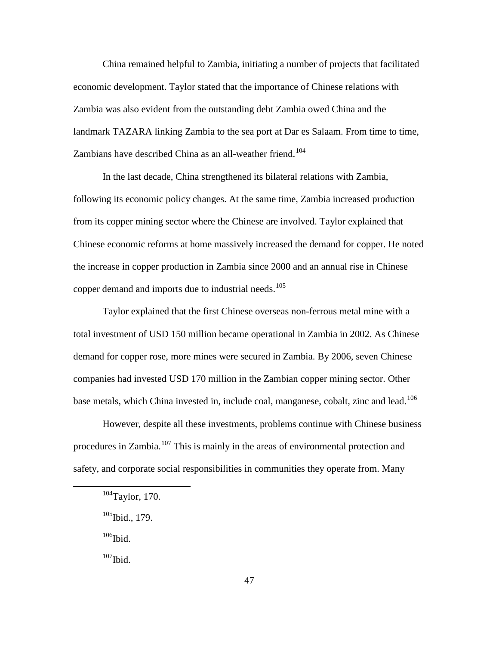China remained helpful to Zambia, initiating a number of projects that facilitated economic development. Taylor stated that the importance of Chinese relations with Zambia was also evident from the outstanding debt Zambia owed China and the landmark TAZARA linking Zambia to the sea port at Dar es Salaam. From time to time, Zambians have described China as an all-weather friend.<sup>[104](#page-55-0)</sup>

In the last decade, China strengthened its bilateral relations with Zambia, following its economic policy changes. At the same time, Zambia increased production from its copper mining sector where the Chinese are involved. Taylor explained that Chinese economic reforms at home massively increased the demand for copper. He noted the increase in copper production in Zambia since 2000 and an annual rise in Chinese copper demand and imports due to industrial needs.<sup>[105](#page-55-1)</sup>

Taylor explained that the first Chinese overseas non-ferrous metal mine with a total investment of USD 150 million became operational in Zambia in 2002. As Chinese demand for copper rose, more mines were secured in Zambia. By 2006, seven Chinese companies had invested USD 170 million in the Zambian copper mining sector. Other base metals, which China invested in, include coal, manganese, cobalt, zinc and lead.<sup>[106](#page-55-2)</sup>

However, despite all these investments, problems continue with Chinese business procedures in Zambia.<sup>[107](#page-55-3)</sup> This is mainly in the areas of environmental protection and safety, and corporate social responsibilities in communities they operate from. Many

 $106$ Ibid.

<span id="page-55-2"></span><span id="page-55-1"></span><span id="page-55-0"></span> $\overline{a}$ 

<span id="page-55-3"></span> $\rm ^{107}Ibid.$ 

<sup>104</sup>Taylor, 170.

<sup>&</sup>lt;sup>105</sup>Ibid., 179.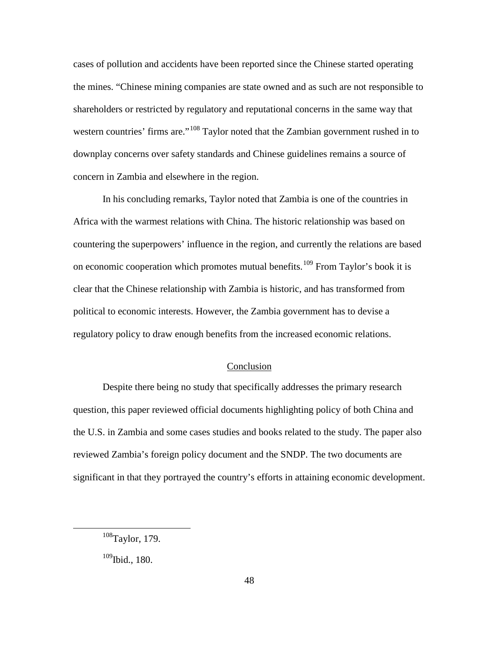cases of pollution and accidents have been reported since the Chinese started operating the mines. "Chinese mining companies are state owned and as such are not responsible to shareholders or restricted by regulatory and reputational concerns in the same way that western countries' firms are."<sup>[108](#page-56-0)</sup> Taylor noted that the Zambian government rushed in to downplay concerns over safety standards and Chinese guidelines remains a source of concern in Zambia and elsewhere in the region.

In his concluding remarks, Taylor noted that Zambia is one of the countries in Africa with the warmest relations with China. The historic relationship was based on countering the superpowers' influence in the region, and currently the relations are based on economic cooperation which promotes mutual benefits.<sup>[109](#page-56-1)</sup> From Taylor's book it is clear that the Chinese relationship with Zambia is historic, and has transformed from political to economic interests. However, the Zambia government has to devise a regulatory policy to draw enough benefits from the increased economic relations.

# Conclusion

Despite there being no study that specifically addresses the primary research question, this paper reviewed official documents highlighting policy of both China and the U.S. in Zambia and some cases studies and books related to the study. The paper also reviewed Zambia's foreign policy document and the SNDP. The two documents are significant in that they portrayed the country's efforts in attaining economic development.

<span id="page-56-0"></span><sup>108</sup>Taylor, 179.

<span id="page-56-1"></span> $109$ Ibid., 180.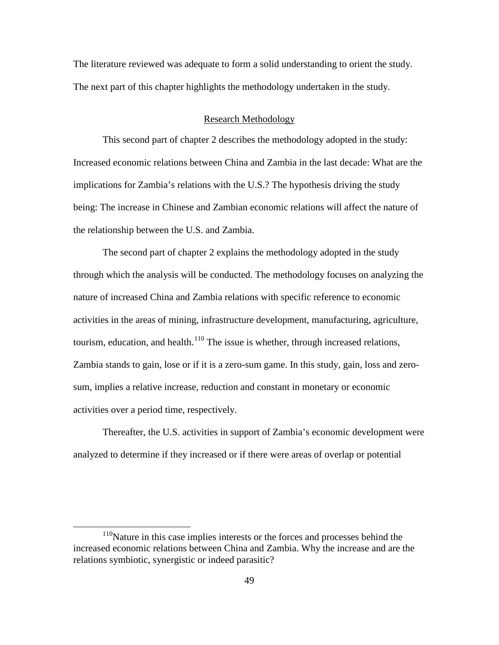The literature reviewed was adequate to form a solid understanding to orient the study. The next part of this chapter highlights the methodology undertaken in the study.

## Research Methodology

This second part of chapter 2 describes the methodology adopted in the study: Increased economic relations between China and Zambia in the last decade: What are the implications for Zambia's relations with the U.S.? The hypothesis driving the study being: The increase in Chinese and Zambian economic relations will affect the nature of the relationship between the U.S. and Zambia.

The second part of chapter 2 explains the methodology adopted in the study through which the analysis will be conducted. The methodology focuses on analyzing the nature of increased China and Zambia relations with specific reference to economic activities in the areas of mining, infrastructure development, manufacturing, agriculture, tourism, education, and health.<sup>[110](#page-57-0)</sup> The issue is whether, through increased relations, Zambia stands to gain, lose or if it is a zero-sum game. In this study, gain, loss and zerosum, implies a relative increase, reduction and constant in monetary or economic activities over a period time, respectively.

Thereafter, the U.S. activities in support of Zambia's economic development were analyzed to determine if they increased or if there were areas of overlap or potential

<span id="page-57-0"></span><sup>&</sup>lt;sup>110</sup>Nature in this case implies interests or the forces and processes behind the increased economic relations between China and Zambia. Why the increase and are the relations symbiotic, synergistic or indeed parasitic?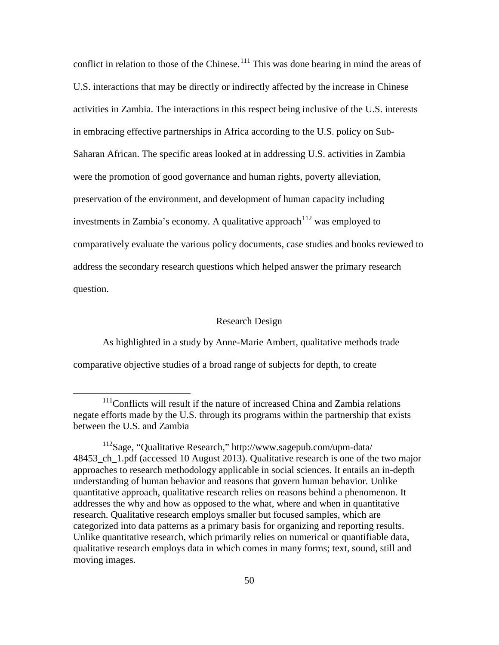conflict in relation to those of the Chinese.<sup>[111](#page-58-0)</sup> This was done bearing in mind the areas of U.S. interactions that may be directly or indirectly affected by the increase in Chinese activities in Zambia. The interactions in this respect being inclusive of the U.S. interests in embracing effective partnerships in Africa according to the U.S. policy on Sub-Saharan African. The specific areas looked at in addressing U.S. activities in Zambia were the promotion of good governance and human rights, poverty alleviation, preservation of the environment, and development of human capacity including investments in Zambia's economy. A qualitative approach  $112$  was employed to comparatively evaluate the various policy documents, case studies and books reviewed to address the secondary research questions which helped answer the primary research question.

### Research Design

As highlighted in a study by Anne-Marie Ambert, qualitative methods trade comparative objective studies of a broad range of subjects for depth, to create

<span id="page-58-0"></span> $111$ Conflicts will result if the nature of increased China and Zambia relations negate efforts made by the U.S. through its programs within the partnership that exists between the U.S. and Zambia

<span id="page-58-1"></span><sup>112</sup>Sage, "Qualitative Research," http://www.sagepub.com/upm-data/ 48453 ch\_1.pdf (accessed 10 August 2013). Qualitative research is one of the two major approaches to research methodology applicable in social sciences. It entails an in-depth understanding of human behavior and reasons that govern human behavior. Unlike quantitative approach, qualitative research relies on reasons behind a phenomenon. It addresses the why and how as opposed to the what, where and when in quantitative research. Qualitative research employs smaller but focused samples, which are categorized into data patterns as a primary basis for organizing and reporting results. Unlike quantitative research, which primarily relies on numerical or quantifiable data, qualitative research employs data in which comes in many forms; text, sound, still and moving images.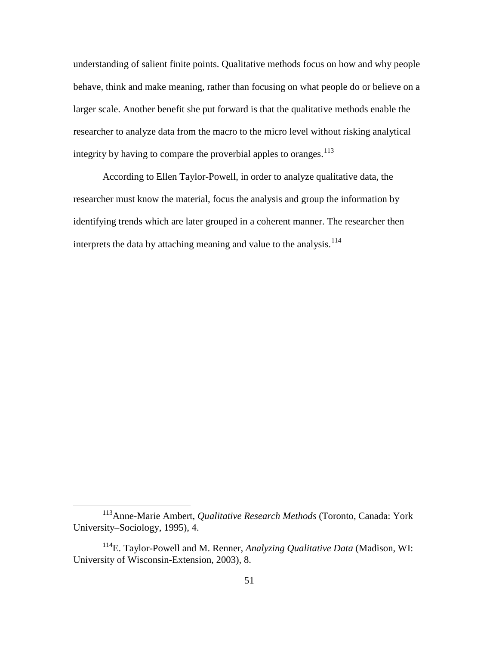understanding of salient finite points. Qualitative methods focus on how and why people behave, think and make meaning, rather than focusing on what people do or believe on a larger scale. Another benefit she put forward is that the qualitative methods enable the researcher to analyze data from the macro to the micro level without risking analytical integrity by having to compare the proverbial apples to oranges.<sup>[113](#page-59-0)</sup>

According to Ellen Taylor-Powell, in order to analyze qualitative data, the researcher must know the material, focus the analysis and group the information by identifying trends which are later grouped in a coherent manner. The researcher then interprets the data by attaching meaning and value to the analysis.<sup>[114](#page-59-1)</sup>

<span id="page-59-0"></span><sup>113</sup>Anne-Marie Ambert, *Qualitative Research Methods* (Toronto, Canada: York University–Sociology, 1995), 4.

<span id="page-59-1"></span><sup>114</sup>E. Taylor-Powell and M. Renner, *Analyzing Qualitative Data* (Madison, WI: University of Wisconsin-Extension, 2003), 8.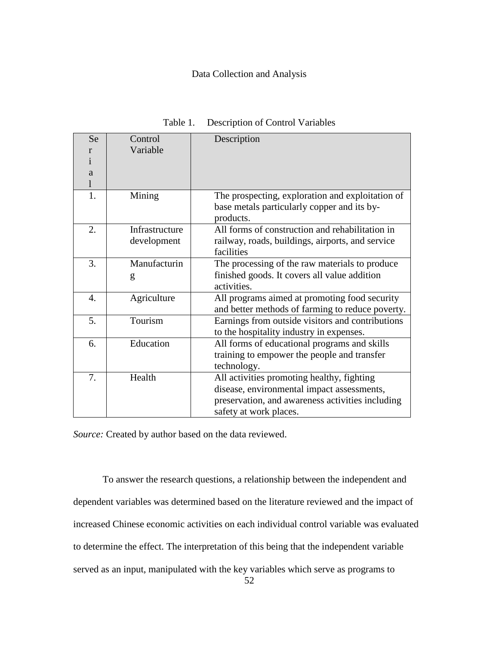# Data Collection and Analysis

| Se            | Control        | Description                                      |  |  |
|---------------|----------------|--------------------------------------------------|--|--|
| r             | Variable       |                                                  |  |  |
| $\mathbf{1}$  |                |                                                  |  |  |
| a             |                |                                                  |  |  |
| l             |                |                                                  |  |  |
| 1.            | Mining         | The prospecting, exploration and exploitation of |  |  |
|               |                | base metals particularly copper and its by-      |  |  |
|               |                | products.                                        |  |  |
| 2.            | Infrastructure | All forms of construction and rehabilitation in  |  |  |
|               | development    | railway, roads, buildings, airports, and service |  |  |
|               |                | facilities                                       |  |  |
| 3.            | Manufacturin   | The processing of the raw materials to produce   |  |  |
|               | g              | finished goods. It covers all value addition     |  |  |
|               |                | activities.                                      |  |  |
| 4.            | Agriculture    | All programs aimed at promoting food security    |  |  |
|               |                | and better methods of farming to reduce poverty. |  |  |
| Tourism<br>5. |                | Earnings from outside visitors and contributions |  |  |
|               |                | to the hospitality industry in expenses.         |  |  |
| 6.            | Education      | All forms of educational programs and skills     |  |  |
|               |                | training to empower the people and transfer      |  |  |
|               |                | technology.                                      |  |  |
| 7.            | Health         | All activities promoting healthy, fighting       |  |  |
|               |                | disease, environmental impact assessments,       |  |  |
|               |                | preservation, and awareness activities including |  |  |
|               |                | safety at work places.                           |  |  |
|               |                |                                                  |  |  |

Table 1. Description of Control Variables

*Source:* Created by author based on the data reviewed.

To answer the research questions, a relationship between the independent and dependent variables was determined based on the literature reviewed and the impact of increased Chinese economic activities on each individual control variable was evaluated to determine the effect. The interpretation of this being that the independent variable served as an input, manipulated with the key variables which serve as programs to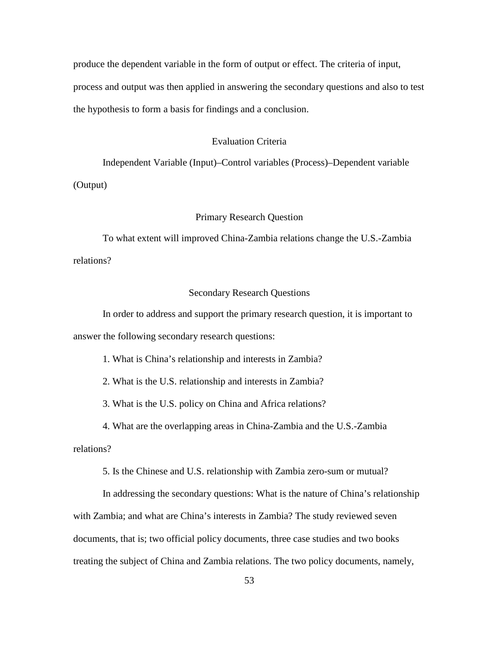produce the dependent variable in the form of output or effect. The criteria of input, process and output was then applied in answering the secondary questions and also to test the hypothesis to form a basis for findings and a conclusion.

# Evaluation Criteria

Independent Variable (Input)–Control variables (Process)–Dependent variable

(Output)

## Primary Research Question

To what extent will improved China-Zambia relations change the U.S.-Zambia relations?

## Secondary Research Questions

In order to address and support the primary research question, it is important to answer the following secondary research questions:

1. What is China's relationship and interests in Zambia?

2. What is the U.S. relationship and interests in Zambia?

3. What is the U.S. policy on China and Africa relations?

4. What are the overlapping areas in China-Zambia and the U.S.-Zambia

relations?

5. Is the Chinese and U.S. relationship with Zambia zero-sum or mutual?

In addressing the secondary questions: What is the nature of China's relationship with Zambia; and what are China's interests in Zambia? The study reviewed seven documents, that is; two official policy documents, three case studies and two books treating the subject of China and Zambia relations. The two policy documents, namely,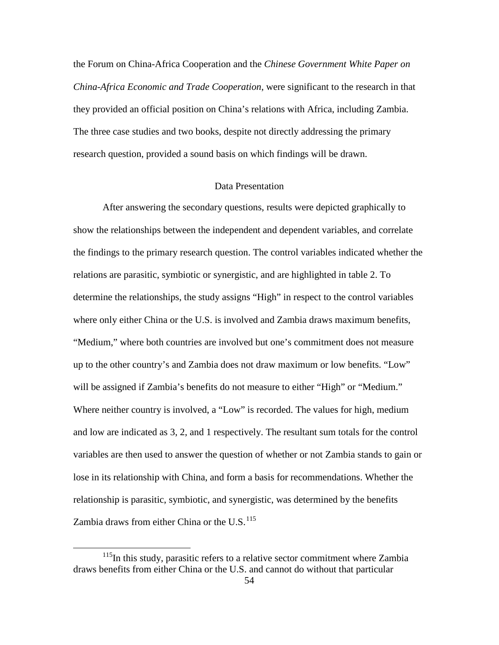the Forum on China-Africa Cooperation and the *Chinese Government White Paper on China-Africa Economic and Trade Cooperation*, were significant to the research in that they provided an official position on China's relations with Africa, including Zambia. The three case studies and two books, despite not directly addressing the primary research question, provided a sound basis on which findings will be drawn.

## Data Presentation

After answering the secondary questions, results were depicted graphically to show the relationships between the independent and dependent variables, and correlate the findings to the primary research question. The control variables indicated whether the relations are parasitic, symbiotic or synergistic, and are highlighted in table 2. To determine the relationships, the study assigns "High" in respect to the control variables where only either China or the U.S. is involved and Zambia draws maximum benefits, "Medium," where both countries are involved but one's commitment does not measure up to the other country's and Zambia does not draw maximum or low benefits. "Low" will be assigned if Zambia's benefits do not measure to either "High" or "Medium." Where neither country is involved, a "Low" is recorded. The values for high, medium and low are indicated as 3, 2, and 1 respectively. The resultant sum totals for the control variables are then used to answer the question of whether or not Zambia stands to gain or lose in its relationship with China, and form a basis for recommendations. Whether the relationship is parasitic, symbiotic, and synergistic, was determined by the benefits Zambia draws from either China or the U.S. $^{115}$  $^{115}$  $^{115}$ 

<span id="page-62-0"></span> $115$ In this study, parasitic refers to a relative sector commitment where Zambia draws benefits from either China or the U.S. and cannot do without that particular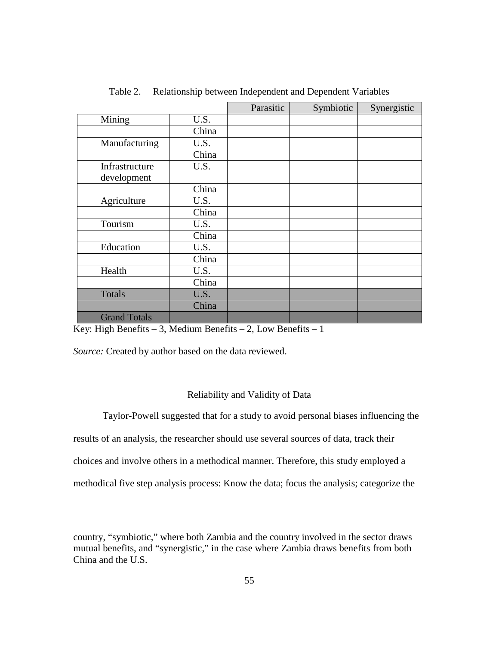|                               |       | Parasitic | Symbiotic | Synergistic |
|-------------------------------|-------|-----------|-----------|-------------|
| Mining                        | U.S.  |           |           |             |
|                               | China |           |           |             |
| Manufacturing                 | U.S.  |           |           |             |
|                               | China |           |           |             |
| Infrastructure<br>development | U.S.  |           |           |             |
|                               | China |           |           |             |
| Agriculture                   | U.S.  |           |           |             |
|                               | China |           |           |             |
| Tourism                       | U.S.  |           |           |             |
|                               | China |           |           |             |
| Education                     | U.S.  |           |           |             |
|                               | China |           |           |             |
| Health                        | U.S.  |           |           |             |
|                               | China |           |           |             |
| Totals                        | U.S.  |           |           |             |
|                               | China |           |           |             |
| <b>Grand Totals</b>           |       |           |           |             |

Table 2. Relationship between Independent and Dependent Variables

Key: High Benefits – 3, Medium Benefits – 2, Low Benefits – 1

*Source:* Created by author based on the data reviewed.

 $\overline{a}$ 

# Reliability and Validity of Data

Taylor-Powell suggested that for a study to avoid personal biases influencing the results of an analysis, the researcher should use several sources of data, track their choices and involve others in a methodical manner. Therefore, this study employed a methodical five step analysis process: Know the data; focus the analysis; categorize the

country, "symbiotic," where both Zambia and the country involved in the sector draws mutual benefits, and "synergistic," in the case where Zambia draws benefits from both China and the U.S.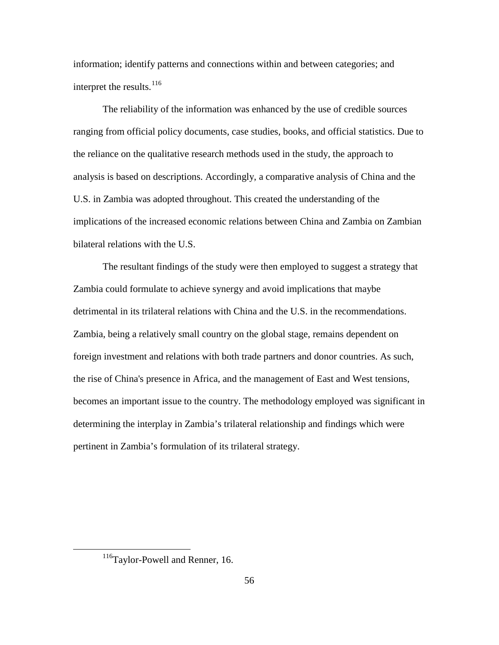information; identify patterns and connections within and between categories; and interpret the results.<sup>[116](#page-64-0)</sup>

The reliability of the information was enhanced by the use of credible sources ranging from official policy documents, case studies, books, and official statistics. Due to the reliance on the qualitative research methods used in the study, the approach to analysis is based on descriptions. Accordingly, a comparative analysis of China and the U.S. in Zambia was adopted throughout. This created the understanding of the implications of the increased economic relations between China and Zambia on Zambian bilateral relations with the U.S.

The resultant findings of the study were then employed to suggest a strategy that Zambia could formulate to achieve synergy and avoid implications that maybe detrimental in its trilateral relations with China and the U.S. in the recommendations. Zambia, being a relatively small country on the global stage, remains dependent on foreign investment and relations with both trade partners and donor countries. As such, the rise of China's presence in Africa, and the management of East and West tensions, becomes an important issue to the country. The methodology employed was significant in determining the interplay in Zambia's trilateral relationship and findings which were pertinent in Zambia's formulation of its trilateral strategy.

<span id="page-64-0"></span><sup>116</sup>Taylor-Powell and Renner, 16.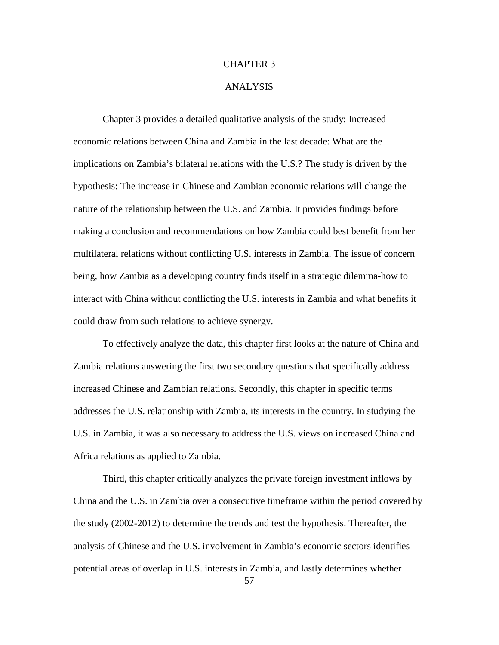## CHAPTER 3

### ANALYSIS

Chapter 3 provides a detailed qualitative analysis of the study: Increased economic relations between China and Zambia in the last decade: What are the implications on Zambia's bilateral relations with the U.S.? The study is driven by the hypothesis: The increase in Chinese and Zambian economic relations will change the nature of the relationship between the U.S. and Zambia. It provides findings before making a conclusion and recommendations on how Zambia could best benefit from her multilateral relations without conflicting U.S. interests in Zambia. The issue of concern being, how Zambia as a developing country finds itself in a strategic dilemma-how to interact with China without conflicting the U.S. interests in Zambia and what benefits it could draw from such relations to achieve synergy.

To effectively analyze the data, this chapter first looks at the nature of China and Zambia relations answering the first two secondary questions that specifically address increased Chinese and Zambian relations. Secondly, this chapter in specific terms addresses the U.S. relationship with Zambia, its interests in the country. In studying the U.S. in Zambia, it was also necessary to address the U.S. views on increased China and Africa relations as applied to Zambia.

Third, this chapter critically analyzes the private foreign investment inflows by China and the U.S. in Zambia over a consecutive timeframe within the period covered by the study (2002-2012) to determine the trends and test the hypothesis. Thereafter, the analysis of Chinese and the U.S. involvement in Zambia's economic sectors identifies potential areas of overlap in U.S. interests in Zambia, and lastly determines whether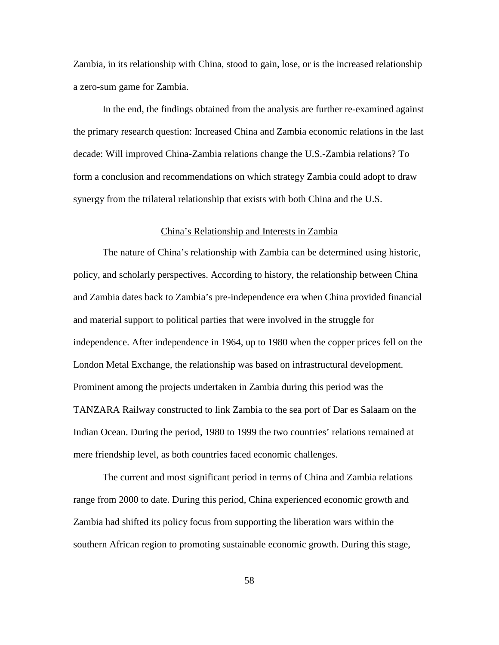Zambia, in its relationship with China, stood to gain, lose, or is the increased relationship a zero-sum game for Zambia.

In the end, the findings obtained from the analysis are further re-examined against the primary research question: Increased China and Zambia economic relations in the last decade: Will improved China-Zambia relations change the U.S.-Zambia relations? To form a conclusion and recommendations on which strategy Zambia could adopt to draw synergy from the trilateral relationship that exists with both China and the U.S.

### China's Relationship and Interests in Zambia

The nature of China's relationship with Zambia can be determined using historic, policy, and scholarly perspectives. According to history, the relationship between China and Zambia dates back to Zambia's pre-independence era when China provided financial and material support to political parties that were involved in the struggle for independence. After independence in 1964, up to 1980 when the copper prices fell on the London Metal Exchange, the relationship was based on infrastructural development. Prominent among the projects undertaken in Zambia during this period was the TANZARA Railway constructed to link Zambia to the sea port of Dar es Salaam on the Indian Ocean. During the period, 1980 to 1999 the two countries' relations remained at mere friendship level, as both countries faced economic challenges.

The current and most significant period in terms of China and Zambia relations range from 2000 to date. During this period, China experienced economic growth and Zambia had shifted its policy focus from supporting the liberation wars within the southern African region to promoting sustainable economic growth. During this stage,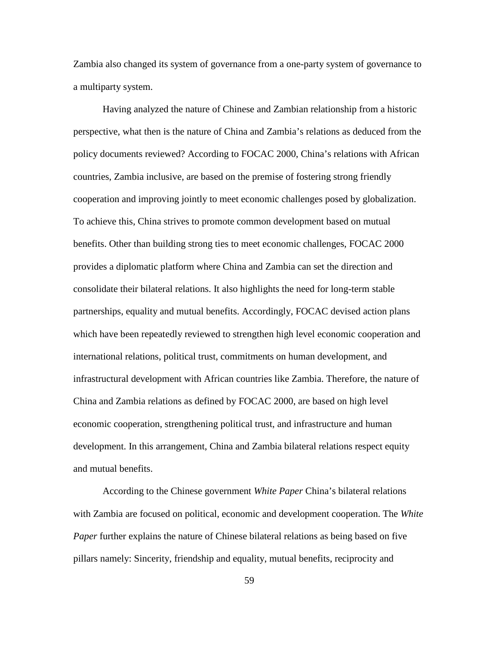Zambia also changed its system of governance from a one-party system of governance to a multiparty system.

Having analyzed the nature of Chinese and Zambian relationship from a historic perspective, what then is the nature of China and Zambia's relations as deduced from the policy documents reviewed? According to FOCAC 2000, China's relations with African countries, Zambia inclusive, are based on the premise of fostering strong friendly cooperation and improving jointly to meet economic challenges posed by globalization. To achieve this, China strives to promote common development based on mutual benefits. Other than building strong ties to meet economic challenges, FOCAC 2000 provides a diplomatic platform where China and Zambia can set the direction and consolidate their bilateral relations. It also highlights the need for long-term stable partnerships, equality and mutual benefits. Accordingly, FOCAC devised action plans which have been repeatedly reviewed to strengthen high level economic cooperation and international relations, political trust, commitments on human development, and infrastructural development with African countries like Zambia. Therefore, the nature of China and Zambia relations as defined by FOCAC 2000, are based on high level economic cooperation, strengthening political trust, and infrastructure and human development. In this arrangement, China and Zambia bilateral relations respect equity and mutual benefits.

According to the Chinese government *White Paper* China's bilateral relations with Zambia are focused on political, economic and development cooperation. The *White Paper* further explains the nature of Chinese bilateral relations as being based on five pillars namely: Sincerity, friendship and equality, mutual benefits, reciprocity and

59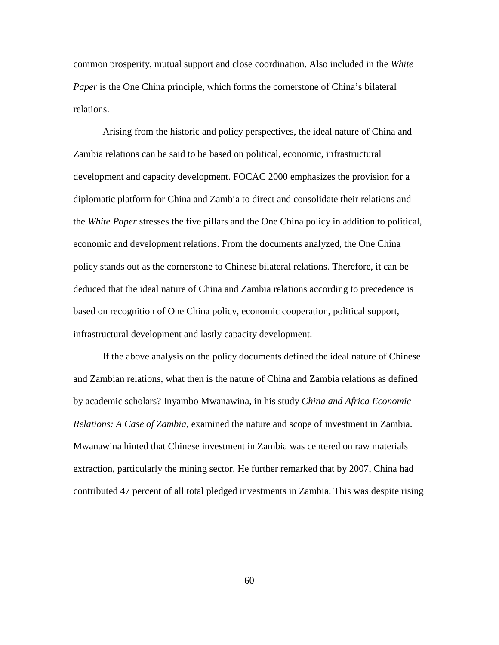common prosperity, mutual support and close coordination. Also included in the *White Paper* is the One China principle, which forms the cornerstone of China's bilateral relations.

Arising from the historic and policy perspectives, the ideal nature of China and Zambia relations can be said to be based on political, economic, infrastructural development and capacity development. FOCAC 2000 emphasizes the provision for a diplomatic platform for China and Zambia to direct and consolidate their relations and the *White Paper* stresses the five pillars and the One China policy in addition to political, economic and development relations. From the documents analyzed, the One China policy stands out as the cornerstone to Chinese bilateral relations. Therefore, it can be deduced that the ideal nature of China and Zambia relations according to precedence is based on recognition of One China policy, economic cooperation, political support, infrastructural development and lastly capacity development.

If the above analysis on the policy documents defined the ideal nature of Chinese and Zambian relations, what then is the nature of China and Zambia relations as defined by academic scholars? Inyambo Mwanawina, in his study *China and Africa Economic Relations: A Case of Zambia*, examined the nature and scope of investment in Zambia. Mwanawina hinted that Chinese investment in Zambia was centered on raw materials extraction, particularly the mining sector. He further remarked that by 2007, China had contributed 47 percent of all total pledged investments in Zambia. This was despite rising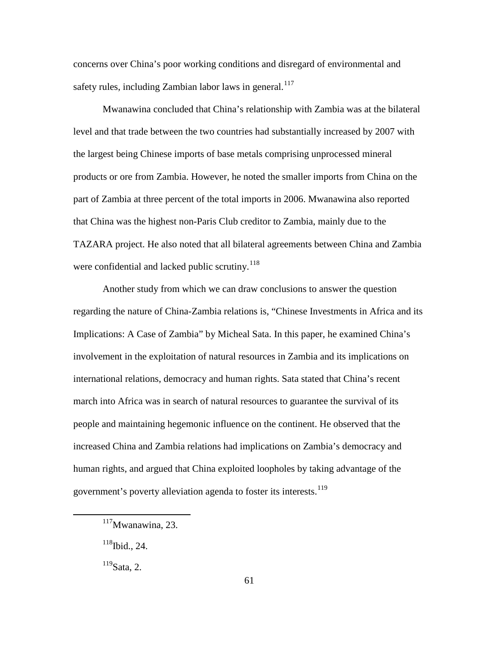concerns over China's poor working conditions and disregard of environmental and safety rules, including Zambian labor laws in general.<sup>[117](#page-69-0)</sup>

Mwanawina concluded that China's relationship with Zambia was at the bilateral level and that trade between the two countries had substantially increased by 2007 with the largest being Chinese imports of base metals comprising unprocessed mineral products or ore from Zambia. However, he noted the smaller imports from China on the part of Zambia at three percent of the total imports in 2006. Mwanawina also reported that China was the highest non-Paris Club creditor to Zambia, mainly due to the TAZARA project. He also noted that all bilateral agreements between China and Zambia were confidential and lacked public scrutiny.<sup>[118](#page-69-1)</sup>

Another study from which we can draw conclusions to answer the question regarding the nature of China-Zambia relations is, "Chinese Investments in Africa and its Implications: A Case of Zambia" by Micheal Sata. In this paper, he examined China's involvement in the exploitation of natural resources in Zambia and its implications on international relations, democracy and human rights. Sata stated that China's recent march into Africa was in search of natural resources to guarantee the survival of its people and maintaining hegemonic influence on the continent. He observed that the increased China and Zambia relations had implications on Zambia's democracy and human rights, and argued that China exploited loopholes by taking advantage of the government's poverty alleviation agenda to foster its interests.<sup>[119](#page-69-2)</sup>

<span id="page-69-2"></span><span id="page-69-1"></span><span id="page-69-0"></span> $\overline{a}$ 

 $119$ Sata, 2.

 $117$ Mwanawina, 23.

 $118$ Ibid., 24.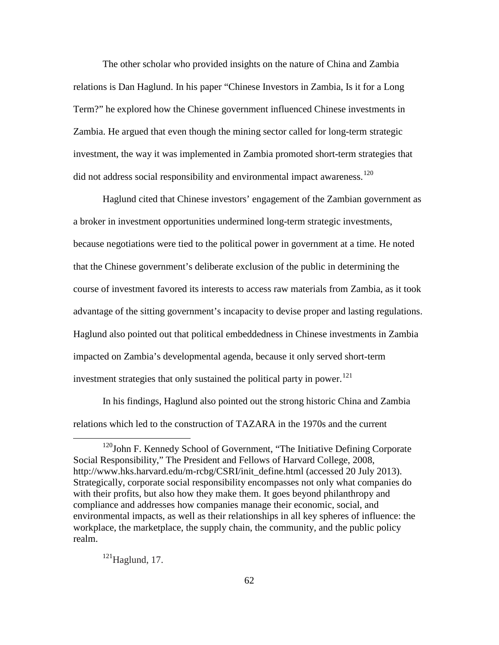The other scholar who provided insights on the nature of China and Zambia relations is Dan Haglund. In his paper "Chinese Investors in Zambia, Is it for a Long Term?" he explored how the Chinese government influenced Chinese investments in Zambia. He argued that even though the mining sector called for long-term strategic investment, the way it was implemented in Zambia promoted short-term strategies that did not address social responsibility and environmental impact awareness.<sup>[120](#page-70-0)</sup>

Haglund cited that Chinese investors' engagement of the Zambian government as a broker in investment opportunities undermined long-term strategic investments, because negotiations were tied to the political power in government at a time. He noted that the Chinese government's deliberate exclusion of the public in determining the course of investment favored its interests to access raw materials from Zambia, as it took advantage of the sitting government's incapacity to devise proper and lasting regulations. Haglund also pointed out that political embeddedness in Chinese investments in Zambia impacted on Zambia's developmental agenda, because it only served short-term investment strategies that only sustained the political party in power.<sup>[121](#page-70-1)</sup>

In his findings, Haglund also pointed out the strong historic China and Zambia relations which led to the construction of TAZARA in the 1970s and the current

<span id="page-70-1"></span> $121$ Haglund, 17.

<span id="page-70-0"></span> $120$ John F. Kennedy School of Government, "The Initiative Defining Corporate Social Responsibility," The President and Fellows of Harvard College, 2008, http://www.hks.harvard.edu/m-rcbg/CSRI/init\_define.html (accessed 20 July 2013). Strategically, corporate social responsibility encompasses not only what companies do with their profits, but also how they make them. It goes beyond philanthropy and compliance and addresses how companies manage their economic, social, and environmental impacts, as well as their relationships in all key spheres of influence: the workplace, the marketplace, the supply chain, the community, and the public policy realm.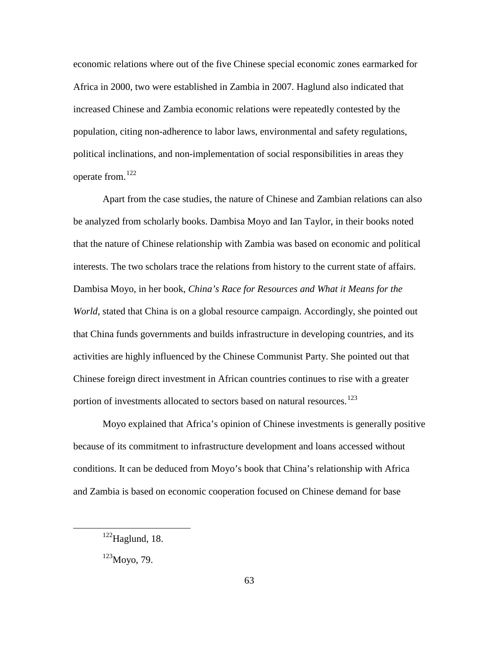economic relations where out of the five Chinese special economic zones earmarked for Africa in 2000, two were established in Zambia in 2007. Haglund also indicated that increased Chinese and Zambia economic relations were repeatedly contested by the population, citing non-adherence to labor laws, environmental and safety regulations, political inclinations, and non-implementation of social responsibilities in areas they operate from.[122](#page-71-0)

Apart from the case studies, the nature of Chinese and Zambian relations can also be analyzed from scholarly books. Dambisa Moyo and Ian Taylor, in their books noted that the nature of Chinese relationship with Zambia was based on economic and political interests. The two scholars trace the relations from history to the current state of affairs. Dambisa Moyo, in her book, *China's Race for Resources and What it Means for the World*, stated that China is on a global resource campaign. Accordingly, she pointed out that China funds governments and builds infrastructure in developing countries, and its activities are highly influenced by the Chinese Communist Party. She pointed out that Chinese foreign direct investment in African countries continues to rise with a greater portion of investments allocated to sectors based on natural resources.<sup>[123](#page-71-1)</sup>

Moyo explained that Africa's opinion of Chinese investments is generally positive because of its commitment to infrastructure development and loans accessed without conditions. It can be deduced from Moyo's book that China's relationship with Africa and Zambia is based on economic cooperation focused on Chinese demand for base

<span id="page-71-0"></span> $122$ Haglund, 18.

<span id="page-71-1"></span><sup>123</sup>Moyo, 79.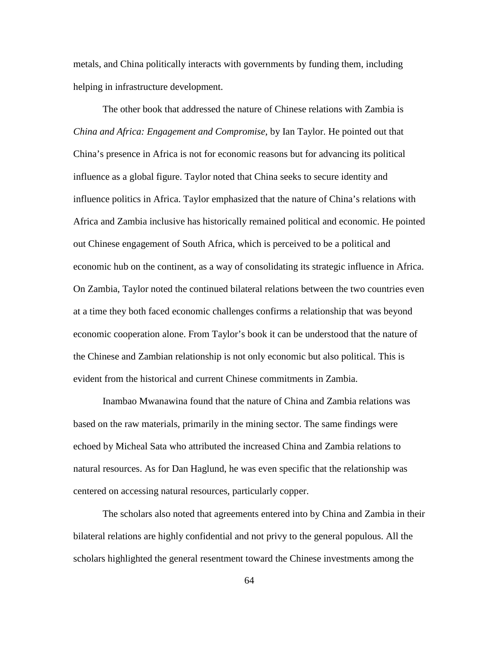metals, and China politically interacts with governments by funding them, including helping in infrastructure development.

The other book that addressed the nature of Chinese relations with Zambia is *China and Africa: Engagement and Compromise*, by Ian Taylor. He pointed out that China's presence in Africa is not for economic reasons but for advancing its political influence as a global figure. Taylor noted that China seeks to secure identity and influence politics in Africa. Taylor emphasized that the nature of China's relations with Africa and Zambia inclusive has historically remained political and economic. He pointed out Chinese engagement of South Africa, which is perceived to be a political and economic hub on the continent, as a way of consolidating its strategic influence in Africa. On Zambia, Taylor noted the continued bilateral relations between the two countries even at a time they both faced economic challenges confirms a relationship that was beyond economic cooperation alone. From Taylor's book it can be understood that the nature of the Chinese and Zambian relationship is not only economic but also political. This is evident from the historical and current Chinese commitments in Zambia.

Inambao Mwanawina found that the nature of China and Zambia relations was based on the raw materials, primarily in the mining sector. The same findings were echoed by Micheal Sata who attributed the increased China and Zambia relations to natural resources. As for Dan Haglund, he was even specific that the relationship was centered on accessing natural resources, particularly copper.

The scholars also noted that agreements entered into by China and Zambia in their bilateral relations are highly confidential and not privy to the general populous. All the scholars highlighted the general resentment toward the Chinese investments among the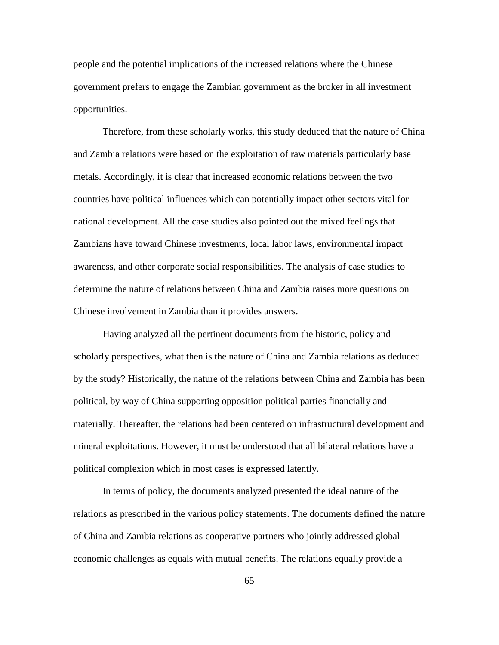people and the potential implications of the increased relations where the Chinese government prefers to engage the Zambian government as the broker in all investment opportunities.

Therefore, from these scholarly works, this study deduced that the nature of China and Zambia relations were based on the exploitation of raw materials particularly base metals. Accordingly, it is clear that increased economic relations between the two countries have political influences which can potentially impact other sectors vital for national development. All the case studies also pointed out the mixed feelings that Zambians have toward Chinese investments, local labor laws, environmental impact awareness, and other corporate social responsibilities. The analysis of case studies to determine the nature of relations between China and Zambia raises more questions on Chinese involvement in Zambia than it provides answers.

Having analyzed all the pertinent documents from the historic, policy and scholarly perspectives, what then is the nature of China and Zambia relations as deduced by the study? Historically, the nature of the relations between China and Zambia has been political, by way of China supporting opposition political parties financially and materially. Thereafter, the relations had been centered on infrastructural development and mineral exploitations. However, it must be understood that all bilateral relations have a political complexion which in most cases is expressed latently.

In terms of policy, the documents analyzed presented the ideal nature of the relations as prescribed in the various policy statements. The documents defined the nature of China and Zambia relations as cooperative partners who jointly addressed global economic challenges as equals with mutual benefits. The relations equally provide a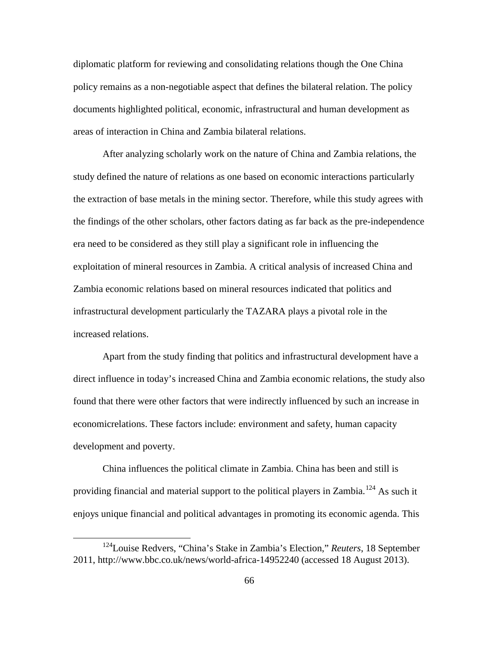diplomatic platform for reviewing and consolidating relations though the One China policy remains as a non-negotiable aspect that defines the bilateral relation. The policy documents highlighted political, economic, infrastructural and human development as areas of interaction in China and Zambia bilateral relations.

After analyzing scholarly work on the nature of China and Zambia relations, the study defined the nature of relations as one based on economic interactions particularly the extraction of base metals in the mining sector. Therefore, while this study agrees with the findings of the other scholars, other factors dating as far back as the pre-independence era need to be considered as they still play a significant role in influencing the exploitation of mineral resources in Zambia. A critical analysis of increased China and Zambia economic relations based on mineral resources indicated that politics and infrastructural development particularly the TAZARA plays a pivotal role in the increased relations.

Apart from the study finding that politics and infrastructural development have a direct influence in today's increased China and Zambia economic relations, the study also found that there were other factors that were indirectly influenced by such an increase in economicrelations. These factors include: environment and safety, human capacity development and poverty.

China influences the political climate in Zambia. China has been and still is providing financial and material support to the political players in Zambia.<sup>[124](#page-74-0)</sup> As such it enjoys unique financial and political advantages in promoting its economic agenda. This

<span id="page-74-0"></span><sup>124</sup>Louise Redvers, "China's Stake in Zambia's Election," *Reuters*, 18 September 2011, http://www.bbc.co.uk/news/world-africa-14952240 (accessed 18 August 2013).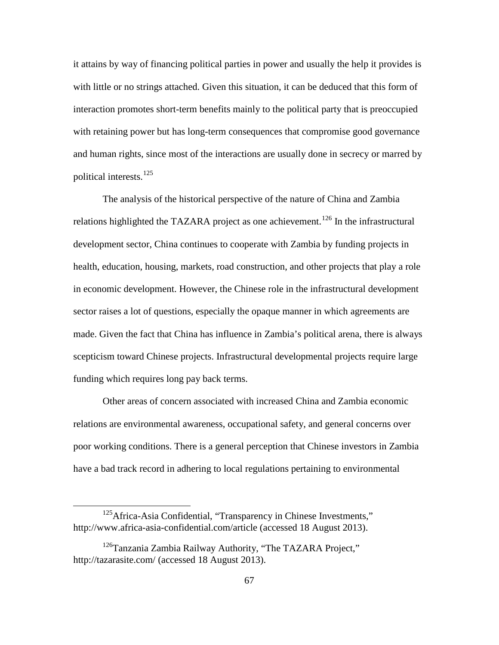it attains by way of financing political parties in power and usually the help it provides is with little or no strings attached. Given this situation, it can be deduced that this form of interaction promotes short-term benefits mainly to the political party that is preoccupied with retaining power but has long-term consequences that compromise good governance and human rights, since most of the interactions are usually done in secrecy or marred by political interests.<sup>[125](#page-75-0)</sup>

The analysis of the historical perspective of the nature of China and Zambia relations highlighted the TAZARA project as one achievement.<sup>[126](#page-75-1)</sup> In the infrastructural development sector, China continues to cooperate with Zambia by funding projects in health, education, housing, markets, road construction, and other projects that play a role in economic development. However, the Chinese role in the infrastructural development sector raises a lot of questions, especially the opaque manner in which agreements are made. Given the fact that China has influence in Zambia's political arena, there is always scepticism toward Chinese projects. Infrastructural developmental projects require large funding which requires long pay back terms.

Other areas of concern associated with increased China and Zambia economic relations are environmental awareness, occupational safety, and general concerns over poor working conditions. There is a general perception that Chinese investors in Zambia have a bad track record in adhering to local regulations pertaining to environmental

<span id="page-75-0"></span><sup>&</sup>lt;sup>125</sup>Africa-Asia Confidential, "Transparency in Chinese Investments," http://www.africa-asia-confidential.com/article (accessed 18 August 2013).

<span id="page-75-1"></span><sup>&</sup>lt;sup>126</sup>Tanzania Zambia Railway Authority, "The TAZARA Project," http://tazarasite.com/ (accessed 18 August 2013).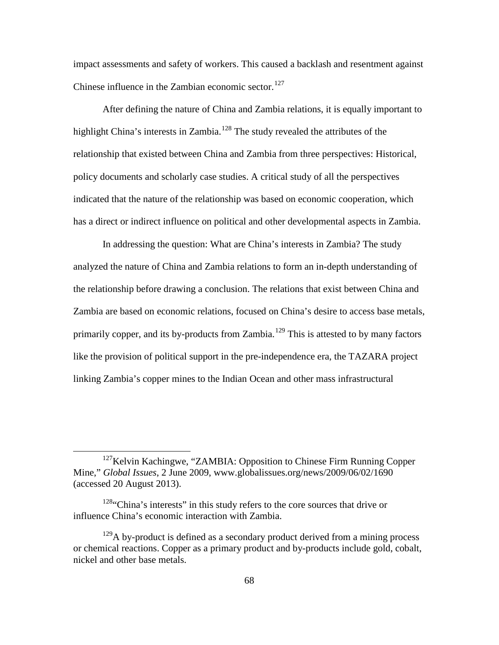impact assessments and safety of workers. This caused a backlash and resentment against Chinese influence in the Zambian economic sector. $127$ 

After defining the nature of China and Zambia relations, it is equally important to highlight China's interests in Zambia.<sup>[128](#page-76-1)</sup> The study revealed the attributes of the relationship that existed between China and Zambia from three perspectives: Historical, policy documents and scholarly case studies. A critical study of all the perspectives indicated that the nature of the relationship was based on economic cooperation, which has a direct or indirect influence on political and other developmental aspects in Zambia.

In addressing the question: What are China's interests in Zambia? The study analyzed the nature of China and Zambia relations to form an in-depth understanding of the relationship before drawing a conclusion. The relations that exist between China and Zambia are based on economic relations, focused on China's desire to access base metals, primarily copper, and its by-products from Zambia.<sup>[129](#page-76-2)</sup> This is attested to by many factors like the provision of political support in the pre-independence era, the TAZARA project linking Zambia's copper mines to the Indian Ocean and other mass infrastructural

<span id="page-76-0"></span><sup>&</sup>lt;sup>127</sup>Kelvin Kachingwe, "ZAMBIA: Opposition to Chinese Firm Running Copper Mine," *Global Issues*, 2 June 2009, www.globalissues.org/news/2009/06/02/1690 (accessed 20 August 2013).

<span id="page-76-1"></span> $128$ "China's interests" in this study refers to the core sources that drive or influence China's economic interaction with Zambia.

<span id="page-76-2"></span> $129A$  by-product is defined as a secondary product derived from a mining process or chemical reactions. Copper as a primary product and by-products include gold, cobalt, nickel and other base metals.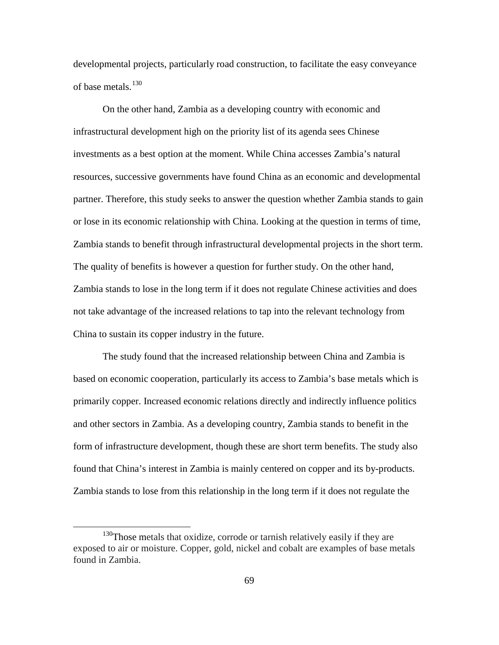developmental projects, particularly road construction, to facilitate the easy conveyance of base metals.<sup>[130](#page-77-0)</sup>

On the other hand, Zambia as a developing country with economic and infrastructural development high on the priority list of its agenda sees Chinese investments as a best option at the moment. While China accesses Zambia's natural resources, successive governments have found China as an economic and developmental partner. Therefore, this study seeks to answer the question whether Zambia stands to gain or lose in its economic relationship with China. Looking at the question in terms of time, Zambia stands to benefit through infrastructural developmental projects in the short term. The quality of benefits is however a question for further study. On the other hand, Zambia stands to lose in the long term if it does not regulate Chinese activities and does not take advantage of the increased relations to tap into the relevant technology from China to sustain its copper industry in the future.

The study found that the increased relationship between China and Zambia is based on economic cooperation, particularly its access to Zambia's base metals which is primarily copper. Increased economic relations directly and indirectly influence politics and other sectors in Zambia. As a developing country, Zambia stands to benefit in the form of infrastructure development, though these are short term benefits. The study also found that China's interest in Zambia is mainly centered on copper and its by-products. Zambia stands to lose from this relationship in the long term if it does not regulate the

<span id="page-77-0"></span><sup>&</sup>lt;sup>130</sup>Those metals that oxidize, corrode or tarnish relatively easily if they are exposed to air or moisture. Copper, gold, nickel and cobalt are examples of base metals found in Zambia.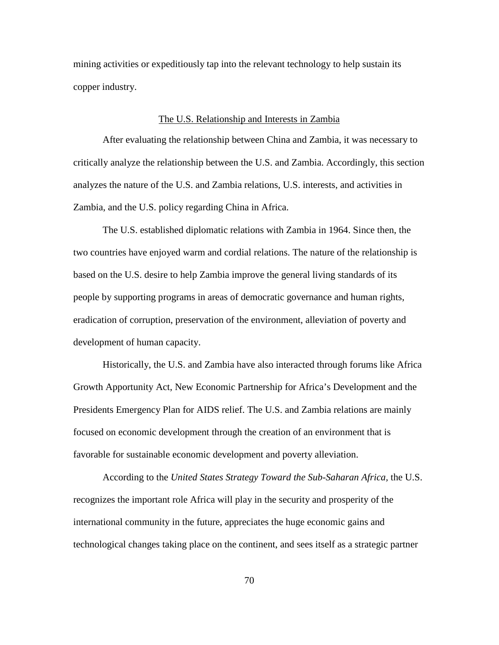mining activities or expeditiously tap into the relevant technology to help sustain its copper industry.

#### The U.S. Relationship and Interests in Zambia

After evaluating the relationship between China and Zambia, it was necessary to critically analyze the relationship between the U.S. and Zambia. Accordingly, this section analyzes the nature of the U.S. and Zambia relations, U.S. interests, and activities in Zambia, and the U.S. policy regarding China in Africa.

The U.S. established diplomatic relations with Zambia in 1964. Since then, the two countries have enjoyed warm and cordial relations. The nature of the relationship is based on the U.S. desire to help Zambia improve the general living standards of its people by supporting programs in areas of democratic governance and human rights, eradication of corruption, preservation of the environment, alleviation of poverty and development of human capacity.

Historically, the U.S. and Zambia have also interacted through forums like Africa Growth Apportunity Act, New Economic Partnership for Africa's Development and the Presidents Emergency Plan for AIDS relief. The U.S. and Zambia relations are mainly focused on economic development through the creation of an environment that is favorable for sustainable economic development and poverty alleviation.

According to the *United States Strategy Toward the Sub-Saharan Africa,* the U.S. recognizes the important role Africa will play in the security and prosperity of the international community in the future, appreciates the huge economic gains and technological changes taking place on the continent, and sees itself as a strategic partner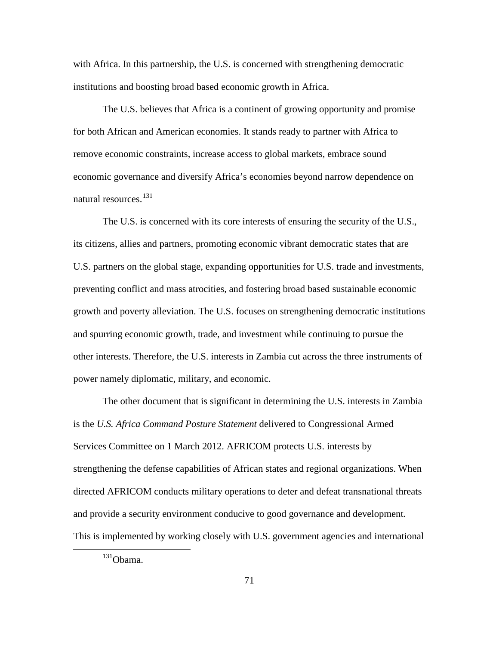with Africa. In this partnership, the U.S. is concerned with strengthening democratic institutions and boosting broad based economic growth in Africa.

The U.S. believes that Africa is a continent of growing opportunity and promise for both African and American economies. It stands ready to partner with Africa to remove economic constraints, increase access to global markets, embrace sound economic governance and diversify Africa's economies beyond narrow dependence on natural resources.<sup>[131](#page-79-0)</sup>

The U.S. is concerned with its core interests of ensuring the security of the U.S., its citizens, allies and partners, promoting economic vibrant democratic states that are U.S. partners on the global stage, expanding opportunities for U.S. trade and investments, preventing conflict and mass atrocities, and fostering broad based sustainable economic growth and poverty alleviation. The U.S. focuses on strengthening democratic institutions and spurring economic growth, trade, and investment while continuing to pursue the other interests. Therefore, the U.S. interests in Zambia cut across the three instruments of power namely diplomatic, military, and economic.

The other document that is significant in determining the U.S. interests in Zambia is the *U.S. Africa Command Posture Statement* delivered to Congressional Armed Services Committee on 1 March 2012. AFRICOM protects U.S. interests by strengthening the defense capabilities of African states and regional organizations. When directed AFRICOM conducts military operations to deter and defeat transnational threats and provide a security environment conducive to good governance and development. This is implemented by working closely with U.S. government agencies and international

<span id="page-79-0"></span><sup>131</sup>Obama.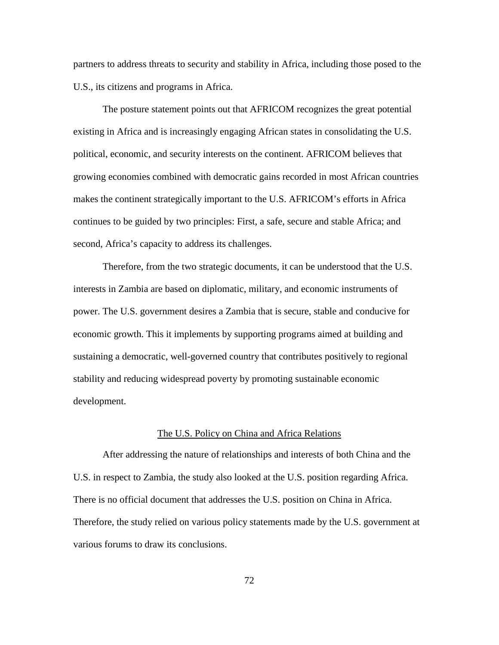partners to address threats to security and stability in Africa, including those posed to the U.S., its citizens and programs in Africa.

The posture statement points out that AFRICOM recognizes the great potential existing in Africa and is increasingly engaging African states in consolidating the U.S. political, economic, and security interests on the continent. AFRICOM believes that growing economies combined with democratic gains recorded in most African countries makes the continent strategically important to the U.S. AFRICOM's efforts in Africa continues to be guided by two principles: First, a safe, secure and stable Africa; and second, Africa's capacity to address its challenges.

Therefore, from the two strategic documents, it can be understood that the U.S. interests in Zambia are based on diplomatic, military, and economic instruments of power. The U.S. government desires a Zambia that is secure, stable and conducive for economic growth. This it implements by supporting programs aimed at building and sustaining a democratic, well-governed country that contributes positively to regional stability and reducing widespread poverty by promoting sustainable economic development.

#### The U.S. Policy on China and Africa Relations

After addressing the nature of relationships and interests of both China and the U.S. in respect to Zambia, the study also looked at the U.S. position regarding Africa. There is no official document that addresses the U.S. position on China in Africa. Therefore, the study relied on various policy statements made by the U.S. government at various forums to draw its conclusions.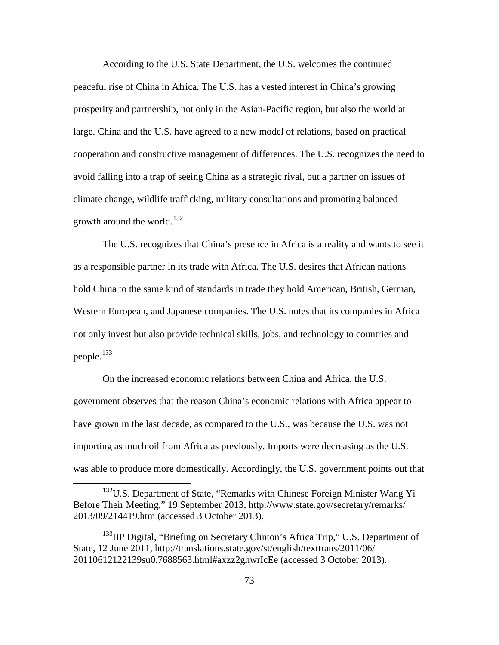According to the U.S. State Department, the U.S. welcomes the continued peaceful rise of China in Africa. The U.S. has a vested interest in China's growing prosperity and partnership, not only in the Asian-Pacific region, but also the world at large. China and the U.S. have agreed to a new model of relations, based on practical cooperation and constructive management of differences. The U.S. recognizes the need to avoid falling into a trap of seeing China as a strategic rival, but a partner on issues of climate change, wildlife trafficking, military consultations and promoting balanced growth around the world. $132$ 

The U.S. recognizes that China's presence in Africa is a reality and wants to see it as a responsible partner in its trade with Africa. The U.S. desires that African nations hold China to the same kind of standards in trade they hold American, British, German, Western European, and Japanese companies. The U.S. notes that its companies in Africa not only invest but also provide technical skills, jobs, and technology to countries and people.<sup>[133](#page-81-1)</sup>

On the increased economic relations between China and Africa, the U.S. government observes that the reason China's economic relations with Africa appear to have grown in the last decade, as compared to the U.S., was because the U.S. was not importing as much oil from Africa as previously. Imports were decreasing as the U.S. was able to produce more domestically. Accordingly, the U.S. government points out that

<span id="page-81-0"></span><sup>&</sup>lt;sup>132</sup>U.S. Department of State, "Remarks with Chinese Foreign Minister Wang Yi Before Their Meeting," 19 September 2013, http://www.state.gov/secretary/remarks/ 2013/09/214419.htm (accessed 3 October 2013).

<span id="page-81-1"></span><sup>&</sup>lt;sup>133</sup>IIP Digital, "Briefing on Secretary Clinton's Africa Trip," U.S. Department of State, 12 June 2011, http://translations.state.gov/st/english/texttrans/2011/06/ 20110612122139su0.7688563.html#axzz2ghwrIcEe (accessed 3 October 2013).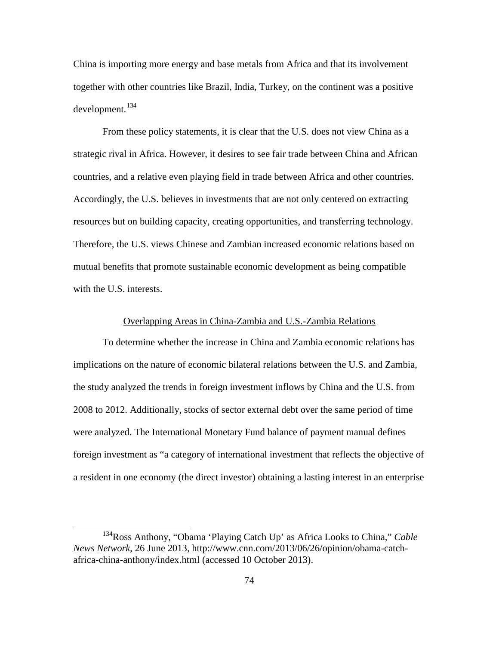China is importing more energy and base metals from Africa and that its involvement together with other countries like Brazil, India, Turkey, on the continent was a positive  $develoment.<sup>134</sup>$  $develoment.<sup>134</sup>$  $develoment.<sup>134</sup>$ 

From these policy statements, it is clear that the U.S. does not view China as a strategic rival in Africa. However, it desires to see fair trade between China and African countries, and a relative even playing field in trade between Africa and other countries. Accordingly, the U.S. believes in investments that are not only centered on extracting resources but on building capacity, creating opportunities, and transferring technology. Therefore, the U.S. views Chinese and Zambian increased economic relations based on mutual benefits that promote sustainable economic development as being compatible with the U.S. interests.

# Overlapping Areas in China-Zambia and U.S.-Zambia Relations

To determine whether the increase in China and Zambia economic relations has implications on the nature of economic bilateral relations between the U.S. and Zambia, the study analyzed the trends in foreign investment inflows by China and the U.S. from 2008 to 2012. Additionally, stocks of sector external debt over the same period of time were analyzed. The International Monetary Fund balance of payment manual defines foreign investment as "a category of international investment that reflects the objective of a resident in one economy (the direct investor) obtaining a lasting interest in an enterprise

<span id="page-82-0"></span><sup>134</sup>Ross Anthony, "Obama 'Playing Catch Up' as Africa Looks to China," *Cable News Network*, 26 June 2013, http://www.cnn.com/2013/06/26/opinion/obama-catchafrica-china-anthony/index.html (accessed 10 October 2013).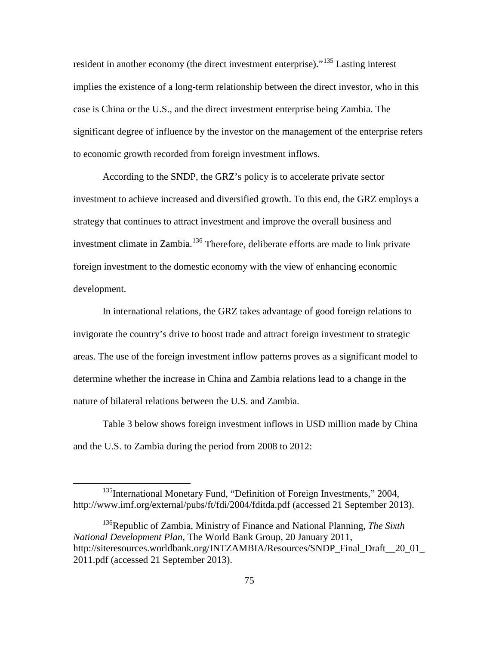resident in another economy (the direct investment enterprise)."<sup>[135](#page-83-0)</sup> Lasting interest implies the existence of a long-term relationship between the direct investor, who in this case is China or the U.S., and the direct investment enterprise being Zambia. The significant degree of influence by the investor on the management of the enterprise refers to economic growth recorded from foreign investment inflows.

According to the SNDP, the GRZ's policy is to accelerate private sector investment to achieve increased and diversified growth. To this end, the GRZ employs a strategy that continues to attract investment and improve the overall business and investment climate in Zambia.<sup>[136](#page-83-1)</sup> Therefore, deliberate efforts are made to link private foreign investment to the domestic economy with the view of enhancing economic development.

In international relations, the GRZ takes advantage of good foreign relations to invigorate the country's drive to boost trade and attract foreign investment to strategic areas. The use of the foreign investment inflow patterns proves as a significant model to determine whether the increase in China and Zambia relations lead to a change in the nature of bilateral relations between the U.S. and Zambia.

Table 3 below shows foreign investment inflows in USD million made by China and the U.S. to Zambia during the period from 2008 to 2012:

<span id="page-83-0"></span><sup>&</sup>lt;sup>135</sup>International Monetary Fund, "Definition of Foreign Investments," 2004, http://www.imf.org/external/pubs/ft/fdi/2004/fditda.pdf (accessed 21 September 2013).

<span id="page-83-1"></span><sup>136</sup>Republic of Zambia, Ministry of Finance and National Planning, *The Sixth National Development Plan,* The World Bank Group, 20 January 2011, http://siteresources.worldbank.org/INTZAMBIA/Resources/SNDP\_Final\_Draft\_20\_01\_ 2011.pdf (accessed 21 September 2013).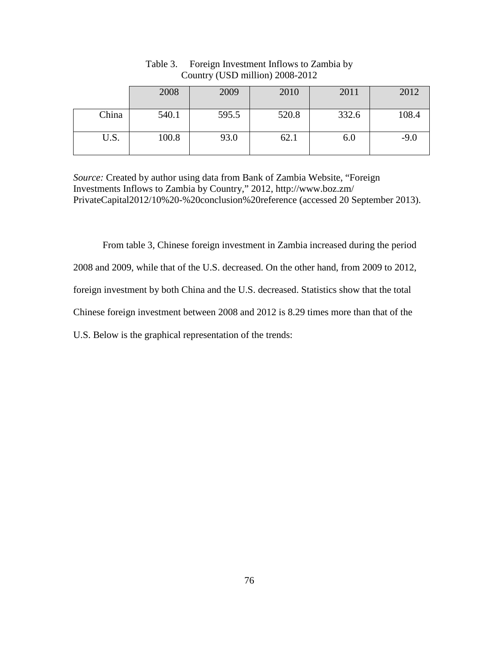|       | 2008  | 2009  | 2010  | 2011  | 2012   |
|-------|-------|-------|-------|-------|--------|
| China | 540.1 | 595.5 | 520.8 | 332.6 | 108.4  |
| U.S.  | 100.8 | 93.0  | 62.1  | 6.0   | $-9.0$ |

Table 3. Foreign Investment Inflows to Zambia by Country (USD million) 2008-2012

*Source:* Created by author using data from Bank of Zambia Website, "Foreign Investments Inflows to Zambia by Country," 2012, http://www.boz.zm/ PrivateCapital2012/10%20-%20conclusion%20reference (accessed 20 September 2013).

From table 3, Chinese foreign investment in Zambia increased during the period 2008 and 2009, while that of the U.S. decreased. On the other hand, from 2009 to 2012, foreign investment by both China and the U.S. decreased. Statistics show that the total Chinese foreign investment between 2008 and 2012 is 8.29 times more than that of the U.S. Below is the graphical representation of the trends: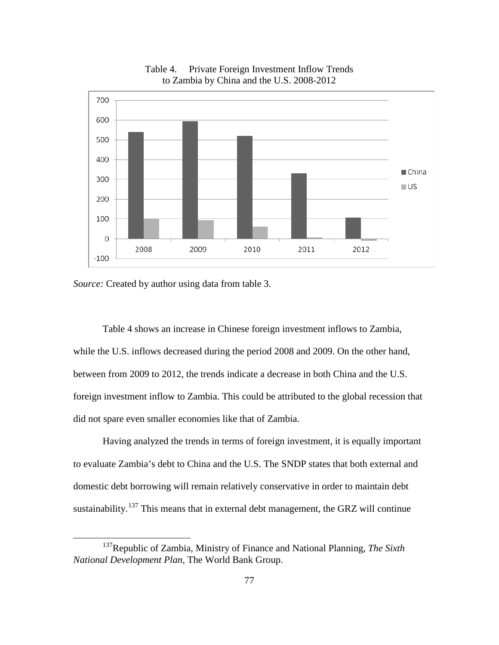

Table 4. Private Foreign Investment Inflow Trends to Zambia by China and the U.S. 2008-2012

*Source:* Created by author using data from table 3.

 $\overline{a}$ 

Table 4 shows an increase in Chinese foreign investment inflows to Zambia, while the U.S. inflows decreased during the period 2008 and 2009. On the other hand, between from 2009 to 2012, the trends indicate a decrease in both China and the U.S. foreign investment inflow to Zambia. This could be attributed to the global recession that did not spare even smaller economies like that of Zambia.

Having analyzed the trends in terms of foreign investment, it is equally important to evaluate Zambia's debt to China and the U.S. The SNDP states that both external and domestic debt borrowing will remain relatively conservative in order to maintain debt sustainability.<sup>[137](#page-85-0)</sup> This means that in external debt management, the GRZ will continue

<span id="page-85-0"></span><sup>137</sup>Republic of Zambia, Ministry of Finance and National Planning, *The Sixth National Development Plan,* The World Bank Group.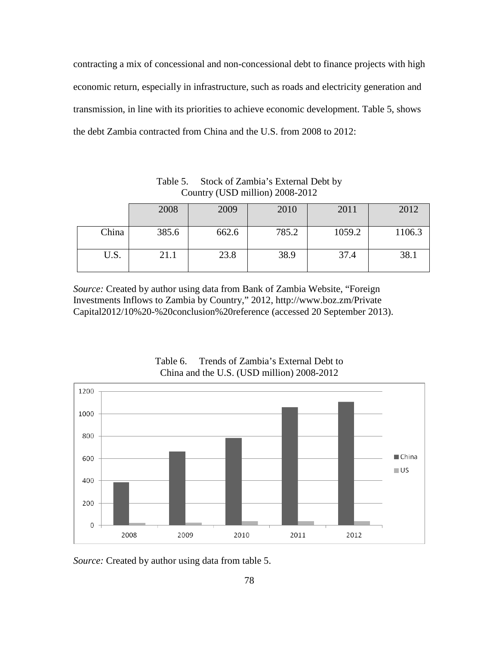contracting a mix of concessional and non-concessional debt to finance projects with high economic return, especially in infrastructure, such as roads and electricity generation and transmission, in line with its priorities to achieve economic development. Table 5, shows the debt Zambia contracted from China and the U.S. from 2008 to 2012:

Table 5. Stock of Zambia's External Debt by Country (USD million) 2008-2012

|       | 2008  | 2009  | 2010  | 2011   | 2012   |
|-------|-------|-------|-------|--------|--------|
| China | 385.6 | 662.6 | 785.2 | 1059.2 | 1106.3 |
| U.S.  | 21.1  | 23.8  | 38.9  | 37.4   | 38.1   |

*Source:* Created by author using data from Bank of Zambia Website, "Foreign Investments Inflows to Zambia by Country," 2012, http://www.boz.zm/Private Capital2012/10%20-%20conclusion%20reference (accessed 20 September 2013).



Table 6. Trends of Zambia's External Debt to China and the U.S. (USD million) 2008-2012

*Source:* Created by author using data from table 5.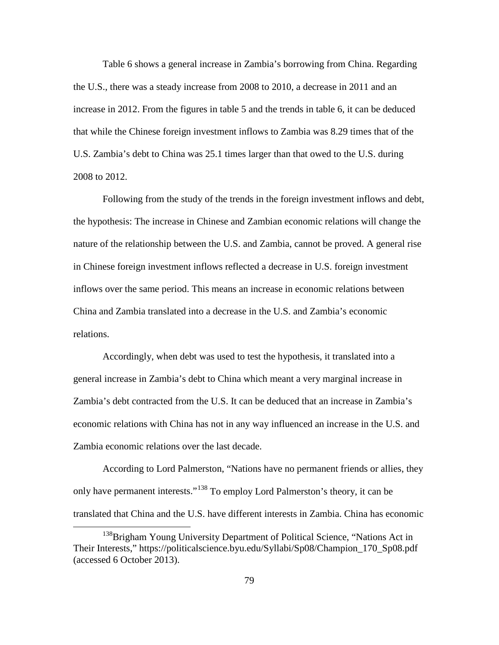Table 6 shows a general increase in Zambia's borrowing from China. Regarding the U.S., there was a steady increase from 2008 to 2010, a decrease in 2011 and an increase in 2012. From the figures in table 5 and the trends in table 6, it can be deduced that while the Chinese foreign investment inflows to Zambia was 8.29 times that of the U.S. Zambia's debt to China was 25.1 times larger than that owed to the U.S. during 2008 to 2012.

Following from the study of the trends in the foreign investment inflows and debt, the hypothesis: The increase in Chinese and Zambian economic relations will change the nature of the relationship between the U.S. and Zambia, cannot be proved. A general rise in Chinese foreign investment inflows reflected a decrease in U.S. foreign investment inflows over the same period. This means an increase in economic relations between China and Zambia translated into a decrease in the U.S. and Zambia's economic relations.

Accordingly, when debt was used to test the hypothesis, it translated into a general increase in Zambia's debt to China which meant a very marginal increase in Zambia's debt contracted from the U.S. It can be deduced that an increase in Zambia's economic relations with China has not in any way influenced an increase in the U.S. and Zambia economic relations over the last decade.

According to Lord Palmerston, "Nations have no permanent friends or allies, they only have permanent interests."[138](#page-87-0) To employ Lord Palmerston's theory, it can be translated that China and the U.S. have different interests in Zambia. China has economic

<span id="page-87-0"></span><sup>&</sup>lt;sup>138</sup>Brigham Young University Department of Political Science, "Nations Act in Their Interests," https://politicalscience.byu.edu/Syllabi/Sp08/Champion\_170\_Sp08.pdf (accessed 6 October 2013).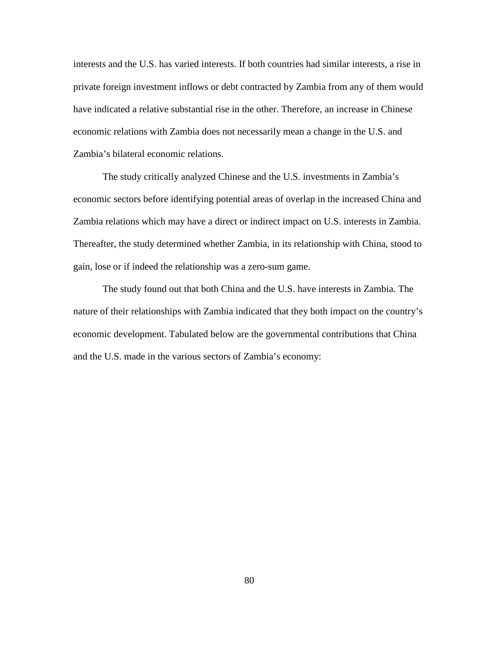interests and the U.S. has varied interests. If both countries had similar interests, a rise in private foreign investment inflows or debt contracted by Zambia from any of them would have indicated a relative substantial rise in the other. Therefore, an increase in Chinese economic relations with Zambia does not necessarily mean a change in the U.S. and Zambia's bilateral economic relations.

The study critically analyzed Chinese and the U.S. investments in Zambia's economic sectors before identifying potential areas of overlap in the increased China and Zambia relations which may have a direct or indirect impact on U.S. interests in Zambia. Thereafter, the study determined whether Zambia, in its relationship with China, stood to gain, lose or if indeed the relationship was a zero-sum game.

The study found out that both China and the U.S. have interests in Zambia. The nature of their relationships with Zambia indicated that they both impact on the country's economic development. Tabulated below are the governmental contributions that China and the U.S. made in the various sectors of Zambia's economy: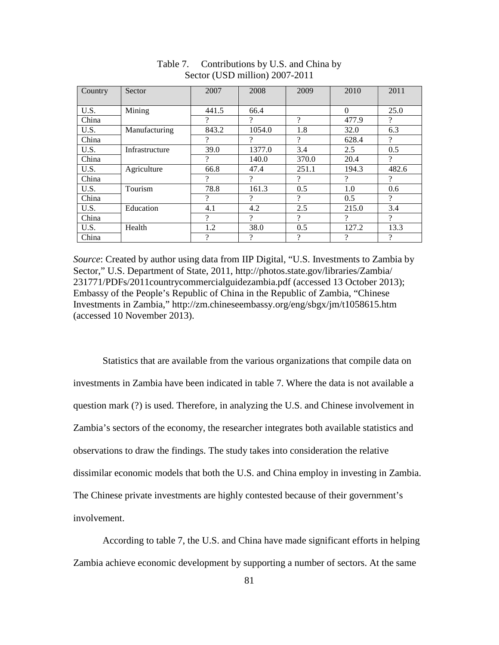| Country | Sector         | 2007  | 2008     | 2009                     | 2010     | 2011                     |
|---------|----------------|-------|----------|--------------------------|----------|--------------------------|
|         |                |       |          |                          |          |                          |
| U.S.    | Mining         | 441.5 | 66.4     |                          | $\theta$ | 25.0                     |
| China   |                | 9     | ?        | ?                        | 477.9    | ?                        |
| U.S.    | Manufacturing  | 843.2 | 1054.0   | 1.8                      | 32.0     | 6.3                      |
| China   |                | 9     | $\gamma$ | 9                        | 628.4    | ?                        |
| U.S.    | Infrastructure | 39.0  | 1377.0   | 3.4                      | 2.5      | 0.5                      |
| China   |                | ?     | 140.0    | 370.0                    | 20.4     | ?                        |
| U.S.    | Agriculture    | 66.8  | 47.4     | 251.1                    | 194.3    | 482.6                    |
| China   |                | 9     | $\gamma$ | $\overline{\mathcal{L}}$ | $\gamma$ | $\gamma$                 |
| U.S.    | Tourism        | 78.8  | 161.3    | 0.5                      | 1.0      | 0.6                      |
| China   |                | 9     | $\gamma$ | ?                        | 0.5      | $\gamma$                 |
| U.S.    | Education      | 4.1   | 4.2      | 2.5                      | 215.0    | 3.4                      |
| China   |                | ?     | $\gamma$ | ?                        | 9        | ?                        |
| U.S.    | Health         | 1.2   | 38.0     | 0.5                      | 127.2    | 13.3                     |
| China   |                | 9     | 9        | $\overline{\mathcal{L}}$ | ?        | $\overline{\mathcal{L}}$ |

Table 7. Contributions by U.S. and China by Sector (USD million) 2007-2011

*Source*: Created by author using data from IIP Digital, "U.S. Investments to Zambia by Sector," U.S. Department of State, 2011, http://photos.state.gov/libraries/Zambia/ 231771/PDFs/2011countrycommercialguidezambia.pdf (accessed 13 October 2013); Embassy of the People's Republic of China in the Republic of Zambia, "Chinese Investments in Zambia," http://zm.chineseembassy.org/eng/sbgx/jm/t1058615.htm (accessed 10 November 2013).

Statistics that are available from the various organizations that compile data on investments in Zambia have been indicated in table 7. Where the data is not available a question mark (?) is used. Therefore, in analyzing the U.S. and Chinese involvement in Zambia's sectors of the economy, the researcher integrates both available statistics and observations to draw the findings. The study takes into consideration the relative dissimilar economic models that both the U.S. and China employ in investing in Zambia. The Chinese private investments are highly contested because of their government's involvement.

According to table 7, the U.S. and China have made significant efforts in helping Zambia achieve economic development by supporting a number of sectors. At the same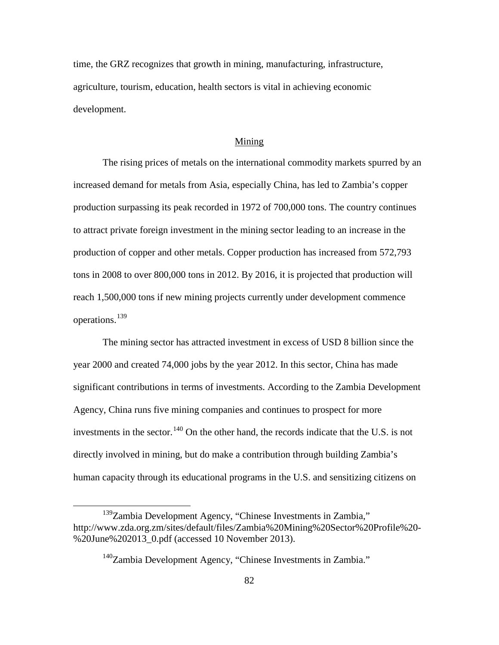time, the GRZ recognizes that growth in mining, manufacturing, infrastructure, agriculture, tourism, education, health sectors is vital in achieving economic development.

#### Mining

The rising prices of metals on the international commodity markets spurred by an increased demand for metals from Asia, especially China, has led to Zambia's copper production surpassing its peak recorded in 1972 of 700,000 tons. The country continues to attract private foreign investment in the mining sector leading to an increase in the production of copper and other metals. Copper production has increased from 572,793 tons in 2008 to over 800,000 tons in 2012. By 2016, it is projected that production will reach 1,500,000 tons if new mining projects currently under development commence operations.[139](#page-90-0)

The mining sector has attracted investment in excess of USD 8 billion since the year 2000 and created 74,000 jobs by the year 2012. In this sector, China has made significant contributions in terms of investments. According to the Zambia Development Agency, China runs five mining companies and continues to prospect for more investments in the sector.<sup>[140](#page-90-1)</sup> On the other hand, the records indicate that the U.S. is not directly involved in mining, but do make a contribution through building Zambia's human capacity through its educational programs in the U.S. and sensitizing citizens on

<span id="page-90-1"></span><span id="page-90-0"></span><sup>&</sup>lt;sup>139</sup>Zambia Development Agency, "Chinese Investments in Zambia," http://www.zda.org.zm/sites/default/files/Zambia%20Mining%20Sector%20Profile%20- %20June%202013\_0.pdf (accessed 10 November 2013).

<sup>&</sup>lt;sup>140</sup>Zambia Development Agency, "Chinese Investments in Zambia."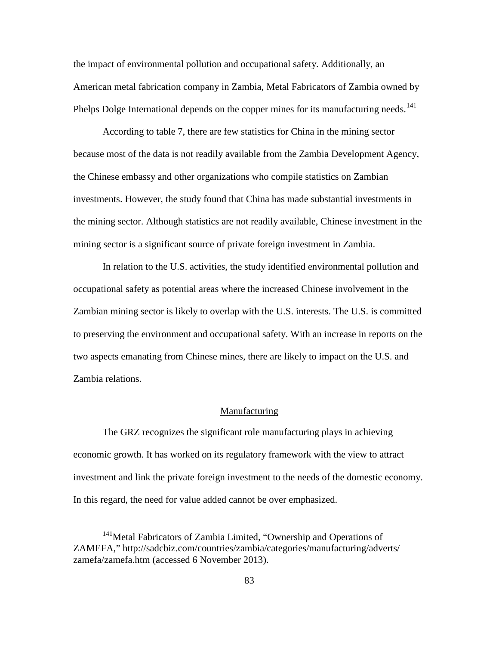the impact of environmental pollution and occupational safety. Additionally, an American metal fabrication company in Zambia, Metal Fabricators of Zambia owned by Phelps Dolge International depends on the copper mines for its manufacturing needs.<sup>[141](#page-91-0)</sup>

According to table 7, there are few statistics for China in the mining sector because most of the data is not readily available from the Zambia Development Agency, the Chinese embassy and other organizations who compile statistics on Zambian investments. However, the study found that China has made substantial investments in the mining sector. Although statistics are not readily available, Chinese investment in the mining sector is a significant source of private foreign investment in Zambia.

In relation to the U.S. activities, the study identified environmental pollution and occupational safety as potential areas where the increased Chinese involvement in the Zambian mining sector is likely to overlap with the U.S. interests. The U.S. is committed to preserving the environment and occupational safety. With an increase in reports on the two aspects emanating from Chinese mines, there are likely to impact on the U.S. and Zambia relations.

#### Manufacturing

The GRZ recognizes the significant role manufacturing plays in achieving economic growth. It has worked on its regulatory framework with the view to attract investment and link the private foreign investment to the needs of the domestic economy. In this regard, the need for value added cannot be over emphasized.

<span id="page-91-0"></span><sup>&</sup>lt;sup>141</sup>Metal Fabricators of Zambia Limited, "Ownership and Operations of ZAMEFA," http://sadcbiz.com/countries/zambia/categories/manufacturing/adverts/ zamefa/zamefa.htm (accessed 6 November 2013).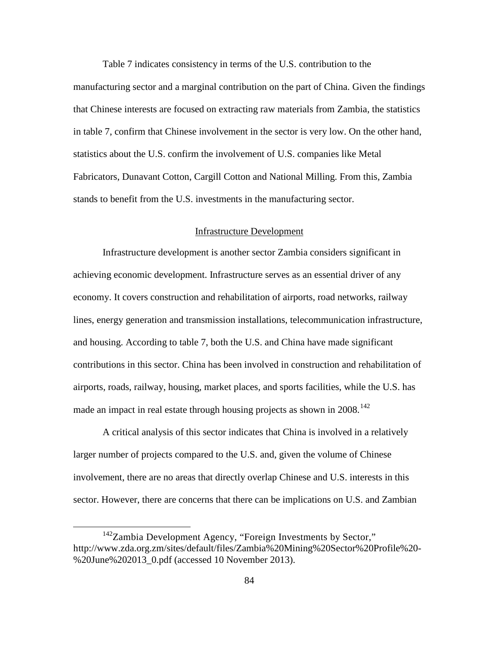Table 7 indicates consistency in terms of the U.S. contribution to the manufacturing sector and a marginal contribution on the part of China. Given the findings that Chinese interests are focused on extracting raw materials from Zambia, the statistics in table 7, confirm that Chinese involvement in the sector is very low. On the other hand, statistics about the U.S. confirm the involvement of U.S. companies like Metal Fabricators, Dunavant Cotton, Cargill Cotton and National Milling. From this, Zambia stands to benefit from the U.S. investments in the manufacturing sector.

# Infrastructure Development

Infrastructure development is another sector Zambia considers significant in achieving economic development. Infrastructure serves as an essential driver of any economy. It covers construction and rehabilitation of airports, road networks, railway lines, energy generation and transmission installations, telecommunication infrastructure, and housing. According to table 7, both the U.S. and China have made significant contributions in this sector. China has been involved in construction and rehabilitation of airports, roads, railway, housing, market places, and sports facilities, while the U.S. has made an impact in real estate through housing projects as shown in  $2008$ <sup>[142](#page-92-0)</sup>

A critical analysis of this sector indicates that China is involved in a relatively larger number of projects compared to the U.S. and, given the volume of Chinese involvement, there are no areas that directly overlap Chinese and U.S. interests in this sector. However, there are concerns that there can be implications on U.S. and Zambian

<span id="page-92-0"></span><sup>&</sup>lt;sup>142</sup>Zambia Development Agency, "Foreign Investments by Sector," http://www.zda.org.zm/sites/default/files/Zambia%20Mining%20Sector%20Profile%20- %20June%202013\_0.pdf (accessed 10 November 2013).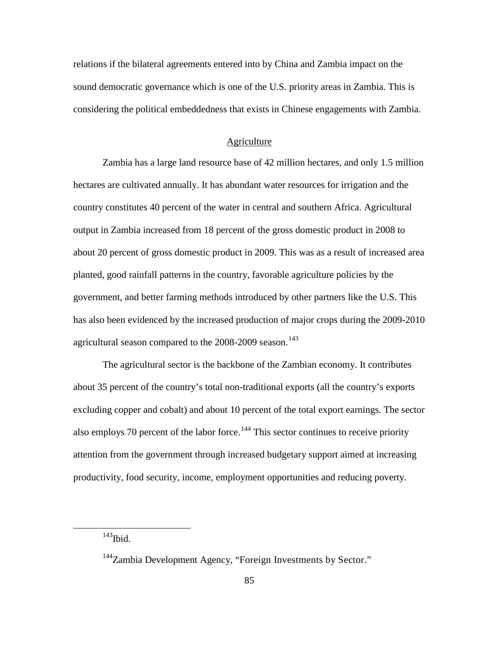relations if the bilateral agreements entered into by China and Zambia impact on the sound democratic governance which is one of the U.S. priority areas in Zambia. This is considering the political embeddedness that exists in Chinese engagements with Zambia.

#### **Agriculture**

Zambia has a large land resource base of 42 million hectares, and only 1.5 million hectares are cultivated annually. It has abundant water resources for irrigation and the country constitutes 40 percent of the water in central and southern Africa. Agricultural output in Zambia increased from 18 percent of the gross domestic product in 2008 to about 20 percent of gross domestic product in 2009. This was as a result of increased area planted, good rainfall patterns in the country, favorable agriculture policies by the government, and better farming methods introduced by other partners like the U.S. This has also been evidenced by the increased production of major crops during the 2009-2010 agricultural season compared to the 2008-2009 season.<sup>[143](#page-93-0)</sup>

The agricultural sector is the backbone of the Zambian economy. It contributes about 35 percent of the country's total non-traditional exports (all the country's exports excluding copper and cobalt) and about 10 percent of the total export earnings. The sector also employs 70 percent of the labor force.<sup>[144](#page-93-1)</sup> This sector continues to receive priority attention from the government through increased budgetary support aimed at increasing productivity, food security, income, employment opportunities and reducing poverty.

<span id="page-93-0"></span> $143$ Ibid.

<span id="page-93-1"></span><sup>&</sup>lt;sup>144</sup>Zambia Development Agency, "Foreign Investments by Sector."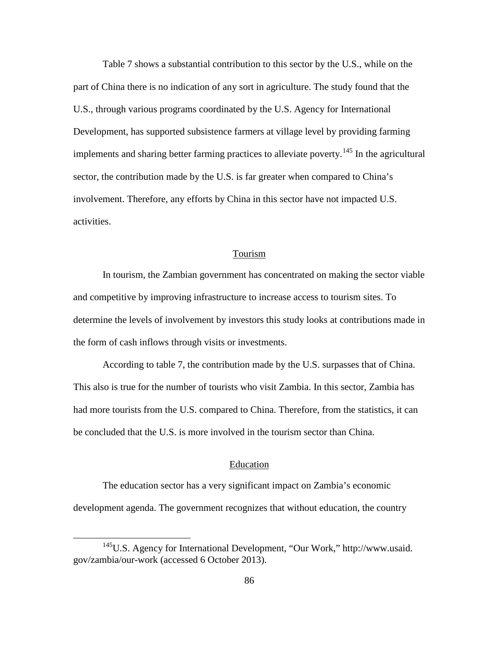Table 7 shows a substantial contribution to this sector by the U.S., while on the part of China there is no indication of any sort in agriculture. The study found that the U.S., through various programs coordinated by the U.S. Agency for International Development, has supported subsistence farmers at village level by providing farming implements and sharing better farming practices to alleviate poverty.<sup>[145](#page-94-0)</sup> In the agricultural sector, the contribution made by the U.S. is far greater when compared to China's involvement. Therefore, any efforts by China in this sector have not impacted U.S. activities.

## Tourism

In tourism, the Zambian government has concentrated on making the sector viable and competitive by improving infrastructure to increase access to tourism sites. To determine the levels of involvement by investors this study looks at contributions made in the form of cash inflows through visits or investments.

According to table 7, the contribution made by the U.S. surpasses that of China. This also is true for the number of tourists who visit Zambia. In this sector, Zambia has had more tourists from the U.S. compared to China. Therefore, from the statistics, it can be concluded that the U.S. is more involved in the tourism sector than China.

## Education

The education sector has a very significant impact on Zambia's economic development agenda. The government recognizes that without education, the country

<span id="page-94-0"></span><sup>145</sup>U.S. Agency for International Development, "Our Work," http://www.usaid. gov/zambia/our-work (accessed 6 October 2013).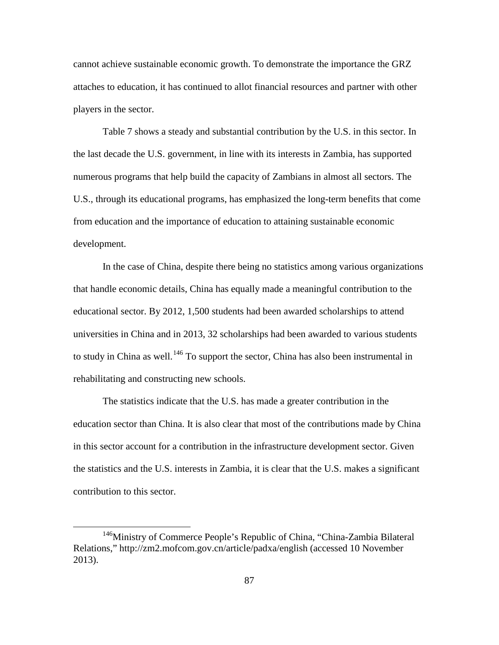cannot achieve sustainable economic growth. To demonstrate the importance the GRZ attaches to education, it has continued to allot financial resources and partner with other players in the sector.

Table 7 shows a steady and substantial contribution by the U.S. in this sector. In the last decade the U.S. government, in line with its interests in Zambia, has supported numerous programs that help build the capacity of Zambians in almost all sectors. The U.S., through its educational programs, has emphasized the long-term benefits that come from education and the importance of education to attaining sustainable economic development.

In the case of China, despite there being no statistics among various organizations that handle economic details, China has equally made a meaningful contribution to the educational sector. By 2012, 1,500 students had been awarded scholarships to attend universities in China and in 2013, 32 scholarships had been awarded to various students to study in China as well.<sup>[146](#page-95-0)</sup> To support the sector, China has also been instrumental in rehabilitating and constructing new schools.

The statistics indicate that the U.S. has made a greater contribution in the education sector than China. It is also clear that most of the contributions made by China in this sector account for a contribution in the infrastructure development sector. Given the statistics and the U.S. interests in Zambia, it is clear that the U.S. makes a significant contribution to this sector.

<span id="page-95-0"></span><sup>&</sup>lt;sup>146</sup>Ministry of Commerce People's Republic of China, "China-Zambia Bilateral Relations," http://zm2.mofcom.gov.cn/article/padxa/english (accessed 10 November 2013).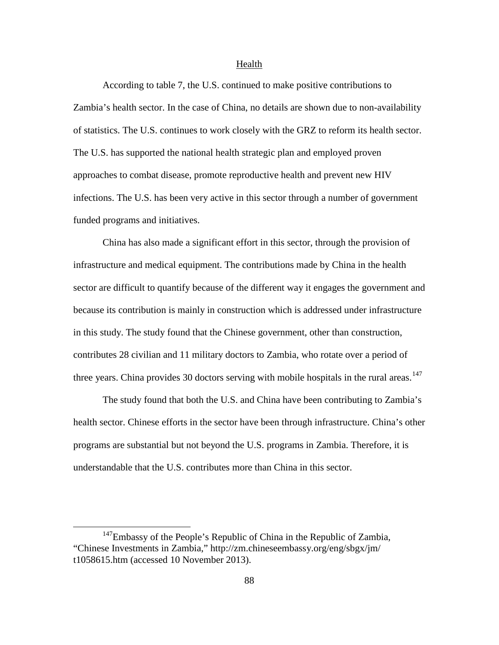#### Health

According to table 7, the U.S. continued to make positive contributions to Zambia's health sector. In the case of China, no details are shown due to non-availability of statistics. The U.S. continues to work closely with the GRZ to reform its health sector. The U.S. has supported the national health strategic plan and employed proven approaches to combat disease, promote reproductive health and prevent new HIV infections. The U.S. has been very active in this sector through a number of government funded programs and initiatives.

China has also made a significant effort in this sector, through the provision of infrastructure and medical equipment. The contributions made by China in the health sector are difficult to quantify because of the different way it engages the government and because its contribution is mainly in construction which is addressed under infrastructure in this study. The study found that the Chinese government, other than construction, contributes 28 civilian and 11 military doctors to Zambia, who rotate over a period of three years. China provides 30 doctors serving with mobile hospitals in the rural areas.<sup>[147](#page-96-0)</sup>

The study found that both the U.S. and China have been contributing to Zambia's health sector. Chinese efforts in the sector have been through infrastructure. China's other programs are substantial but not beyond the U.S. programs in Zambia. Therefore, it is understandable that the U.S. contributes more than China in this sector.

<span id="page-96-0"></span><sup>&</sup>lt;sup>147</sup>Embassy of the People's Republic of China in the Republic of Zambia, "Chinese Investments in Zambia," http://zm.chineseembassy.org/eng/sbgx/jm/ t1058615.htm (accessed 10 November 2013).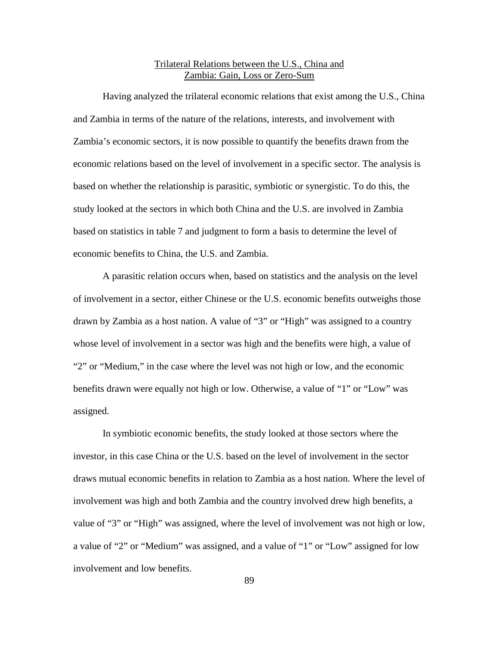# Trilateral Relations between the U.S., China and Zambia: Gain, Loss or Zero-Sum

Having analyzed the trilateral economic relations that exist among the U.S., China and Zambia in terms of the nature of the relations, interests, and involvement with Zambia's economic sectors, it is now possible to quantify the benefits drawn from the economic relations based on the level of involvement in a specific sector. The analysis is based on whether the relationship is parasitic, symbiotic or synergistic. To do this, the study looked at the sectors in which both China and the U.S. are involved in Zambia based on statistics in table 7 and judgment to form a basis to determine the level of economic benefits to China, the U.S. and Zambia.

A parasitic relation occurs when, based on statistics and the analysis on the level of involvement in a sector, either Chinese or the U.S. economic benefits outweighs those drawn by Zambia as a host nation. A value of "3" or "High" was assigned to a country whose level of involvement in a sector was high and the benefits were high, a value of "2" or "Medium," in the case where the level was not high or low, and the economic benefits drawn were equally not high or low. Otherwise, a value of "1" or "Low" was assigned.

In symbiotic economic benefits, the study looked at those sectors where the investor, in this case China or the U.S. based on the level of involvement in the sector draws mutual economic benefits in relation to Zambia as a host nation. Where the level of involvement was high and both Zambia and the country involved drew high benefits, a value of "3" or "High" was assigned, where the level of involvement was not high or low, a value of "2" or "Medium" was assigned, and a value of "1" or "Low" assigned for low involvement and low benefits.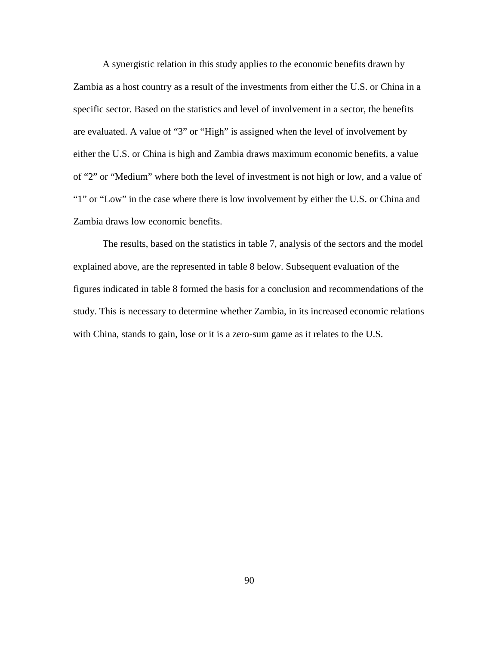A synergistic relation in this study applies to the economic benefits drawn by Zambia as a host country as a result of the investments from either the U.S. or China in a specific sector. Based on the statistics and level of involvement in a sector, the benefits are evaluated. A value of "3" or "High" is assigned when the level of involvement by either the U.S. or China is high and Zambia draws maximum economic benefits, a value of "2" or "Medium" where both the level of investment is not high or low, and a value of "1" or "Low" in the case where there is low involvement by either the U.S. or China and Zambia draws low economic benefits.

The results, based on the statistics in table 7, analysis of the sectors and the model explained above, are the represented in table 8 below. Subsequent evaluation of the figures indicated in table 8 formed the basis for a conclusion and recommendations of the study. This is necessary to determine whether Zambia, in its increased economic relations with China, stands to gain, lose or it is a zero-sum game as it relates to the U.S.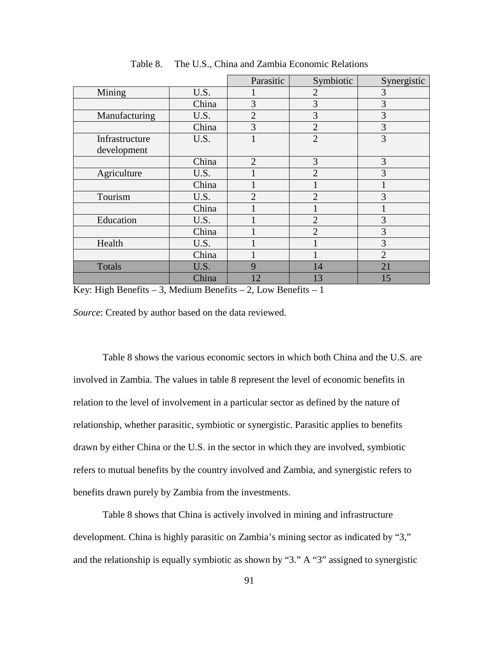|                |       | Parasitic      | Symbiotic      | Synergistic    |
|----------------|-------|----------------|----------------|----------------|
| Mining         | U.S.  |                | $\overline{2}$ | 3              |
|                | China | 3              | 3              | 3              |
| Manufacturing  | U.S.  | $\overline{2}$ | 3              | 3              |
|                | China | 3              | $\overline{2}$ | 3              |
| Infrastructure | U.S.  |                | $\overline{2}$ | 3              |
| development    |       |                |                |                |
|                | China | $\overline{2}$ | 3              | 3              |
| Agriculture    | U.S.  |                | $\overline{2}$ | 3              |
|                | China |                |                |                |
| Tourism        | U.S.  | $\overline{2}$ | $\overline{2}$ | 3              |
|                | China |                |                |                |
| Education      | U.S.  |                | $\overline{2}$ | 3              |
|                | China |                | $\overline{2}$ | 3              |
| Health         | U.S.  |                |                | 3              |
|                | China |                |                | $\overline{2}$ |
| Totals         | U.S.  | 9              | 14             | 21             |
|                | China | 12             | 13             | 15             |

Table 8. The U.S., China and Zambia Economic Relations

Key: High Benefits  $-3$ , Medium Benefits  $-2$ , Low Benefits  $-1$ 

*Source*: Created by author based on the data reviewed.

Table 8 shows the various economic sectors in which both China and the U.S. are involved in Zambia. The values in table 8 represent the level of economic benefits in relation to the level of involvement in a particular sector as defined by the nature of relationship, whether parasitic, symbiotic or synergistic. Parasitic applies to benefits drawn by either China or the U.S. in the sector in which they are involved, symbiotic refers to mutual benefits by the country involved and Zambia, and synergistic refers to benefits drawn purely by Zambia from the investments.

Table 8 shows that China is actively involved in mining and infrastructure development. China is highly parasitic on Zambia's mining sector as indicated by "3," and the relationship is equally symbiotic as shown by "3." A "3" assigned to synergistic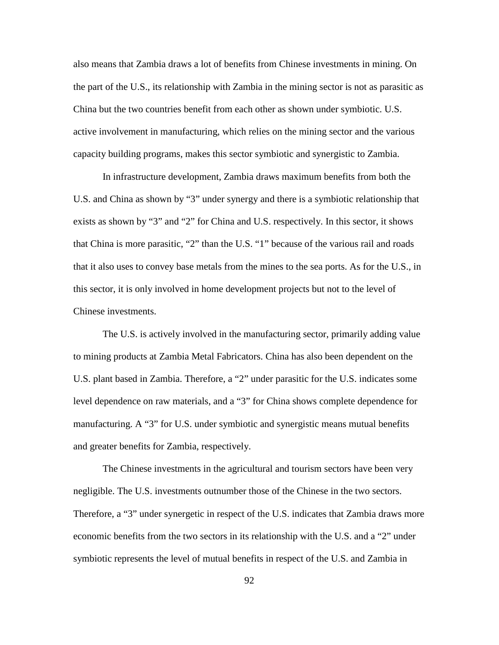also means that Zambia draws a lot of benefits from Chinese investments in mining. On the part of the U.S., its relationship with Zambia in the mining sector is not as parasitic as China but the two countries benefit from each other as shown under symbiotic. U.S. active involvement in manufacturing, which relies on the mining sector and the various capacity building programs, makes this sector symbiotic and synergistic to Zambia.

In infrastructure development, Zambia draws maximum benefits from both the U.S. and China as shown by "3" under synergy and there is a symbiotic relationship that exists as shown by "3" and "2" for China and U.S. respectively. In this sector, it shows that China is more parasitic, "2" than the U.S. "1" because of the various rail and roads that it also uses to convey base metals from the mines to the sea ports. As for the U.S., in this sector, it is only involved in home development projects but not to the level of Chinese investments.

The U.S. is actively involved in the manufacturing sector, primarily adding value to mining products at Zambia Metal Fabricators. China has also been dependent on the U.S. plant based in Zambia. Therefore, a "2" under parasitic for the U.S. indicates some level dependence on raw materials, and a "3" for China shows complete dependence for manufacturing. A "3" for U.S. under symbiotic and synergistic means mutual benefits and greater benefits for Zambia, respectively.

The Chinese investments in the agricultural and tourism sectors have been very negligible. The U.S. investments outnumber those of the Chinese in the two sectors. Therefore, a "3" under synergetic in respect of the U.S. indicates that Zambia draws more economic benefits from the two sectors in its relationship with the U.S. and a "2" under symbiotic represents the level of mutual benefits in respect of the U.S. and Zambia in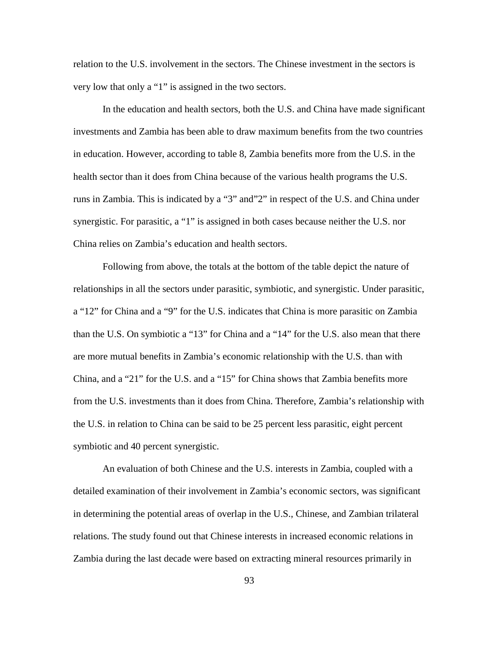relation to the U.S. involvement in the sectors. The Chinese investment in the sectors is very low that only a "1" is assigned in the two sectors.

In the education and health sectors, both the U.S. and China have made significant investments and Zambia has been able to draw maximum benefits from the two countries in education. However, according to table 8, Zambia benefits more from the U.S. in the health sector than it does from China because of the various health programs the U.S. runs in Zambia. This is indicated by a "3" and"2" in respect of the U.S. and China under synergistic. For parasitic, a "1" is assigned in both cases because neither the U.S. nor China relies on Zambia's education and health sectors.

Following from above, the totals at the bottom of the table depict the nature of relationships in all the sectors under parasitic, symbiotic, and synergistic. Under parasitic, a "12" for China and a "9" for the U.S. indicates that China is more parasitic on Zambia than the U.S. On symbiotic a "13" for China and a "14" for the U.S. also mean that there are more mutual benefits in Zambia's economic relationship with the U.S. than with China, and a "21" for the U.S. and a "15" for China shows that Zambia benefits more from the U.S. investments than it does from China. Therefore, Zambia's relationship with the U.S. in relation to China can be said to be 25 percent less parasitic, eight percent symbiotic and 40 percent synergistic.

An evaluation of both Chinese and the U.S. interests in Zambia, coupled with a detailed examination of their involvement in Zambia's economic sectors, was significant in determining the potential areas of overlap in the U.S., Chinese, and Zambian trilateral relations. The study found out that Chinese interests in increased economic relations in Zambia during the last decade were based on extracting mineral resources primarily in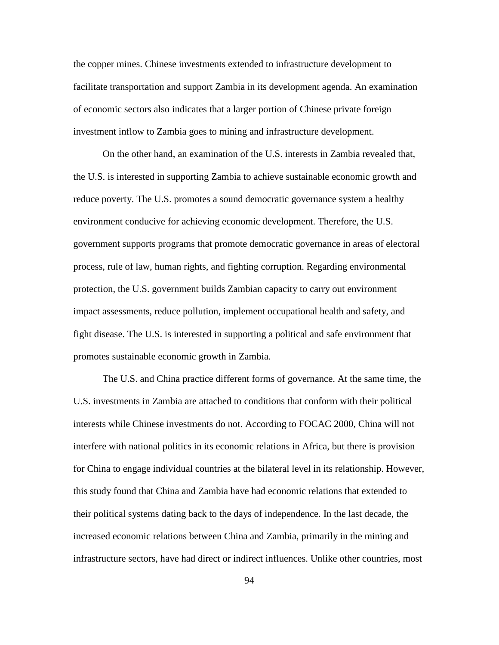the copper mines. Chinese investments extended to infrastructure development to facilitate transportation and support Zambia in its development agenda. An examination of economic sectors also indicates that a larger portion of Chinese private foreign investment inflow to Zambia goes to mining and infrastructure development.

On the other hand, an examination of the U.S. interests in Zambia revealed that, the U.S. is interested in supporting Zambia to achieve sustainable economic growth and reduce poverty. The U.S. promotes a sound democratic governance system a healthy environment conducive for achieving economic development. Therefore, the U.S. government supports programs that promote democratic governance in areas of electoral process, rule of law, human rights, and fighting corruption. Regarding environmental protection, the U.S. government builds Zambian capacity to carry out environment impact assessments, reduce pollution, implement occupational health and safety, and fight disease. The U.S. is interested in supporting a political and safe environment that promotes sustainable economic growth in Zambia.

The U.S. and China practice different forms of governance. At the same time, the U.S. investments in Zambia are attached to conditions that conform with their political interests while Chinese investments do not. According to FOCAC 2000, China will not interfere with national politics in its economic relations in Africa, but there is provision for China to engage individual countries at the bilateral level in its relationship. However, this study found that China and Zambia have had economic relations that extended to their political systems dating back to the days of independence. In the last decade, the increased economic relations between China and Zambia, primarily in the mining and infrastructure sectors, have had direct or indirect influences. Unlike other countries, most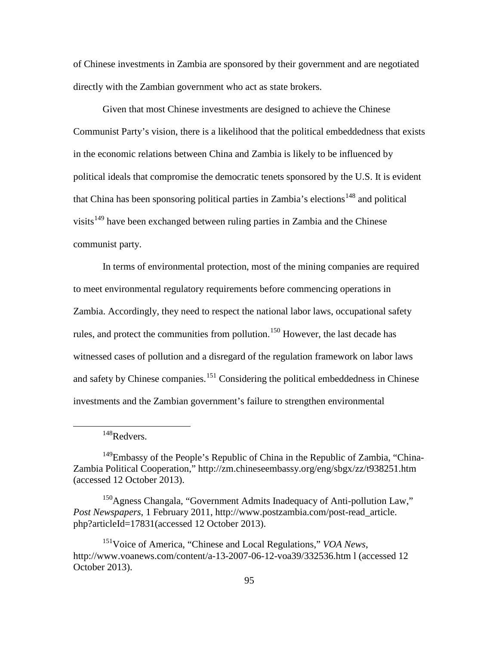of Chinese investments in Zambia are sponsored by their government and are negotiated directly with the Zambian government who act as state brokers.

Given that most Chinese investments are designed to achieve the Chinese Communist Party's vision, there is a likelihood that the political embeddedness that exists in the economic relations between China and Zambia is likely to be influenced by political ideals that compromise the democratic tenets sponsored by the U.S. It is evident that China has been sponsoring political parties in Zambia's elections<sup>[148](#page-103-0)</sup> and political visits<sup>[149](#page-103-1)</sup> have been exchanged between ruling parties in Zambia and the Chinese communist party.

In terms of environmental protection, most of the mining companies are required to meet environmental regulatory requirements before commencing operations in Zambia. Accordingly, they need to respect the national labor laws, occupational safety rules, and protect the communities from pollution.<sup>[150](#page-103-2)</sup> However, the last decade has witnessed cases of pollution and a disregard of the regulation framework on labor laws and safety by Chinese companies.<sup>[151](#page-103-3)</sup> Considering the political embeddedness in Chinese investments and the Zambian government's failure to strengthen environmental

<sup>148</sup>Redvers.

<span id="page-103-1"></span><span id="page-103-0"></span><sup>&</sup>lt;sup>149</sup>Embassy of the People's Republic of China in the Republic of Zambia, "China-Zambia Political Cooperation," http://zm.chineseembassy.org/eng/sbgx/zz/t938251.htm (accessed 12 October 2013).

<span id="page-103-2"></span><sup>&</sup>lt;sup>150</sup>Agness Changala, "Government Admits Inadequacy of Anti-pollution Law," *Post Newspapers*, 1 February 2011, http://www.postzambia.com/post-read\_article. php?articleId=17831(accessed 12 October 2013).

<span id="page-103-3"></span><sup>151</sup>Voice of America, "Chinese and Local Regulations," *VOA News*, http://www.voanews.com/content/a-13-2007-06-12-voa39/332536.htm l (accessed 12 October 2013).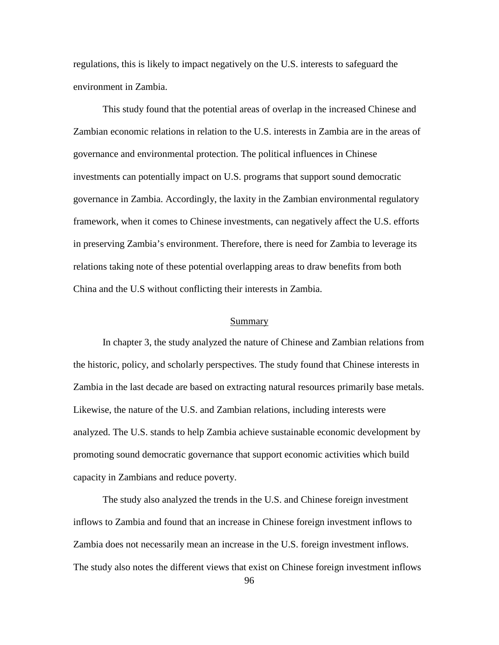regulations, this is likely to impact negatively on the U.S. interests to safeguard the environment in Zambia.

This study found that the potential areas of overlap in the increased Chinese and Zambian economic relations in relation to the U.S. interests in Zambia are in the areas of governance and environmental protection. The political influences in Chinese investments can potentially impact on U.S. programs that support sound democratic governance in Zambia. Accordingly, the laxity in the Zambian environmental regulatory framework, when it comes to Chinese investments, can negatively affect the U.S. efforts in preserving Zambia's environment. Therefore, there is need for Zambia to leverage its relations taking note of these potential overlapping areas to draw benefits from both China and the U.S without conflicting their interests in Zambia.

### Summary

In chapter 3, the study analyzed the nature of Chinese and Zambian relations from the historic, policy, and scholarly perspectives. The study found that Chinese interests in Zambia in the last decade are based on extracting natural resources primarily base metals. Likewise, the nature of the U.S. and Zambian relations, including interests were analyzed. The U.S. stands to help Zambia achieve sustainable economic development by promoting sound democratic governance that support economic activities which build capacity in Zambians and reduce poverty.

The study also analyzed the trends in the U.S. and Chinese foreign investment inflows to Zambia and found that an increase in Chinese foreign investment inflows to Zambia does not necessarily mean an increase in the U.S. foreign investment inflows. The study also notes the different views that exist on Chinese foreign investment inflows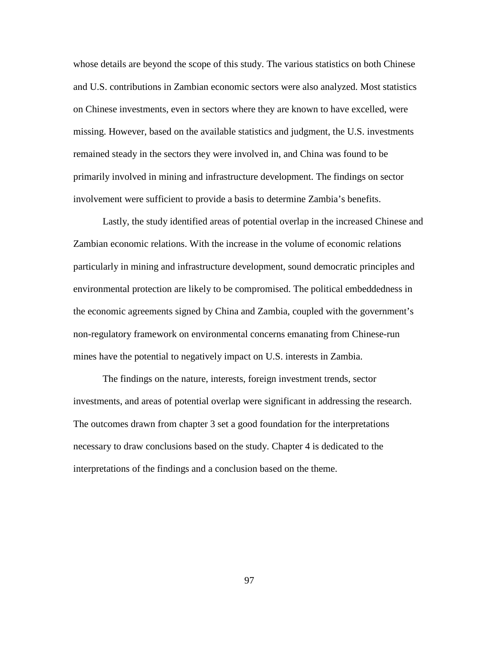whose details are beyond the scope of this study. The various statistics on both Chinese and U.S. contributions in Zambian economic sectors were also analyzed. Most statistics on Chinese investments, even in sectors where they are known to have excelled, were missing. However, based on the available statistics and judgment, the U.S. investments remained steady in the sectors they were involved in, and China was found to be primarily involved in mining and infrastructure development. The findings on sector involvement were sufficient to provide a basis to determine Zambia's benefits.

Lastly, the study identified areas of potential overlap in the increased Chinese and Zambian economic relations. With the increase in the volume of economic relations particularly in mining and infrastructure development, sound democratic principles and environmental protection are likely to be compromised. The political embeddedness in the economic agreements signed by China and Zambia, coupled with the government's non-regulatory framework on environmental concerns emanating from Chinese-run mines have the potential to negatively impact on U.S. interests in Zambia.

The findings on the nature, interests, foreign investment trends, sector investments, and areas of potential overlap were significant in addressing the research. The outcomes drawn from chapter 3 set a good foundation for the interpretations necessary to draw conclusions based on the study. Chapter 4 is dedicated to the interpretations of the findings and a conclusion based on the theme.

97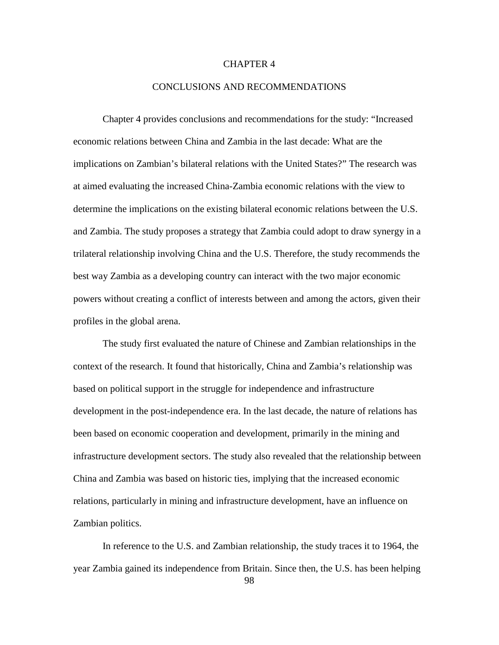# CHAPTER 4

# CONCLUSIONS AND RECOMMENDATIONS

Chapter 4 provides conclusions and recommendations for the study: "Increased economic relations between China and Zambia in the last decade: What are the implications on Zambian's bilateral relations with the United States?" The research was at aimed evaluating the increased China-Zambia economic relations with the view to determine the implications on the existing bilateral economic relations between the U.S. and Zambia. The study proposes a strategy that Zambia could adopt to draw synergy in a trilateral relationship involving China and the U.S. Therefore, the study recommends the best way Zambia as a developing country can interact with the two major economic powers without creating a conflict of interests between and among the actors, given their profiles in the global arena.

The study first evaluated the nature of Chinese and Zambian relationships in the context of the research. It found that historically, China and Zambia's relationship was based on political support in the struggle for independence and infrastructure development in the post-independence era. In the last decade, the nature of relations has been based on economic cooperation and development, primarily in the mining and infrastructure development sectors. The study also revealed that the relationship between China and Zambia was based on historic ties, implying that the increased economic relations, particularly in mining and infrastructure development, have an influence on Zambian politics.

In reference to the U.S. and Zambian relationship, the study traces it to 1964, the year Zambia gained its independence from Britain. Since then, the U.S. has been helping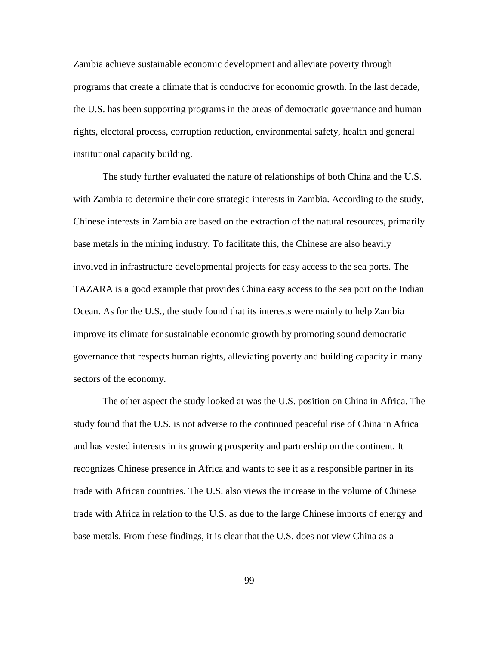Zambia achieve sustainable economic development and alleviate poverty through programs that create a climate that is conducive for economic growth. In the last decade, the U.S. has been supporting programs in the areas of democratic governance and human rights, electoral process, corruption reduction, environmental safety, health and general institutional capacity building.

The study further evaluated the nature of relationships of both China and the U.S. with Zambia to determine their core strategic interests in Zambia. According to the study, Chinese interests in Zambia are based on the extraction of the natural resources, primarily base metals in the mining industry. To facilitate this, the Chinese are also heavily involved in infrastructure developmental projects for easy access to the sea ports. The TAZARA is a good example that provides China easy access to the sea port on the Indian Ocean. As for the U.S., the study found that its interests were mainly to help Zambia improve its climate for sustainable economic growth by promoting sound democratic governance that respects human rights, alleviating poverty and building capacity in many sectors of the economy.

The other aspect the study looked at was the U.S. position on China in Africa. The study found that the U.S. is not adverse to the continued peaceful rise of China in Africa and has vested interests in its growing prosperity and partnership on the continent. It recognizes Chinese presence in Africa and wants to see it as a responsible partner in its trade with African countries. The U.S. also views the increase in the volume of Chinese trade with Africa in relation to the U.S. as due to the large Chinese imports of energy and base metals. From these findings, it is clear that the U.S. does not view China as a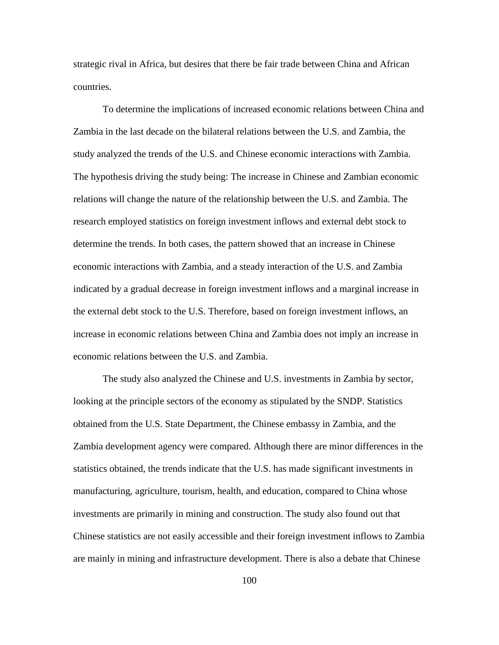strategic rival in Africa, but desires that there be fair trade between China and African countries.

To determine the implications of increased economic relations between China and Zambia in the last decade on the bilateral relations between the U.S. and Zambia, the study analyzed the trends of the U.S. and Chinese economic interactions with Zambia. The hypothesis driving the study being: The increase in Chinese and Zambian economic relations will change the nature of the relationship between the U.S. and Zambia. The research employed statistics on foreign investment inflows and external debt stock to determine the trends. In both cases, the pattern showed that an increase in Chinese economic interactions with Zambia, and a steady interaction of the U.S. and Zambia indicated by a gradual decrease in foreign investment inflows and a marginal increase in the external debt stock to the U.S. Therefore, based on foreign investment inflows, an increase in economic relations between China and Zambia does not imply an increase in economic relations between the U.S. and Zambia.

The study also analyzed the Chinese and U.S. investments in Zambia by sector, looking at the principle sectors of the economy as stipulated by the SNDP. Statistics obtained from the U.S. State Department, the Chinese embassy in Zambia, and the Zambia development agency were compared. Although there are minor differences in the statistics obtained, the trends indicate that the U.S. has made significant investments in manufacturing, agriculture, tourism, health, and education, compared to China whose investments are primarily in mining and construction. The study also found out that Chinese statistics are not easily accessible and their foreign investment inflows to Zambia are mainly in mining and infrastructure development. There is also a debate that Chinese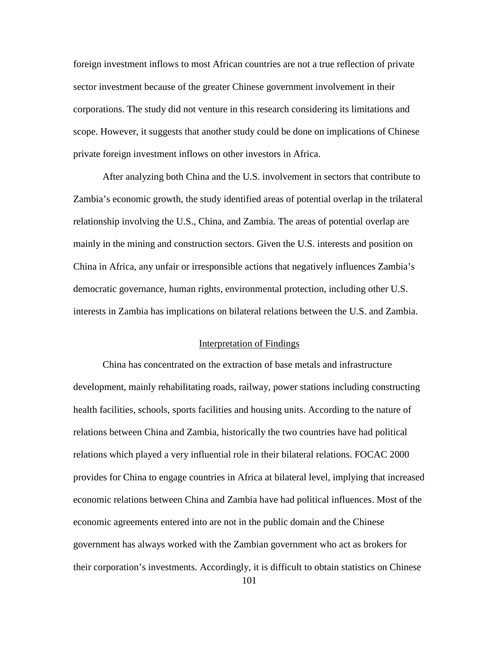foreign investment inflows to most African countries are not a true reflection of private sector investment because of the greater Chinese government involvement in their corporations. The study did not venture in this research considering its limitations and scope. However, it suggests that another study could be done on implications of Chinese private foreign investment inflows on other investors in Africa.

After analyzing both China and the U.S. involvement in sectors that contribute to Zambia's economic growth, the study identified areas of potential overlap in the trilateral relationship involving the U.S., China, and Zambia. The areas of potential overlap are mainly in the mining and construction sectors. Given the U.S. interests and position on China in Africa, any unfair or irresponsible actions that negatively influences Zambia's democratic governance, human rights, environmental protection, including other U.S. interests in Zambia has implications on bilateral relations between the U.S. and Zambia.

## Interpretation of Findings

China has concentrated on the extraction of base metals and infrastructure development, mainly rehabilitating roads, railway, power stations including constructing health facilities, schools, sports facilities and housing units. According to the nature of relations between China and Zambia, historically the two countries have had political relations which played a very influential role in their bilateral relations. FOCAC 2000 provides for China to engage countries in Africa at bilateral level, implying that increased economic relations between China and Zambia have had political influences. Most of the economic agreements entered into are not in the public domain and the Chinese government has always worked with the Zambian government who act as brokers for their corporation's investments. Accordingly, it is difficult to obtain statistics on Chinese 101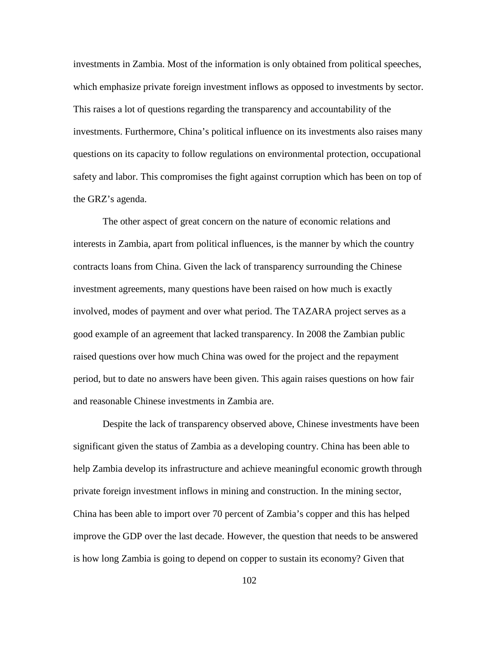investments in Zambia. Most of the information is only obtained from political speeches, which emphasize private foreign investment inflows as opposed to investments by sector. This raises a lot of questions regarding the transparency and accountability of the investments. Furthermore, China's political influence on its investments also raises many questions on its capacity to follow regulations on environmental protection, occupational safety and labor. This compromises the fight against corruption which has been on top of the GRZ's agenda.

The other aspect of great concern on the nature of economic relations and interests in Zambia, apart from political influences, is the manner by which the country contracts loans from China. Given the lack of transparency surrounding the Chinese investment agreements, many questions have been raised on how much is exactly involved, modes of payment and over what period. The TAZARA project serves as a good example of an agreement that lacked transparency. In 2008 the Zambian public raised questions over how much China was owed for the project and the repayment period, but to date no answers have been given. This again raises questions on how fair and reasonable Chinese investments in Zambia are.

Despite the lack of transparency observed above, Chinese investments have been significant given the status of Zambia as a developing country. China has been able to help Zambia develop its infrastructure and achieve meaningful economic growth through private foreign investment inflows in mining and construction. In the mining sector, China has been able to import over 70 percent of Zambia's copper and this has helped improve the GDP over the last decade. However, the question that needs to be answered is how long Zambia is going to depend on copper to sustain its economy? Given that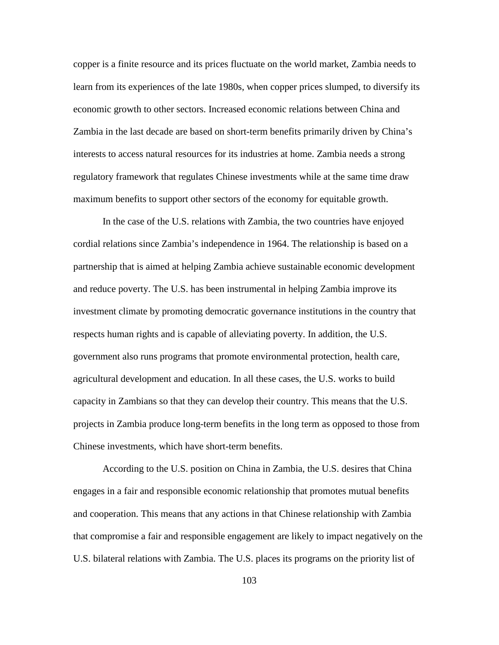copper is a finite resource and its prices fluctuate on the world market, Zambia needs to learn from its experiences of the late 1980s, when copper prices slumped, to diversify its economic growth to other sectors. Increased economic relations between China and Zambia in the last decade are based on short-term benefits primarily driven by China's interests to access natural resources for its industries at home. Zambia needs a strong regulatory framework that regulates Chinese investments while at the same time draw maximum benefits to support other sectors of the economy for equitable growth.

In the case of the U.S. relations with Zambia, the two countries have enjoyed cordial relations since Zambia's independence in 1964. The relationship is based on a partnership that is aimed at helping Zambia achieve sustainable economic development and reduce poverty. The U.S. has been instrumental in helping Zambia improve its investment climate by promoting democratic governance institutions in the country that respects human rights and is capable of alleviating poverty. In addition, the U.S. government also runs programs that promote environmental protection, health care, agricultural development and education. In all these cases, the U.S. works to build capacity in Zambians so that they can develop their country. This means that the U.S. projects in Zambia produce long-term benefits in the long term as opposed to those from Chinese investments, which have short-term benefits.

According to the U.S. position on China in Zambia, the U.S. desires that China engages in a fair and responsible economic relationship that promotes mutual benefits and cooperation. This means that any actions in that Chinese relationship with Zambia that compromise a fair and responsible engagement are likely to impact negatively on the U.S. bilateral relations with Zambia. The U.S. places its programs on the priority list of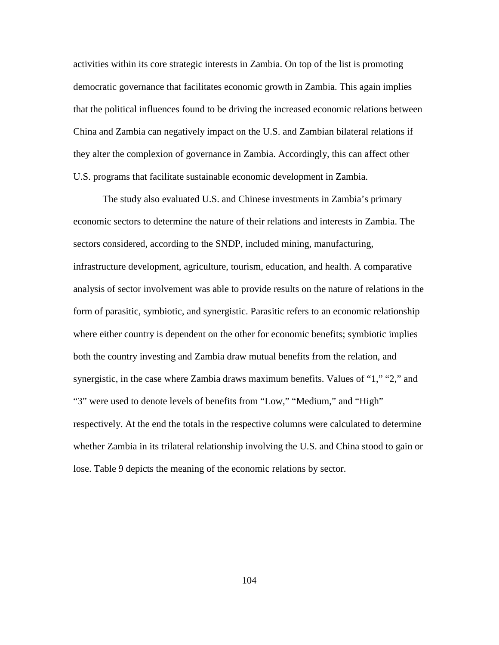activities within its core strategic interests in Zambia. On top of the list is promoting democratic governance that facilitates economic growth in Zambia. This again implies that the political influences found to be driving the increased economic relations between China and Zambia can negatively impact on the U.S. and Zambian bilateral relations if they alter the complexion of governance in Zambia. Accordingly, this can affect other U.S. programs that facilitate sustainable economic development in Zambia.

The study also evaluated U.S. and Chinese investments in Zambia's primary economic sectors to determine the nature of their relations and interests in Zambia. The sectors considered, according to the SNDP, included mining, manufacturing, infrastructure development, agriculture, tourism, education, and health. A comparative analysis of sector involvement was able to provide results on the nature of relations in the form of parasitic, symbiotic, and synergistic. Parasitic refers to an economic relationship where either country is dependent on the other for economic benefits; symbiotic implies both the country investing and Zambia draw mutual benefits from the relation, and synergistic, in the case where Zambia draws maximum benefits. Values of "1," "2," and "3" were used to denote levels of benefits from "Low," "Medium," and "High" respectively. At the end the totals in the respective columns were calculated to determine whether Zambia in its trilateral relationship involving the U.S. and China stood to gain or lose. Table 9 depicts the meaning of the economic relations by sector.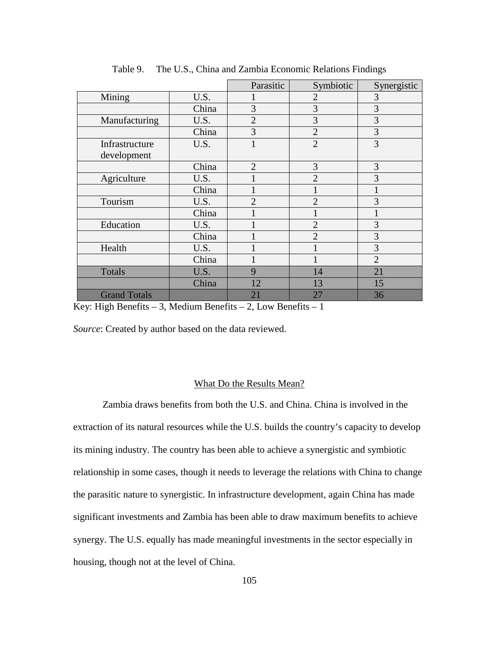|                     |       | Parasitic      | Symbiotic      | Synergistic    |
|---------------------|-------|----------------|----------------|----------------|
| Mining              | U.S.  | I              | $\overline{2}$ | 3              |
|                     | China | 3              | 3              | 3              |
| Manufacturing       | U.S.  | $\overline{2}$ | 3              | 3              |
|                     | China | 3              | $\overline{2}$ | 3              |
| Infrastructure      | U.S.  | $\mathbf{1}$   | $\overline{2}$ | 3              |
| development         |       |                |                |                |
|                     | China | $\overline{2}$ | 3              | 3              |
| Agriculture         | U.S.  |                | $\overline{2}$ | 3              |
|                     | China |                |                |                |
| Tourism             | U.S.  | $\overline{2}$ | $\overline{2}$ | 3              |
|                     | China |                | 1              |                |
| Education           | U.S.  |                | $\overline{2}$ | 3              |
|                     | China |                | $\overline{2}$ | 3              |
| Health              | U.S.  |                | 1              | 3              |
|                     | China |                |                | $\overline{2}$ |
| <b>Totals</b>       | U.S.  | 9              | 14             | 21             |
|                     | China | 12             | 13             | 15             |
| <b>Grand Totals</b> |       | 21             | 27             | 36             |

Table 9. The U.S., China and Zambia Economic Relations Findings

Key: High Benefits – 3, Medium Benefits – 2, Low Benefits – 1

*Source*: Created by author based on the data reviewed.

#### What Do the Results Mean?

Zambia draws benefits from both the U.S. and China. China is involved in the extraction of its natural resources while the U.S. builds the country's capacity to develop its mining industry. The country has been able to achieve a synergistic and symbiotic relationship in some cases, though it needs to leverage the relations with China to change the parasitic nature to synergistic. In infrastructure development, again China has made significant investments and Zambia has been able to draw maximum benefits to achieve synergy. The U.S. equally has made meaningful investments in the sector especially in housing, though not at the level of China.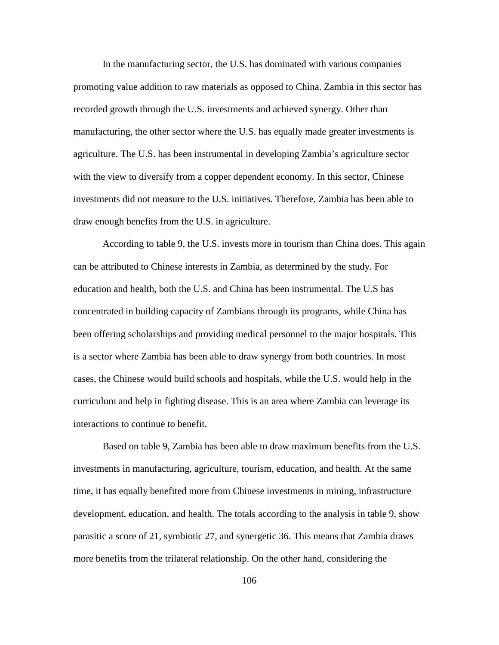In the manufacturing sector, the U.S. has dominated with various companies promoting value addition to raw materials as opposed to China. Zambia in this sector has recorded growth through the U.S. investments and achieved synergy. Other than manufacturing, the other sector where the U.S. has equally made greater investments is agriculture. The U.S. has been instrumental in developing Zambia's agriculture sector with the view to diversify from a copper dependent economy. In this sector, Chinese investments did not measure to the U.S. initiatives. Therefore, Zambia has been able to draw enough benefits from the U.S. in agriculture.

According to table 9, the U.S. invests more in tourism than China does. This again can be attributed to Chinese interests in Zambia, as determined by the study. For education and health, both the U.S. and China has been instrumental. The U.S has concentrated in building capacity of Zambians through its programs, while China has been offering scholarships and providing medical personnel to the major hospitals. This is a sector where Zambia has been able to draw synergy from both countries. In most cases, the Chinese would build schools and hospitals, while the U.S. would help in the curriculum and help in fighting disease. This is an area where Zambia can leverage its interactions to continue to benefit.

Based on table 9, Zambia has been able to draw maximum benefits from the U.S. investments in manufacturing, agriculture, tourism, education, and health. At the same time, it has equally benefited more from Chinese investments in mining, infrastructure development, education, and health. The totals according to the analysis in table 9, show parasitic a score of 21, symbiotic 27, and synergetic 36. This means that Zambia draws more benefits from the trilateral relationship. On the other hand, considering the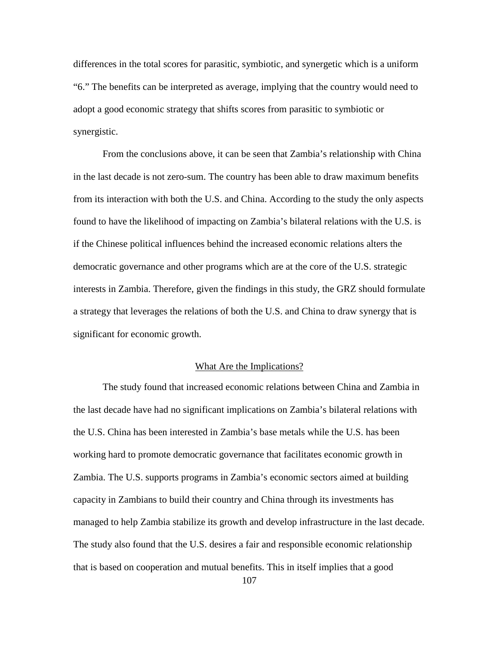differences in the total scores for parasitic, symbiotic, and synergetic which is a uniform "6." The benefits can be interpreted as average, implying that the country would need to adopt a good economic strategy that shifts scores from parasitic to symbiotic or synergistic.

From the conclusions above, it can be seen that Zambia's relationship with China in the last decade is not zero-sum. The country has been able to draw maximum benefits from its interaction with both the U.S. and China. According to the study the only aspects found to have the likelihood of impacting on Zambia's bilateral relations with the U.S. is if the Chinese political influences behind the increased economic relations alters the democratic governance and other programs which are at the core of the U.S. strategic interests in Zambia. Therefore, given the findings in this study, the GRZ should formulate a strategy that leverages the relations of both the U.S. and China to draw synergy that is significant for economic growth.

## What Are the Implications?

The study found that increased economic relations between China and Zambia in the last decade have had no significant implications on Zambia's bilateral relations with the U.S. China has been interested in Zambia's base metals while the U.S. has been working hard to promote democratic governance that facilitates economic growth in Zambia. The U.S. supports programs in Zambia's economic sectors aimed at building capacity in Zambians to build their country and China through its investments has managed to help Zambia stabilize its growth and develop infrastructure in the last decade. The study also found that the U.S. desires a fair and responsible economic relationship that is based on cooperation and mutual benefits. This in itself implies that a good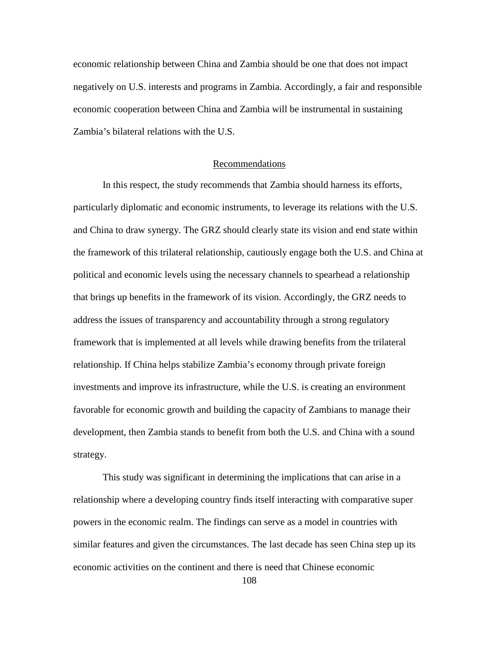economic relationship between China and Zambia should be one that does not impact negatively on U.S. interests and programs in Zambia. Accordingly, a fair and responsible economic cooperation between China and Zambia will be instrumental in sustaining Zambia's bilateral relations with the U.S.

## Recommendations

In this respect, the study recommends that Zambia should harness its efforts, particularly diplomatic and economic instruments, to leverage its relations with the U.S. and China to draw synergy. The GRZ should clearly state its vision and end state within the framework of this trilateral relationship, cautiously engage both the U.S. and China at political and economic levels using the necessary channels to spearhead a relationship that brings up benefits in the framework of its vision. Accordingly, the GRZ needs to address the issues of transparency and accountability through a strong regulatory framework that is implemented at all levels while drawing benefits from the trilateral relationship. If China helps stabilize Zambia's economy through private foreign investments and improve its infrastructure, while the U.S. is creating an environment favorable for economic growth and building the capacity of Zambians to manage their development, then Zambia stands to benefit from both the U.S. and China with a sound strategy.

This study was significant in determining the implications that can arise in a relationship where a developing country finds itself interacting with comparative super powers in the economic realm. The findings can serve as a model in countries with similar features and given the circumstances. The last decade has seen China step up its economic activities on the continent and there is need that Chinese economic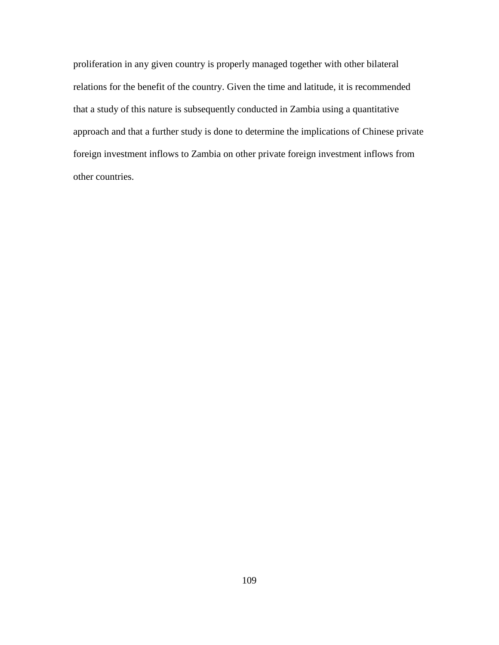proliferation in any given country is properly managed together with other bilateral relations for the benefit of the country. Given the time and latitude, it is recommended that a study of this nature is subsequently conducted in Zambia using a quantitative approach and that a further study is done to determine the implications of Chinese private foreign investment inflows to Zambia on other private foreign investment inflows from other countries.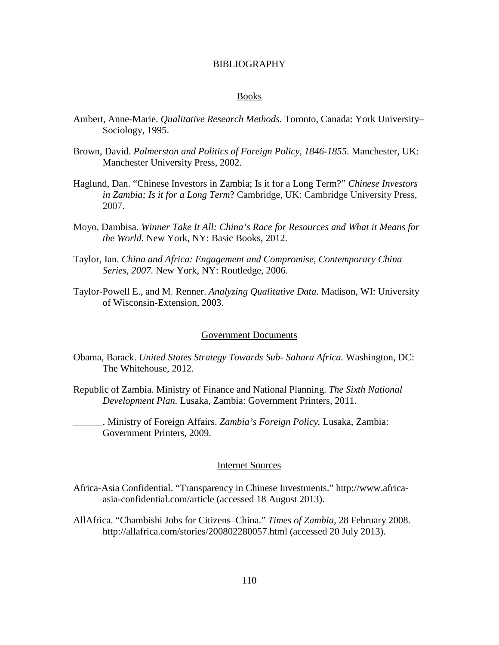### BIBLIOGRAPHY

#### Books

- Ambert, Anne-Marie. *Qualitative Research Methods.* Toronto, Canada: York University– Sociology, 1995.
- Brown, David. *Palmerston and Politics of Foreign Policy, 1846-1855*. Manchester, UK: Manchester University Press, 2002.
- Haglund, Dan. "Chinese Investors in Zambia; Is it for a Long Term?" *Chinese Investors in Zambia; Is it for a Long Term*? Cambridge, UK: Cambridge University Press, 2007.
- Moyo, Dambisa. *Winner Take It All: China's Race for Resources and What it Means for the World.* New York, NY: Basic Books, 2012.
- Taylor, Ian. *China and Africa: Engagement and Compromise, Contemporary China Series, 2007.* New York, NY: Routledge, 2006.
- Taylor-Powell E., and M. Renner. *Analyzing Qualitative Data*. Madison, WI: University of Wisconsin-Extension, 2003.

#### Government Documents

- Obama, Barack. *United States Strategy Towards Sub- Sahara Africa.* Washington, DC: The Whitehouse, 2012.
- Republic of Zambia. Ministry of Finance and National Planning. *The Sixth National Development Plan.* Lusaka, Zambia: Government Printers, 2011.

\_\_\_\_\_\_. Ministry of Foreign Affairs. *Zambia's Foreign Policy.* Lusaka, Zambia: Government Printers, 2009.

## Internet Sources

- Africa-Asia Confidential. "Transparency in Chinese Investments." http://www.africaasia-confidential.com/article (accessed 18 August 2013).
- AllAfrica. "Chambishi Jobs for Citizens–China." *Times of Zambia*, 28 February 2008. http://allafrica.com/stories/200802280057.html (accessed 20 July 2013).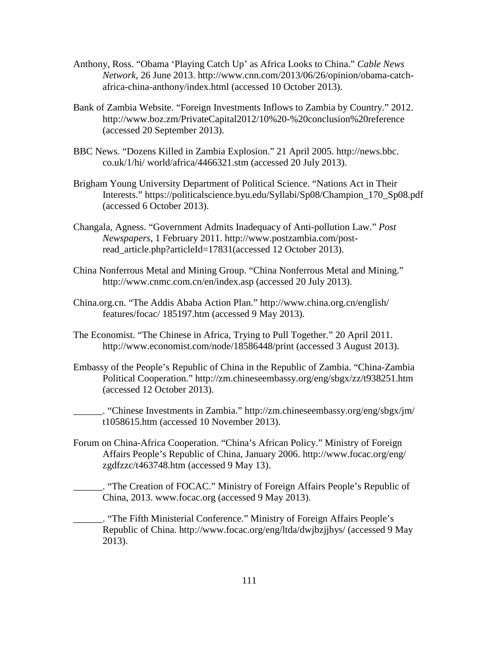- Anthony, Ross. "Obama 'Playing Catch Up' as Africa Looks to China." *Cable News Network*, 26 June 2013. http://www.cnn.com/2013/06/26/opinion/obama-catchafrica-china-anthony/index.html (accessed 10 October 2013).
- Bank of Zambia Website. "Foreign Investments Inflows to Zambia by Country." 2012. http://www.boz.zm/PrivateCapital2012/10%20-%20conclusion%20reference (accessed 20 September 2013).
- BBC News. "Dozens Killed in Zambia Explosion." 21 April 2005. http://news.bbc. co.uk/1/hi/ world/africa/4466321.stm (accessed 20 July 2013).
- Brigham Young University Department of Political Science. "Nations Act in Their Interests." https://politicalscience.byu.edu/Syllabi/Sp08/Champion\_170\_Sp08.pdf (accessed 6 October 2013).
- Changala, Agness. "Government Admits Inadequacy of Anti-pollution Law." *Post Newspapers*, 1 February 2011. http://www.postzambia.com/postread\_article.php?articleId=17831(accessed 12 October 2013).
- China Nonferrous Metal and Mining Group. "China Nonferrous Metal and Mining." http://www.cnmc.com.cn/en/index.asp (accessed 20 July 2013).
- China.org.cn. "The Addis Ababa Action Plan." http://www.china.org.cn/english/ features/focac/ 185197.htm (accessed 9 May 2013).
- The Economist. "The Chinese in Africa, Trying to Pull Together." 20 April 2011. http://www.economist.com/node/18586448/print (accessed 3 August 2013).
- Embassy of the People's Republic of China in the Republic of Zambia. "China-Zambia Political Cooperation." http://zm.chineseembassy.org/eng/sbgx/zz/t938251.htm (accessed 12 October 2013).

\_\_\_\_\_\_. "Chinese Investments in Zambia." http://zm.chineseembassy.org/eng/sbgx/jm/ t1058615.htm (accessed 10 November 2013).

Forum on China-Africa Cooperation. "China's African Policy." Ministry of Foreign Affairs People's Republic of China, January 2006. http://www.focac.org/eng/ zgdfzzc/t463748.htm (accessed 9 May 13).

\_\_\_\_\_\_. "The Creation of FOCAC." Ministry of Foreign Affairs People's Republic of China, 2013. www.focac.org (accessed 9 May 2013).

\_\_\_\_\_\_. "The Fifth Ministerial Conference." Ministry of Foreign Affairs People's Republic of China. http://www.focac.org/eng/ltda/dwjbzjjhys/ (accessed 9 May 2013).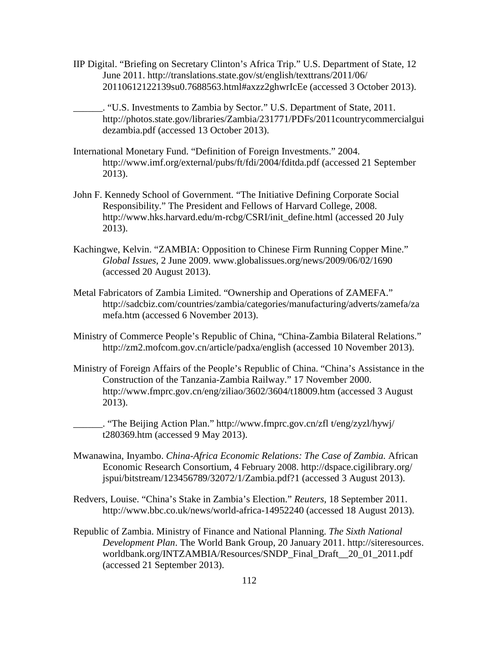- IIP Digital. "Briefing on Secretary Clinton's Africa Trip." U.S. Department of State, 12 June 2011. http://translations.state.gov/st/english/texttrans/2011/06/ 20110612122139su0.7688563.html#axzz2ghwrIcEe (accessed 3 October 2013).
	- \_\_\_\_\_\_. "U.S. Investments to Zambia by Sector." U.S. Department of State, 2011. http://photos.state.gov/libraries/Zambia/231771/PDFs/2011countrycommercialgui dezambia.pdf (accessed 13 October 2013).
- International Monetary Fund. "Definition of Foreign Investments." 2004. http://www.imf.org/external/pubs/ft/fdi/2004/fditda.pdf (accessed 21 September 2013).
- John F. Kennedy School of Government. "The Initiative Defining Corporate Social Responsibility." The President and Fellows of Harvard College, 2008. http://www.hks.harvard.edu/m-rcbg/CSRI/init\_define.html (accessed 20 July 2013).
- Kachingwe, Kelvin. "ZAMBIA: Opposition to Chinese Firm Running Copper Mine." *Global Issues*, 2 June 2009. www.globalissues.org/news/2009/06/02/1690 (accessed 20 August 2013).
- Metal Fabricators of Zambia Limited. "Ownership and Operations of ZAMEFA." http://sadcbiz.com/countries/zambia/categories/manufacturing/adverts/zamefa/za mefa.htm (accessed 6 November 2013).
- Ministry of Commerce People's Republic of China, "China-Zambia Bilateral Relations." http://zm2.mofcom.gov.cn/article/padxa/english (accessed 10 November 2013).
- Ministry of Foreign Affairs of the People's Republic of China. "China's Assistance in the Construction of the Tanzania-Zambia Railway." 17 November 2000. http://www.fmprc.gov.cn/eng/ziliao/3602/3604/t18009.htm (accessed 3 August 2013).

\_\_\_\_\_\_. "The Beijing Action Plan." http://www.fmprc.gov.cn/zfl t/eng/zyzl/hywj/ t280369.htm (accessed 9 May 2013).

- Mwanawina, Inyambo. *China-Africa Economic Relations: The Case of Zambia.* African Economic Research Consortium, 4 February 2008. http://dspace.cigilibrary.org/ jspui/bitstream/123456789/32072/1/Zambia.pdf?1 (accessed 3 August 2013).
- Redvers, Louise. "China's Stake in Zambia's Election." *Reuters*, 18 September 2011. <http://www.bbc.co.uk/news/world-africa-14952240> (accessed 18 August 2013).
- Republic of Zambia. Ministry of Finance and National Planning. *The Sixth National Development Plan*. The World Bank Group, 20 January 2011. http://siteresources. worldbank.org/INTZAMBIA/Resources/SNDP\_Final\_Draft\_\_20\_01\_2011.pdf (accessed 21 September 2013).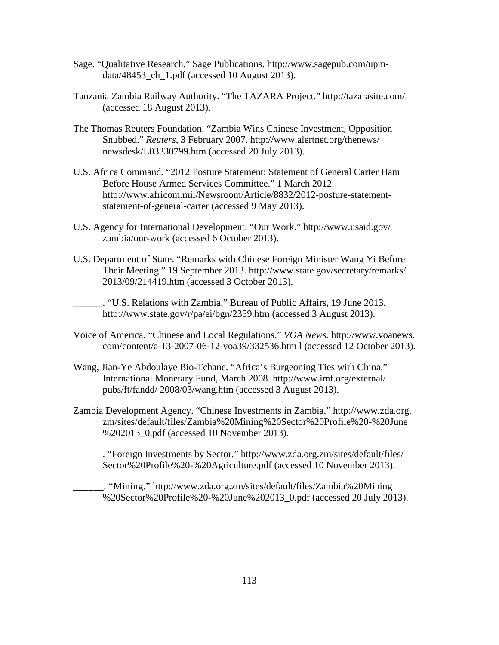- Sage. "Qualitative Research." Sage Publications. http://www.sagepub.com/upmdata/48453 ch 1.pdf (accessed 10 August 2013).
- Tanzania Zambia Railway Authority. "The TAZARA Project." http://tazarasite.com/ (accessed 18 August 2013).
- The Thomas Reuters Foundation. "Zambia Wins Chinese Investment, Opposition Snubbed." *Reuters*, 3 February 2007. http://www.alertnet.org/thenews/ newsdesk/L03330799.htm (accessed 20 July 2013).
- U.S. Africa Command. "2012 Posture Statement: Statement of General Carter Ham Before House Armed Services Committee." 1 March 2012. http://www.africom.mil/Newsroom/Article/8832/2012-posture-statementstatement-of-general-carter (accessed 9 May 2013).
- U.S. Agency for International Development. "Our Work." http://www.usaid.gov/ zambia/our-work (accessed 6 October 2013).
- U.S. Department of State. "Remarks with Chinese Foreign Minister Wang Yi Before Their Meeting." 19 September 2013. http://www.state.gov/secretary/remarks/ 2013/09/214419.htm (accessed 3 October 2013).

\_\_\_\_\_\_. "U.S. Relations with Zambia." Bureau of Public Affairs, 19 June 2013. http://www.state.gov/r/pa/ei/bgn/2359.htm (accessed 3 August 2013).

- Voice of America. "Chinese and Local Regulations." *VOA News*. http://www.voanews. com/content/a-13-2007-06-12-voa39/332536.htm l (accessed 12 October 2013).
- Wang, Jian-Ye Abdoulaye Bio-Tchane. "Africa's Burgeoning Ties with China." International Monetary Fund, March 2008. http://www.imf.org/external/ pubs/ft/fandd/ 2008/03/wang.htm (accessed 3 August 2013).
- Zambia Development Agency. "Chinese Investments in Zambia." http://www.zda.org. zm/sites/default/files/Zambia%20Mining%20Sector%20Profile%20-%20June %202013\_0.pdf (accessed 10 November 2013).

\_\_\_\_\_\_. "Foreign Investments by Sector." http://www.zda.org.zm/sites/default/files/ Sector%20Profile%20-%20Agriculture.pdf (accessed 10 November 2013).

\_\_\_\_\_\_. "Mining." http://www.zda.org.zm/sites/default/files/Zambia%20Mining %20Sector%20Profile%20-%20June%202013\_0.pdf (accessed 20 July 2013).